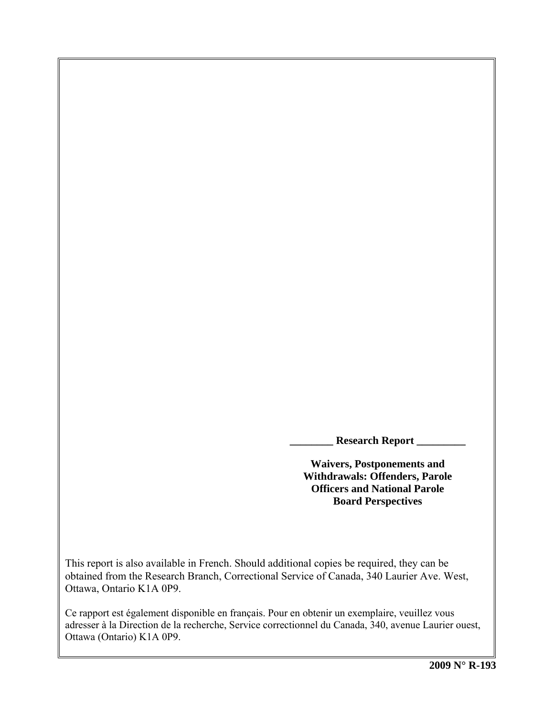**\_\_\_\_\_\_\_\_ Research Report \_\_\_\_\_\_\_\_\_** 

**Waivers, Postponements and Withdrawals: Offenders, Parole Officers and National Parole Board Perspectives** 

This report is also available in French. Should additional copies be required, they can be obtained from the Research Branch, Correctional Service of Canada, 340 Laurier Ave. West, Ottawa, Ontario K1A 0P9.

Ce rapport est également disponible en français. Pour en obtenir un exemplaire, veuillez vous adresser à la Direction de la recherche, Service correctionnel du Canada, 340, avenue Laurier ouest, Ottawa (Ontario) K1A 0P9.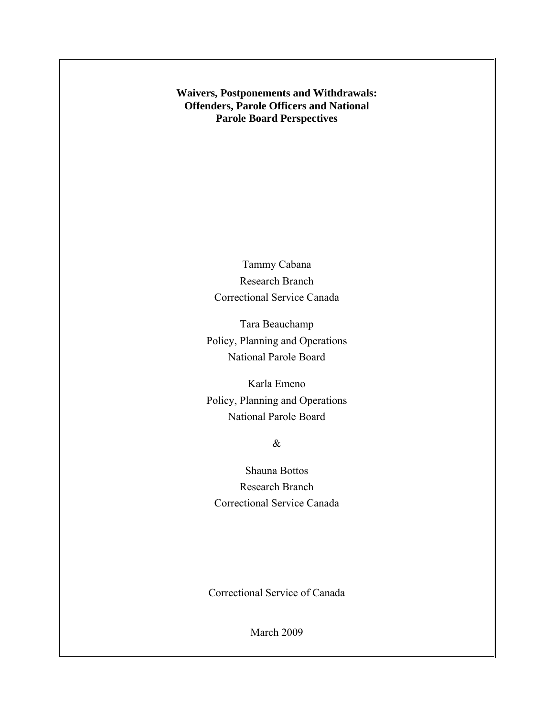**Waivers, Postponements and Withdrawals: Offenders, Parole Officers and National Parole Board Perspectives** 

> Tammy Cabana Research Branch Correctional Service Canada

Tara Beauchamp Policy, Planning and Operations National Parole Board

Karla Emeno Policy, Planning and Operations National Parole Board

# &

Shauna Bottos Research Branch Correctional Service Canada

Correctional Service of Canada

March 2009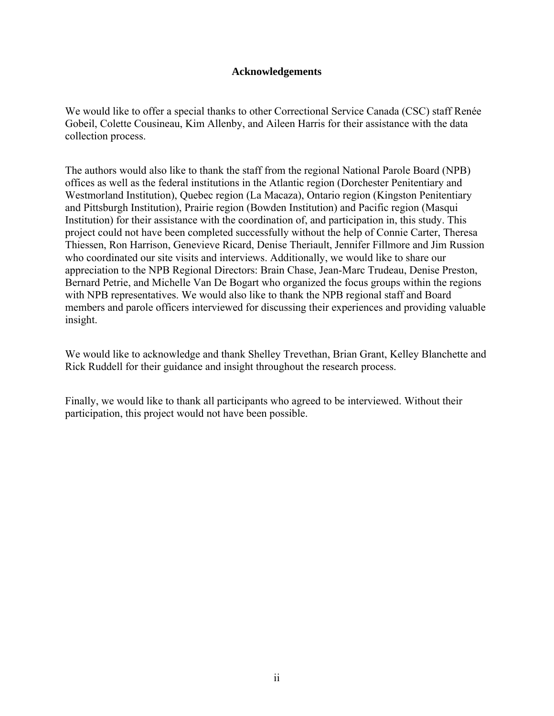# **Acknowledgements**

<span id="page-2-0"></span>We would like to offer a special thanks to other Correctional Service Canada (CSC) staff Renée Gobeil, Colette Cousineau, Kim Allenby, and Aileen Harris for their assistance with the data collection process.

The authors would also like to thank the staff from the regional National Parole Board (NPB) offices as well as the federal institutions in the Atlantic region (Dorchester Penitentiary and Westmorland Institution), Quebec region (La Macaza), Ontario region (Kingston Penitentiary and Pittsburgh Institution), Prairie region (Bowden Institution) and Pacific region (Masqui Institution) for their assistance with the coordination of, and participation in, this study. This project could not have been completed successfully without the help of Connie Carter, Theresa Thiessen, Ron Harrison, Genevieve Ricard, Denise Theriault, Jennifer Fillmore and Jim Russion who coordinated our site visits and interviews. Additionally, we would like to share our appreciation to the NPB Regional Directors: Brain Chase, Jean-Marc Trudeau, Denise Preston, Bernard Petrie, and Michelle Van De Bogart who organized the focus groups within the regions with NPB representatives. We would also like to thank the NPB regional staff and Board members and parole officers interviewed for discussing their experiences and providing valuable insight.

We would like to acknowledge and thank Shelley Trevethan, Brian Grant, Kelley Blanchette and Rick Ruddell for their guidance and insight throughout the research process.

Finally, we would like to thank all participants who agreed to be interviewed. Without their participation, this project would not have been possible.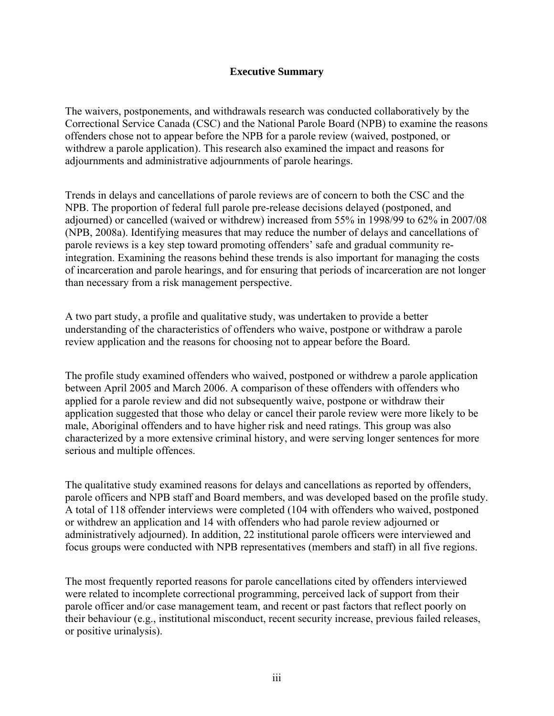# **Executive Summary**

<span id="page-3-0"></span>The waivers, postponements, and withdrawals research was conducted collaboratively by the Correctional Service Canada (CSC) and the National Parole Board (NPB) to examine the reasons offenders chose not to appear before the NPB for a parole review (waived, postponed, or withdrew a parole application). This research also examined the impact and reasons for adjournments and administrative adjournments of parole hearings.

Trends in delays and cancellations of parole reviews are of concern to both the CSC and the NPB. The proportion of federal full parole pre-release decisions delayed (postponed, and adjourned) or cancelled (waived or withdrew) increased from 55% in 1998/99 to 62% in 2007/08 (NPB, 2008a). Identifying measures that may reduce the number of delays and cancellations of parole reviews is a key step toward promoting offenders' safe and gradual community reintegration. Examining the reasons behind these trends is also important for managing the costs of incarceration and parole hearings, and for ensuring that periods of incarceration are not longer than necessary from a risk management perspective.

A two part study, a profile and qualitative study, was undertaken to provide a better understanding of the characteristics of offenders who waive, postpone or withdraw a parole review application and the reasons for choosing not to appear before the Board.

The profile study examined offenders who waived, postponed or withdrew a parole application between April 2005 and March 2006. A comparison of these offenders with offenders who applied for a parole review and did not subsequently waive, postpone or withdraw their application suggested that those who delay or cancel their parole review were more likely to be male, Aboriginal offenders and to have higher risk and need ratings. This group was also characterized by a more extensive criminal history, and were serving longer sentences for more serious and multiple offences.

The qualitative study examined reasons for delays and cancellations as reported by offenders, parole officers and NPB staff and Board members, and was developed based on the profile study. A total of 118 offender interviews were completed (104 with offenders who waived, postponed or withdrew an application and 14 with offenders who had parole review adjourned or administratively adjourned). In addition, 22 institutional parole officers were interviewed and focus groups were conducted with NPB representatives (members and staff) in all five regions.

The most frequently reported reasons for parole cancellations cited by offenders interviewed were related to incomplete correctional programming, perceived lack of support from their parole officer and/or case management team, and recent or past factors that reflect poorly on their behaviour (e.g., institutional misconduct, recent security increase, previous failed releases, or positive urinalysis).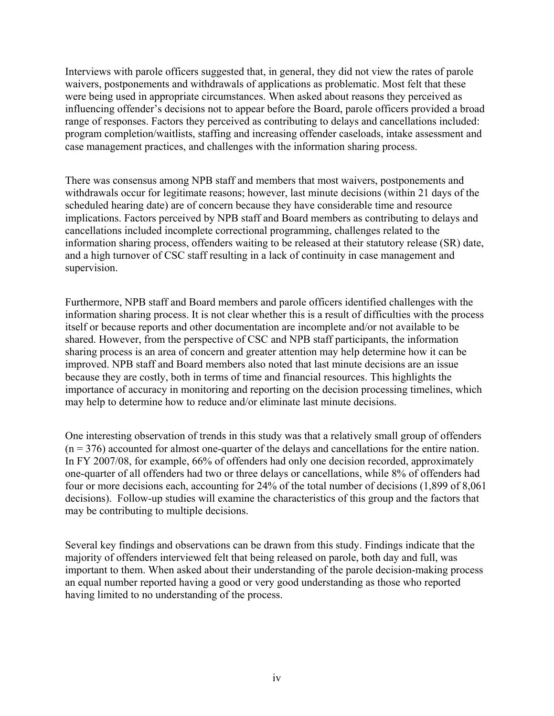Interviews with parole officers suggested that, in general, they did not view the rates of parole waivers, postponements and withdrawals of applications as problematic. Most felt that these were being used in appropriate circumstances. When asked about reasons they perceived as influencing offender's decisions not to appear before the Board, parole officers provided a broad range of responses. Factors they perceived as contributing to delays and cancellations included: program completion/waitlists, staffing and increasing offender caseloads, intake assessment and case management practices, and challenges with the information sharing process.

There was consensus among NPB staff and members that most waivers, postponements and withdrawals occur for legitimate reasons; however, last minute decisions (within 21 days of the scheduled hearing date) are of concern because they have considerable time and resource implications. Factors perceived by NPB staff and Board members as contributing to delays and cancellations included incomplete correctional programming, challenges related to the information sharing process, offenders waiting to be released at their statutory release (SR) date, and a high turnover of CSC staff resulting in a lack of continuity in case management and supervision.

Furthermore, NPB staff and Board members and parole officers identified challenges with the information sharing process. It is not clear whether this is a result of difficulties with the process itself or because reports and other documentation are incomplete and/or not available to be shared. However, from the perspective of CSC and NPB staff participants, the information sharing process is an area of concern and greater attention may help determine how it can be improved. NPB staff and Board members also noted that last minute decisions are an issue because they are costly, both in terms of time and financial resources. This highlights the importance of accuracy in monitoring and reporting on the decision processing timelines, which may help to determine how to reduce and/or eliminate last minute decisions.

One interesting observation of trends in this study was that a relatively small group of offenders  $(n = 376)$  accounted for almost one-quarter of the delays and cancellations for the entire nation. In FY 2007/08, for example, 66% of offenders had only one decision recorded, approximately one-quarter of all offenders had two or three delays or cancellations, while 8% of offenders had four or more decisions each, accounting for 24% of the total number of decisions (1,899 of 8,061 decisions). Follow-up studies will examine the characteristics of this group and the factors that may be contributing to multiple decisions.

Several key findings and observations can be drawn from this study. Findings indicate that the majority of offenders interviewed felt that being released on parole, both day and full, was important to them. When asked about their understanding of the parole decision-making process an equal number reported having a good or very good understanding as those who reported having limited to no understanding of the process.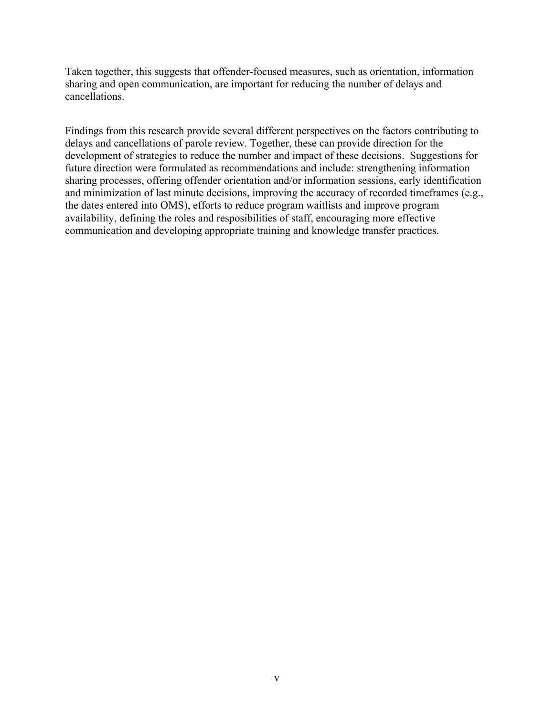Taken together, this suggests that offender-focused measures, such as orientation, information sharing and open communication, are important for reducing the number of delays and cancellations.

Findings from this research provide several different perspectives on the factors contributing to delays and cancellations of parole review. Together, these can provide direction for the development of strategies to reduce the number and impact of these decisions. Suggestions for future direction were formulated as recommendations and include: strengthening information sharing processes, offering offender orientation and/or information sessions, early identification and minimization of last minute decisions, improving the accuracy of recorded timeframes (e.g., the dates entered into OMS), efforts to reduce program waitlists and improve program availability, defining the roles and resposibilities of staff, encouraging more effective communication and developing appropriate training and knowledge transfer practices.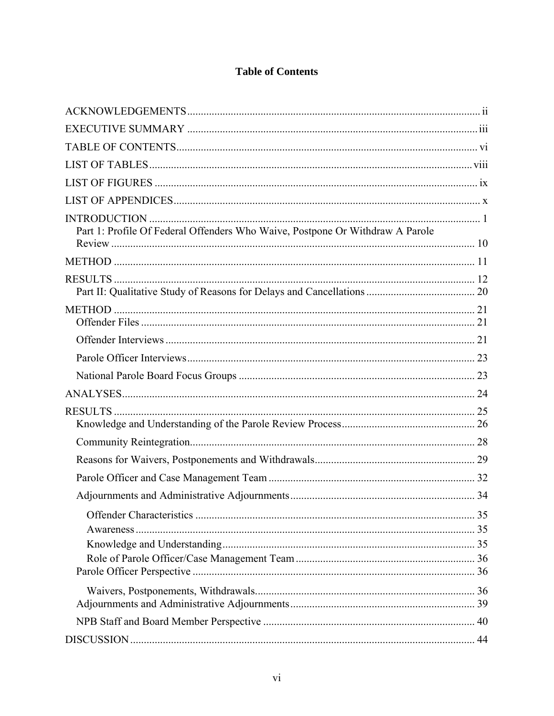# **Table of Contents**

<span id="page-6-0"></span>

| Part 1: Profile Of Federal Offenders Who Waive, Postpone Or Withdraw A Parole |  |
|-------------------------------------------------------------------------------|--|
|                                                                               |  |
|                                                                               |  |
|                                                                               |  |
|                                                                               |  |
|                                                                               |  |
|                                                                               |  |
|                                                                               |  |
|                                                                               |  |
|                                                                               |  |
|                                                                               |  |
|                                                                               |  |
|                                                                               |  |
|                                                                               |  |
|                                                                               |  |
|                                                                               |  |
|                                                                               |  |
|                                                                               |  |
|                                                                               |  |
|                                                                               |  |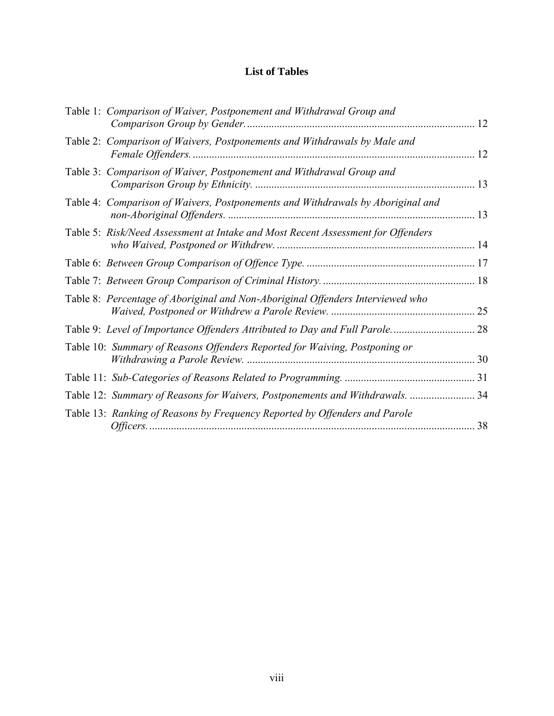# **List of Tables**

<span id="page-8-0"></span>

| Table 1: Comparison of Waiver, Postponement and Withdrawal Group and             | 12 |
|----------------------------------------------------------------------------------|----|
| Table 2: Comparison of Waivers, Postponements and Withdrawals by Male and        | 12 |
| Table 3: Comparison of Waiver, Postponement and Withdrawal Group and             | 13 |
| Table 4: Comparison of Waivers, Postponements and Withdrawals by Aboriginal and  |    |
| Table 5: Risk/Need Assessment at Intake and Most Recent Assessment for Offenders |    |
|                                                                                  |    |
|                                                                                  |    |
| Table 8: Percentage of Aboriginal and Non-Aboriginal Offenders Interviewed who   | 25 |
|                                                                                  |    |
| Table 10: Summary of Reasons Offenders Reported for Waiving, Postponing or       |    |
|                                                                                  |    |
| Table 12: Summary of Reasons for Waivers, Postponements and Withdrawals.         | 34 |
| Table 13: Ranking of Reasons by Frequency Reported by Offenders and Parole       | 38 |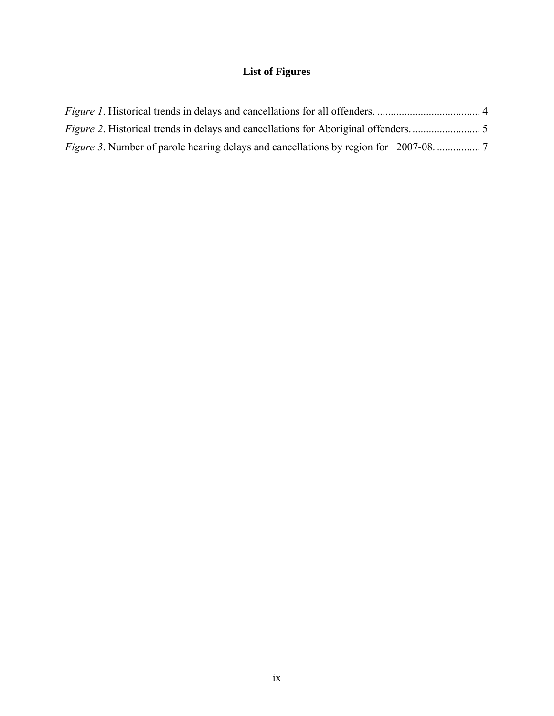# **List of Figures**

<span id="page-9-0"></span>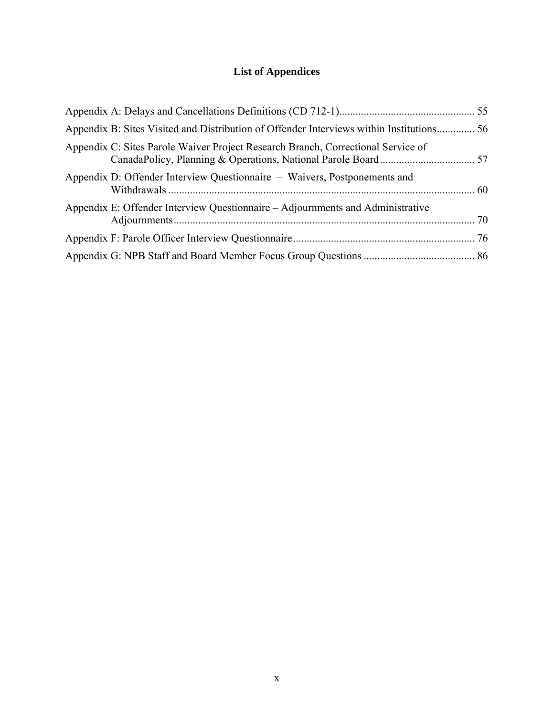# **List of Appendices**

<span id="page-10-0"></span>

| Appendix B: Sites Visited and Distribution of Offender Interviews within Institutions 56 |  |
|------------------------------------------------------------------------------------------|--|
| Appendix C: Sites Parole Waiver Project Research Branch, Correctional Service of         |  |
| Appendix D: Offender Interview Questionnaire – Waivers, Postponements and                |  |
| Appendix E: Offender Interview Questionnaire – Adjournments and Administrative           |  |
|                                                                                          |  |
|                                                                                          |  |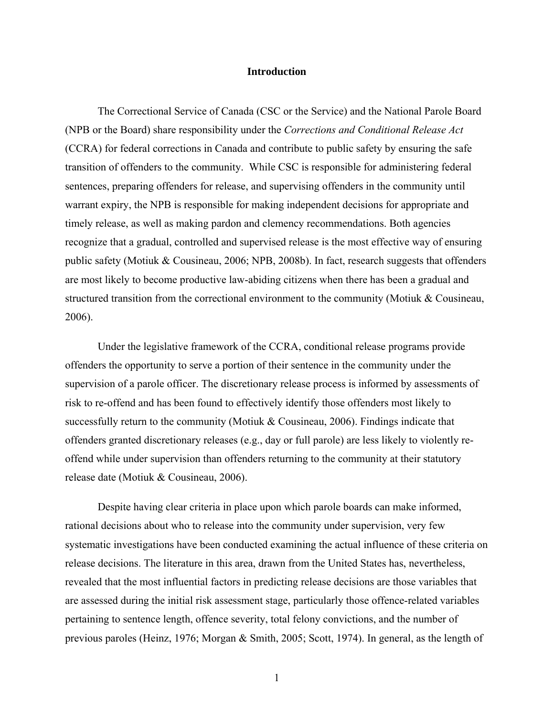#### **Introduction**

<span id="page-11-0"></span>The Correctional Service of Canada (CSC or the Service) and the National Parole Board (NPB or the Board) share responsibility under the *Corrections and Conditional Release Act*  (CCRA) for federal corrections in Canada and contribute to public safety by ensuring the safe transition of offenders to the community. While CSC is responsible for administering federal sentences, preparing offenders for release, and supervising offenders in the community until warrant expiry, the NPB is responsible for making independent decisions for appropriate and timely release, as well as making pardon and clemency recommendations. Both agencies recognize that a gradual, controlled and supervised release is the most effective way of ensuring public safety (Motiuk & Cousineau, 2006; NPB, 2008b). In fact, research suggests that offenders are most likely to become productive law-abiding citizens when there has been a gradual and structured transition from the correctional environment to the community (Motiuk & Cousineau, 2006).

Under the legislative framework of the CCRA, conditional release programs provide offenders the opportunity to serve a portion of their sentence in the community under the supervision of a parole officer. The discretionary release process is informed by assessments of risk to re-offend and has been found to effectively identify those offenders most likely to successfully return to the community (Motiuk & Cousineau, 2006). Findings indicate that offenders granted discretionary releases (e.g., day or full parole) are less likely to violently reoffend while under supervision than offenders returning to the community at their statutory release date (Motiuk & Cousineau, 2006).

Despite having clear criteria in place upon which parole boards can make informed, rational decisions about who to release into the community under supervision, very few systematic investigations have been conducted examining the actual influence of these criteria on release decisions. The literature in this area, drawn from the United States has, nevertheless, revealed that the most influential factors in predicting release decisions are those variables that are assessed during the initial risk assessment stage, particularly those offence-related variables pertaining to sentence length, offence severity, total felony convictions, and the number of previous paroles (Heinz, 1976; Morgan & Smith, 2005; Scott, 1974). In general, as the length of

1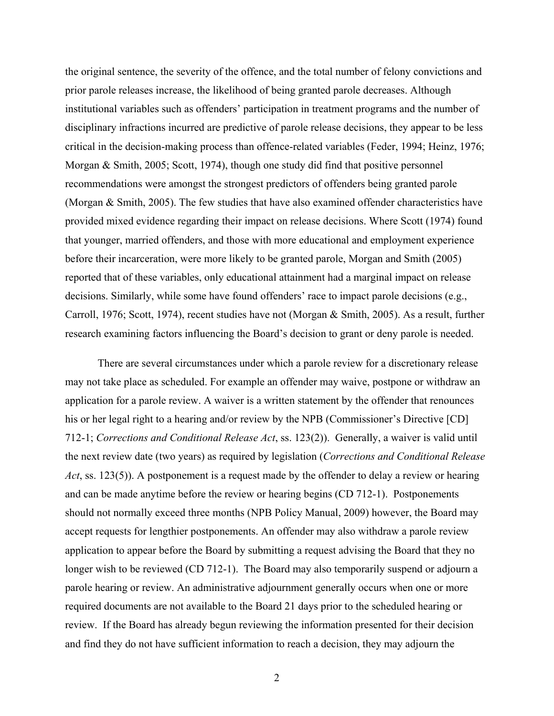the original sentence, the severity of the offence, and the total number of felony convictions and prior parole releases increase, the likelihood of being granted parole decreases. Although institutional variables such as offenders' participation in treatment programs and the number of disciplinary infractions incurred are predictive of parole release decisions, they appear to be less critical in the decision-making process than offence-related variables (Feder, 1994; Heinz, 1976; Morgan & Smith, 2005; Scott, 1974), though one study did find that positive personnel recommendations were amongst the strongest predictors of offenders being granted parole (Morgan & Smith, 2005). The few studies that have also examined offender characteristics have provided mixed evidence regarding their impact on release decisions. Where Scott (1974) found that younger, married offenders, and those with more educational and employment experience before their incarceration, were more likely to be granted parole, Morgan and Smith (2005) reported that of these variables, only educational attainment had a marginal impact on release decisions. Similarly, while some have found offenders' race to impact parole decisions (e.g., Carroll, 1976; Scott, 1974), recent studies have not (Morgan & Smith, 2005). As a result, further research examining factors influencing the Board's decision to grant or deny parole is needed.

There are several circumstances under which a parole review for a discretionary release may not take place as scheduled. For example an offender may waive, postpone or withdraw an application for a parole review. A waiver is a written statement by the offender that renounces his or her legal right to a hearing and/or review by the NPB (Commissioner's Directive [CD] 712-1; *Corrections and Conditional Release Act*, ss. 123(2)). Generally, a waiver is valid until the next review date (two years) as required by legislation (*Corrections and Conditional Release Act*, ss. 123(5)). A postponement is a request made by the offender to delay a review or hearing and can be made anytime before the review or hearing begins (CD 712-1). Postponements should not normally exceed three months (NPB Policy Manual, 2009) however, the Board may accept requests for lengthier postponements. An offender may also withdraw a parole review application to appear before the Board by submitting a request advising the Board that they no longer wish to be reviewed (CD 712-1). The Board may also temporarily suspend or adjourn a parole hearing or review. An administrative adjournment generally occurs when one or more required documents are not available to the Board 21 days prior to the scheduled hearing or review. If the Board has already begun reviewing the information presented for their decision and find they do not have sufficient information to reach a decision, they may adjourn the

2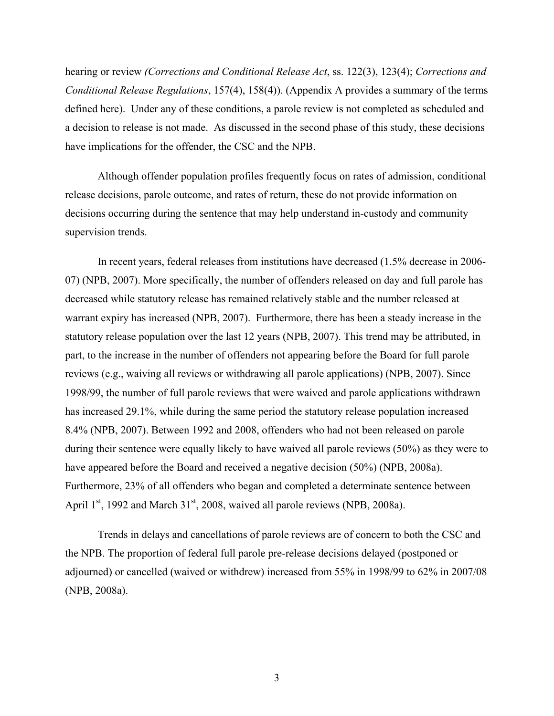hearing or review *(Corrections and Conditional Release Act*, ss. 122(3), 123(4); *Corrections and Conditional Release Regulations*, 157(4), 158(4)). (Appendix A provides a summary of the terms defined here). Under any of these conditions, a parole review is not completed as scheduled and a decision to release is not made. As discussed in the second phase of this study, these decisions have implications for the offender, the CSC and the NPB.

Although offender population profiles frequently focus on rates of admission, conditional release decisions, parole outcome, and rates of return, these do not provide information on decisions occurring during the sentence that may help understand in-custody and community supervision trends.

In recent years, federal releases from institutions have decreased (1.5% decrease in 2006- 07) (NPB, 2007). More specifically, the number of offenders released on day and full parole has decreased while statutory release has remained relatively stable and the number released at warrant expiry has increased (NPB, 2007). Furthermore, there has been a steady increase in the statutory release population over the last 12 years (NPB, 2007). This trend may be attributed, in part, to the increase in the number of offenders not appearing before the Board for full parole reviews (e.g., waiving all reviews or withdrawing all parole applications) (NPB, 2007). Since 1998/99, the number of full parole reviews that were waived and parole applications withdrawn has increased 29.1%, while during the same period the statutory release population increased 8.4% (NPB, 2007). Between 1992 and 2008, offenders who had not been released on parole during their sentence were equally likely to have waived all parole reviews (50%) as they were to have appeared before the Board and received a negative decision (50%) (NPB, 2008a). Furthermore, 23% of all offenders who began and completed a determinate sentence between April  $1<sup>st</sup>$ , 1992 and March  $31<sup>st</sup>$ , 2008, waived all parole reviews (NPB, 2008a).

Trends in delays and cancellations of parole reviews are of concern to both the CSC and the NPB. The proportion of federal full parole pre-release decisions delayed (postponed or adjourned) or cancelled (waived or withdrew) increased from 55% in 1998/99 to 62% in 2007/08 (NPB, 2008a).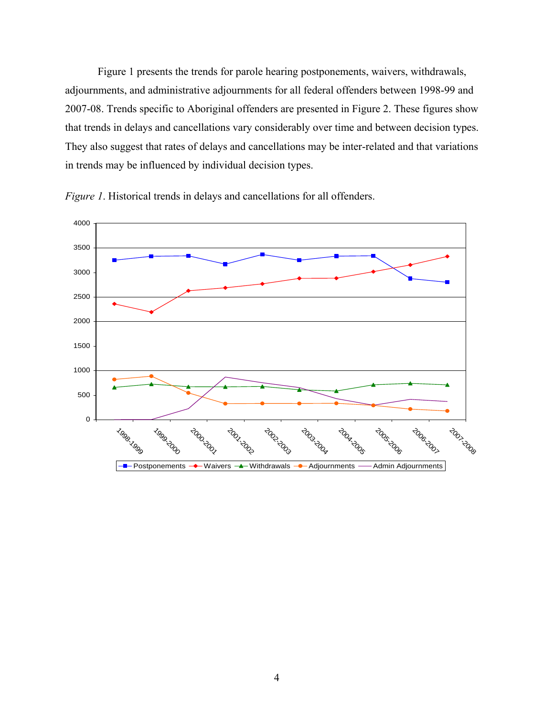<span id="page-14-0"></span>[Figure 1](#page-14-1) presents the trends for parole hearing postponements, waivers, withdrawals, adjournments, and administrative adjournments for all federal offenders between 1998-99 and 2007-08. Trends specific to Aboriginal offenders are presented in [Figure 2](#page-15-1). These figures show that trends in delays and cancellations vary considerably over time and between decision types. They also suggest that rates of delays and cancellations may be inter-related and that variations in trends may be influenced by individual decision types.

<span id="page-14-1"></span>

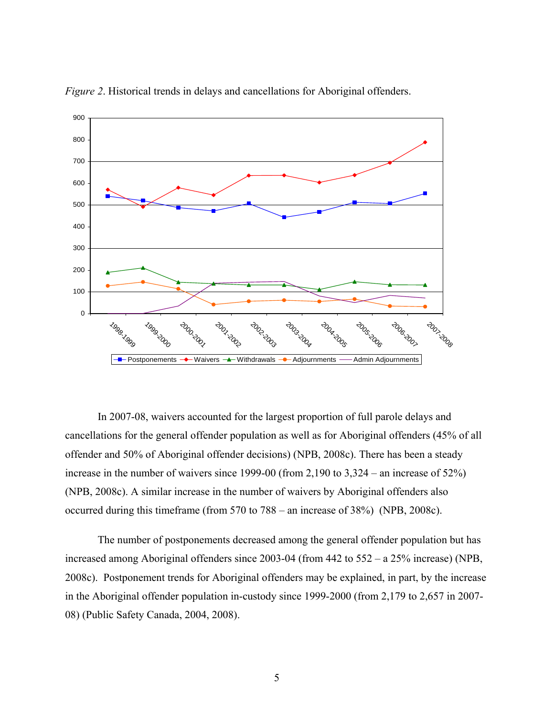<span id="page-15-1"></span>

<span id="page-15-0"></span>*Figure 2*. Historical trends in delays and cancellations for Aboriginal offenders.

In 2007-08, waivers accounted for the largest proportion of full parole delays and cancellations for the general offender population as well as for Aboriginal offenders (45% of all offender and 50% of Aboriginal offender decisions) (NPB, 2008c). There has been a steady increase in the number of waivers since 1999-00 (from 2,190 to 3,324 – an increase of 52%) (NPB, 2008c). A similar increase in the number of waivers by Aboriginal offenders also occurred during this timeframe (from 570 to 788 – an increase of 38%) (NPB, 2008c).

The number of postponements decreased among the general offender population but has increased among Aboriginal offenders since 2003-04 (from 442 to 552 – a 25% increase) (NPB, 2008c). Postponement trends for Aboriginal offenders may be explained, in part, by the increase in the Aboriginal offender population in-custody since 1999-2000 (from 2,179 to 2,657 in 2007- 08) (Public Safety Canada, 2004, 2008).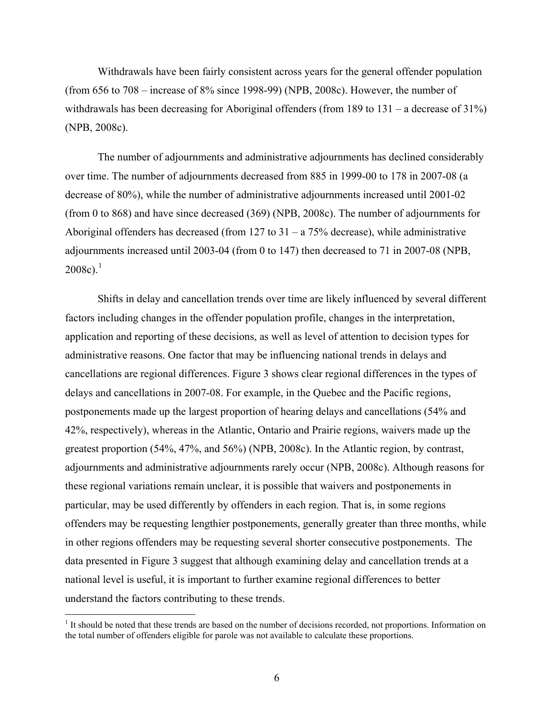Withdrawals have been fairly consistent across years for the general offender population (from 656 to 708 – increase of 8% since 1998-99) (NPB, 2008c). However, the number of withdrawals has been decreasing for Aboriginal offenders (from 189 to 131 – a decrease of 31%) (NPB, 2008c).

The number of adjournments and administrative adjournments has declined considerably over time. The number of adjournments decreased from 885 in 1999-00 to 178 in 2007-08 (a decrease of 80%), while the number of administrative adjournments increased until 2001-02 (from 0 to 868) and have since decreased (369) (NPB, 2008c). The number of adjournments for Aboriginal offenders has decreased (from 127 to  $31 - a$  75% decrease), while administrative adjournments increased until 2003-04 (from 0 to 147) then decreased to 71 in 2007-08 (NPB,  $2008c$ ).<sup>[1](#page-16-0)</sup>

Shifts in delay and cancellation trends over time are likely influenced by several different factors including changes in the offender population profile, changes in the interpretation, application and reporting of these decisions, as well as level of attention to decision types for administrative reasons. One factor that may be influencing national trends in delays and cancellations are regional differences. [Figure 3](#page-17-1) shows clear regional differences in the types of delays and cancellations in 2007-08. For example, in the Quebec and the Pacific regions, postponements made up the largest proportion of hearing delays and cancellations (54% and 42%, respectively), whereas in the Atlantic, Ontario and Prairie regions, waivers made up the greatest proportion (54%, 47%, and 56%) (NPB, 2008c). In the Atlantic region, by contrast, adjournments and administrative adjournments rarely occur (NPB, 2008c). Although reasons for these regional variations remain unclear, it is possible that waivers and postponements in particular, may be used differently by offenders in each region. That is, in some regions offenders may be requesting lengthier postponements, generally greater than three months, while in other regions offenders may be requesting several shorter consecutive postponements. The data presented in [Figure 3](#page-17-1) suggest that although examining delay and cancellation trends at a national level is useful, it is important to further examine regional differences to better understand the factors contributing to these trends.

1

<span id="page-16-0"></span><sup>&</sup>lt;sup>1</sup> It should be noted that these trends are based on the number of decisions recorded, not proportions. Information on the total number of offenders eligible for parole was not available to calculate these proportions.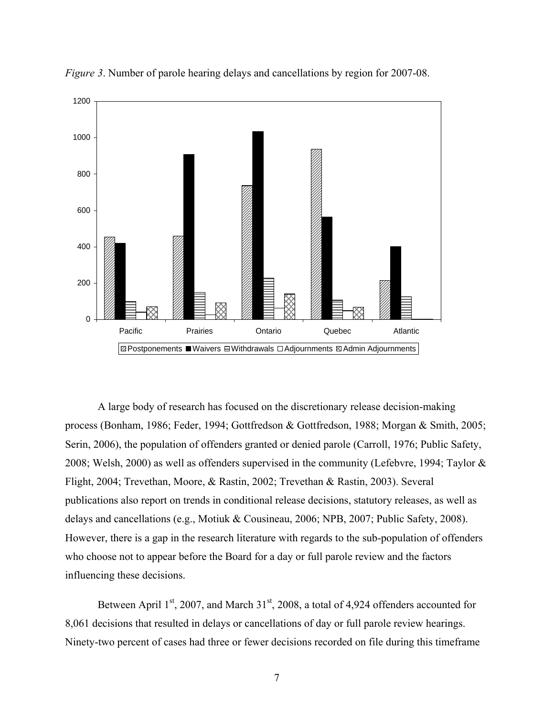<span id="page-17-1"></span>

<span id="page-17-0"></span>*Figure 3*. Number of parole hearing delays and cancellations by region for 2007-08.

A large body of research has focused on the discretionary release decision-making process (Bonham, 1986; Feder, 1994; Gottfredson & Gottfredson, 1988; Morgan & Smith, 2005; Serin, 2006), the population of offenders granted or denied parole (Carroll, 1976; Public Safety, 2008; Welsh, 2000) as well as offenders supervised in the community (Lefebvre, 1994; Taylor & Flight, 2004; Trevethan, Moore, & Rastin, 2002; Trevethan & Rastin, 2003). Several publications also report on trends in conditional release decisions, statutory releases, as well as delays and cancellations (e.g., Motiuk & Cousineau, 2006; NPB, 2007; Public Safety, 2008). However, there is a gap in the research literature with regards to the sub-population of offenders who choose not to appear before the Board for a day or full parole review and the factors influencing these decisions.

Between April  $1<sup>st</sup>$ , 2007, and March  $31<sup>st</sup>$ , 2008, a total of 4,924 offenders accounted for 8,061 decisions that resulted in delays or cancellations of day or full parole review hearings. Ninety-two percent of cases had three or fewer decisions recorded on file during this timeframe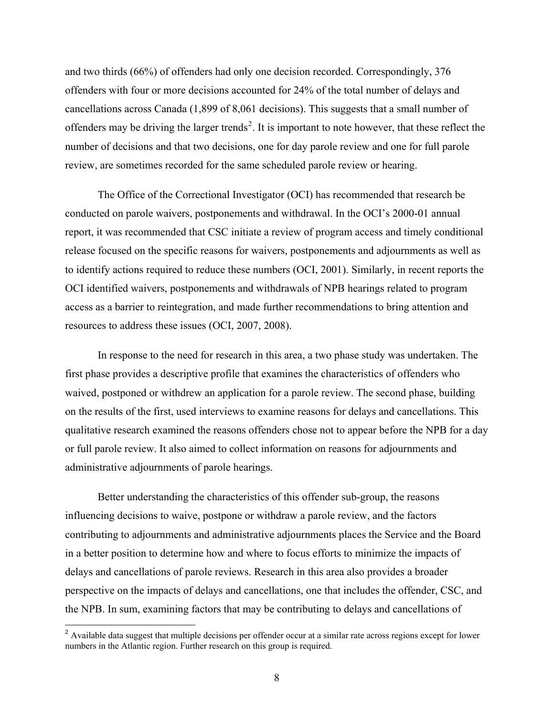and two thirds (66%) of offenders had only one decision recorded. Correspondingly, 376 offenders with four or more decisions accounted for 24% of the total number of delays and cancellations across Canada (1,899 of 8,061 decisions). This suggests that a small number of offenders may be driving the larger trends<sup>[2](#page-18-0)</sup>. It is important to note however, that these reflect the number of decisions and that two decisions, one for day parole review and one for full parole review, are sometimes recorded for the same scheduled parole review or hearing.

The Office of the Correctional Investigator (OCI) has recommended that research be conducted on parole waivers, postponements and withdrawal. In the OCI's 2000-01 annual report, it was recommended that CSC initiate a review of program access and timely conditional release focused on the specific reasons for waivers, postponements and adjournments as well as to identify actions required to reduce these numbers (OCI, 2001). Similarly, in recent reports the OCI identified waivers, postponements and withdrawals of NPB hearings related to program access as a barrier to reintegration, and made further recommendations to bring attention and resources to address these issues (OCI, 2007, 2008).

In response to the need for research in this area, a two phase study was undertaken. The first phase provides a descriptive profile that examines the characteristics of offenders who waived, postponed or withdrew an application for a parole review. The second phase, building on the results of the first, used interviews to examine reasons for delays and cancellations. This qualitative research examined the reasons offenders chose not to appear before the NPB for a day or full parole review. It also aimed to collect information on reasons for adjournments and administrative adjournments of parole hearings.

Better understanding the characteristics of this offender sub-group, the reasons influencing decisions to waive, postpone or withdraw a parole review, and the factors contributing to adjournments and administrative adjournments places the Service and the Board in a better position to determine how and where to focus efforts to minimize the impacts of delays and cancellations of parole reviews. Research in this area also provides a broader perspective on the impacts of delays and cancellations, one that includes the offender, CSC, and the NPB. In sum, examining factors that may be contributing to delays and cancellations of

 $\overline{a}$ 

<span id="page-18-0"></span> $2$  Available data suggest that multiple decisions per offender occur at a similar rate across regions except for lower numbers in the Atlantic region. Further research on this group is required.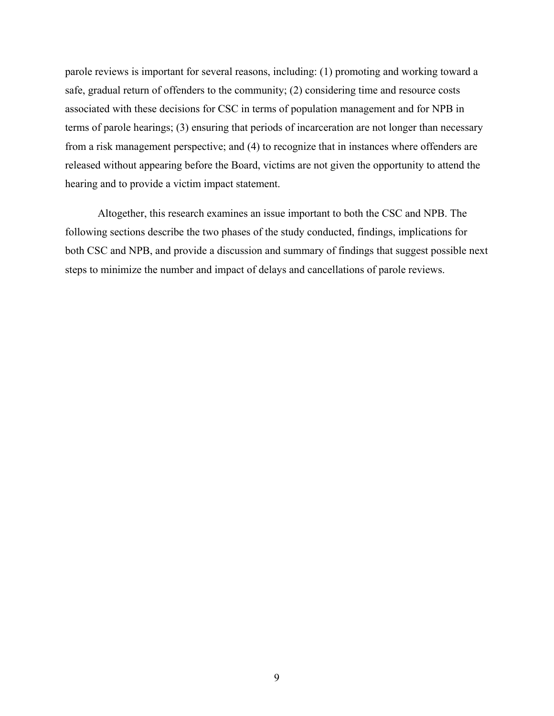parole reviews is important for several reasons, including: (1) promoting and working toward a safe, gradual return of offenders to the community; (2) considering time and resource costs associated with these decisions for CSC in terms of population management and for NPB in terms of parole hearings; (3) ensuring that periods of incarceration are not longer than necessary from a risk management perspective; and (4) to recognize that in instances where offenders are released without appearing before the Board, victims are not given the opportunity to attend the hearing and to provide a victim impact statement.

Altogether, this research examines an issue important to both the CSC and NPB. The following sections describe the two phases of the study conducted, findings, implications for both CSC and NPB, and provide a discussion and summary of findings that suggest possible next steps to minimize the number and impact of delays and cancellations of parole reviews.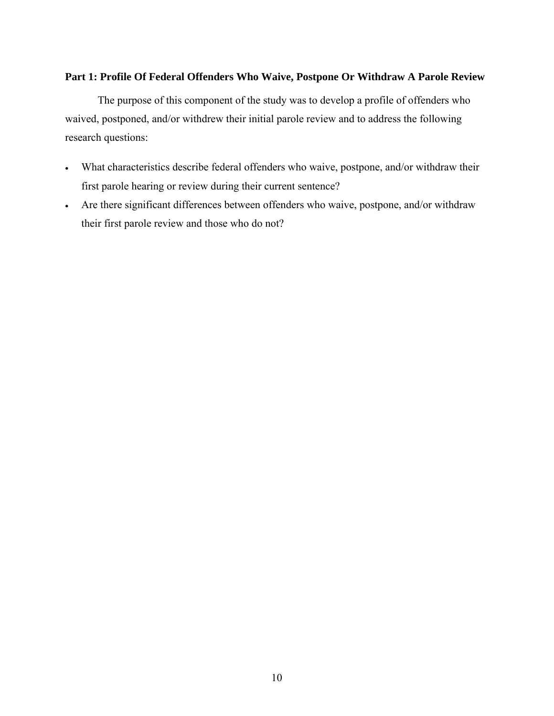# <span id="page-20-0"></span>**Part 1: Profile Of Federal Offenders Who Waive, Postpone Or Withdraw A Parole Review**

The purpose of this component of the study was to develop a profile of offenders who waived, postponed, and/or withdrew their initial parole review and to address the following research questions:

- What characteristics describe federal offenders who waive, postpone, and/or withdraw their first parole hearing or review during their current sentence?
- Are there significant differences between offenders who waive, postpone, and/or withdraw their first parole review and those who do not?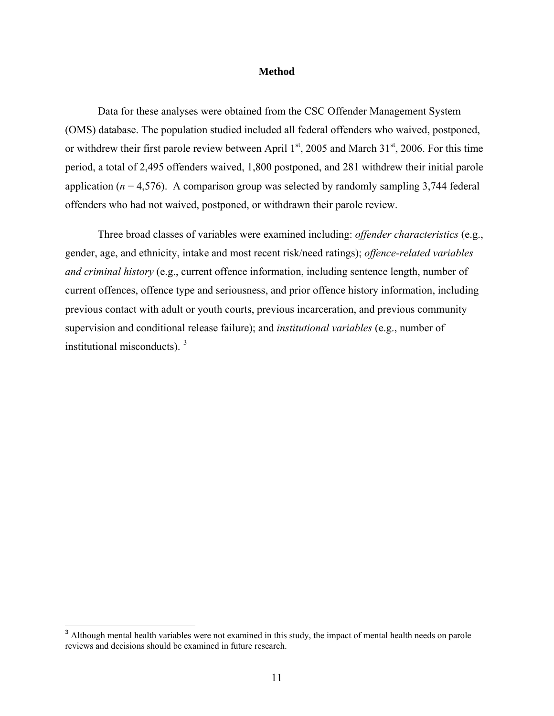#### **Method**

<span id="page-21-0"></span>Data for these analyses were obtained from the CSC Offender Management System (OMS) database. The population studied included all federal offenders who waived, postponed, or withdrew their first parole review between April  $1<sup>st</sup>$ , 2005 and March 31 $<sup>st</sup>$ , 2006. For this time</sup> period, a total of 2,495 offenders waived, 1,800 postponed, and 281 withdrew their initial parole application ( $n = 4,576$ ). A comparison group was selected by randomly sampling 3,744 federal offenders who had not waived, postponed, or withdrawn their parole review.

Three broad classes of variables were examined including: *offender characteristics* (e.g., gender, age, and ethnicity, intake and most recent risk/need ratings); *offence-related variables and criminal history* (e.g., current offence information, including sentence length, number of current offences, offence type and seriousness, and prior offence history information, including previous contact with adult or youth courts, previous incarceration, and previous community supervision and conditional release failure); and *institutional variables* (e.g., number of institutional misconducts).  $3\overline{)}$  $3\overline{)}$ 

 $\overline{a}$ 

<span id="page-21-1"></span> $3$  Although mental health variables were not examined in this study, the impact of mental health needs on parole reviews and decisions should be examined in future research.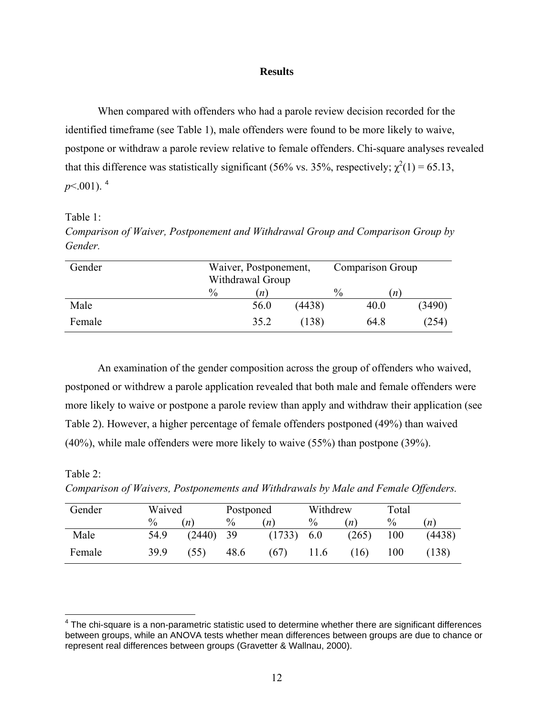#### **Results**

<span id="page-22-0"></span>When compared with offenders who had a parole review decision recorded for the identified timeframe (see [Table 1\)](#page-22-2), male offenders were found to be more likely to waive, postpone or withdraw a parole review relative to female offenders. Chi-square analyses revealed that this difference was statistically significant (56% vs. 35%, respectively;  $\chi^2(1) = 65.13$ ,  $p<.001$ ). <sup>[4](#page-22-1)</sup>

<span id="page-22-2"></span>Table 1:

*Comparison of Waiver, Postponement and Withdrawal Group and Comparison Group by Gender.* 

| Gender | Waiver, Postponement,<br>Withdrawal Group |                     |        | Comparison Group |                     |        |
|--------|-------------------------------------------|---------------------|--------|------------------|---------------------|--------|
|        | $\frac{0}{0}$                             | $\lfloor n \rfloor$ |        | $\frac{0}{0}$    | $\lfloor n \rfloor$ |        |
| Male   |                                           | 56.0                | (4438) |                  | 40.0                | (3490) |
| Female |                                           | 35.2                | (138)  |                  | 64.8                | (254)  |

An examination of the gender composition across the group of offenders who waived, postponed or withdrew a parole application revealed that both male and female offenders were more likely to waive or postpone a parole review than apply and withdraw their application (see [Table 2](#page-22-3)). However, a higher percentage of female offenders postponed (49%) than waived (40%), while male offenders were more likely to waive (55%) than postpone (39%).

# <span id="page-22-3"></span>Table 2:

 $\overline{a}$ 

*Comparison of Waivers, Postponements and Withdrawals by Male and Female Offenders.*

| Gender | Waived |        | Postponed |                     | Withdrew |       | Total         |        |
|--------|--------|--------|-----------|---------------------|----------|-------|---------------|--------|
|        | $\%$   | n      | $\%$      | $\lfloor n \rfloor$ | $\%$     | n     | $\frac{0}{0}$ | n)     |
| Male   | 54.9   | (2440) | -39       | (1733)              | 6.0      | (265) | 100           | (4438) |
| Female | 39.9   | (55)   | 48.6      | (67)                | 11.6     | (16)  | $00\,$        | (138)  |

<span id="page-22-1"></span> $4$  The chi-square is a non-parametric statistic used to determine whether there are significant differences between groups, while an ANOVA tests whether mean differences between groups are due to chance or represent real differences between groups (Gravetter & Wallnau, 2000).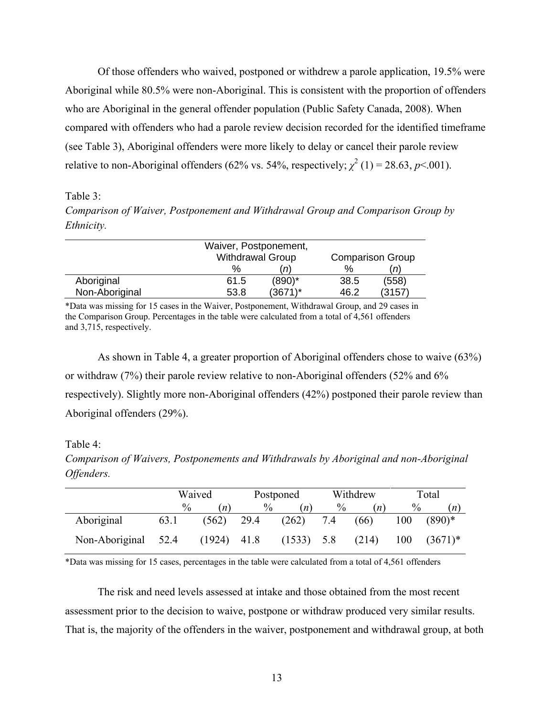<span id="page-23-0"></span>Of those offenders who waived, postponed or withdrew a parole application, 19.5% were Aboriginal while 80.5% were non-Aboriginal. This is consistent with the proportion of offenders who are Aboriginal in the general offender population (Public Safety Canada, 2008). When compared with offenders who had a parole review decision recorded for the identified timeframe (see [Table 3\)](#page-23-1), Aboriginal offenders were more likely to delay or cancel their parole review relative to non-Aboriginal offenders (62% vs. 54%, respectively;  $\chi^2$  (1) = 28.63, *p*<.001).

<span id="page-23-1"></span>Table 3:

*Comparison of Waiver, Postponement and Withdrawal Group and Comparison Group by Ethnicity.* 

|                | Waiver, Postponement,<br><b>Withdrawal Group</b><br><b>Comparison Group</b> |           |      |       |  |  |
|----------------|-----------------------------------------------------------------------------|-----------|------|-------|--|--|
|                | $\%$                                                                        | n)        | $\%$ | (n    |  |  |
| Aboriginal     | 61.5                                                                        | $(890)^*$ | 38.5 | (558) |  |  |
| Non-Aboriginal | 53.8                                                                        | (3671)*   | 46.2 | (3157 |  |  |

\*Data was missing for 15 cases in the Waiver, Postponement, Withdrawal Group, and 29 cases in the Comparison Group. Percentages in the table were calculated from a total of 4,561 offenders and 3,715, respectively.

As shown in [Table 4](#page-23-2), a greater proportion of Aboriginal offenders chose to waive (63%) or withdraw (7%) their parole review relative to non-Aboriginal offenders (52% and 6% respectively). Slightly more non-Aboriginal offenders (42%) postponed their parole review than Aboriginal offenders (29%).

<span id="page-23-2"></span>Table 4:

*Comparison of Waivers, Postponements and Withdrawals by Aboriginal and non-Aboriginal Offenders.* 

|                | Waived |        |      | Postponed           |      | Withdrew         | Total |            |
|----------------|--------|--------|------|---------------------|------|------------------|-------|------------|
|                | $\%$   | n)     | $\%$ | $\lfloor n \rfloor$ | $\%$ | $\boldsymbol{n}$ | $\%$  | (n)        |
| Aboriginal     | 63.1   | (562)  | 29.4 | (262)               | 7.4  | (66)             | 100   | $(890)*$   |
| Non-Aboriginal | 52.4   | (1924) | 41.8 | (1533)              | 5.8  | (214)            | 100   | $(3671)^*$ |

\*Data was missing for 15 cases, percentages in the table were calculated from a total of 4,561 offenders

The risk and need levels assessed at intake and those obtained from the most recent assessment prior to the decision to waive, postpone or withdraw produced very similar results. That is, the majority of the offenders in the waiver, postponement and withdrawal group, at both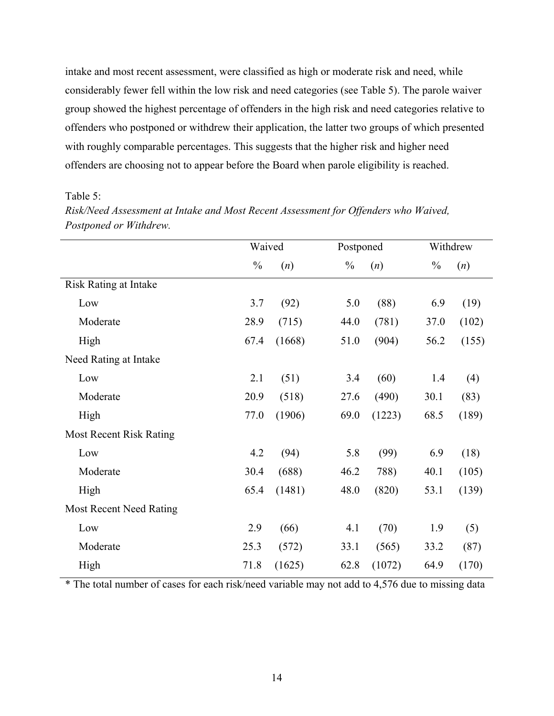<span id="page-24-0"></span>intake and most recent assessment, were classified as high or moderate risk and need, while considerably fewer fell within the low risk and need categories (see [Table 5](#page-24-1)). The parole waiver group showed the highest percentage of offenders in the high risk and need categories relative to offenders who postponed or withdrew their application, the latter two groups of which presented with roughly comparable percentages. This suggests that the higher risk and higher need offenders are choosing not to appear before the Board when parole eligibility is reached.

<span id="page-24-1"></span>Table 5:

|                                | Waived        |        | Postponed     |        | Withdrew      |       |
|--------------------------------|---------------|--------|---------------|--------|---------------|-------|
|                                |               |        |               |        |               |       |
|                                | $\frac{0}{0}$ | (n)    | $\frac{0}{0}$ | (n)    | $\frac{0}{0}$ | (n)   |
| <b>Risk Rating at Intake</b>   |               |        |               |        |               |       |
| Low                            | 3.7           | (92)   | 5.0           | (88)   | 6.9           | (19)  |
| Moderate                       | 28.9          | (715)  | 44.0          | (781)  | 37.0          | (102) |
| High                           | 67.4          | (1668) | 51.0          | (904)  | 56.2          | (155) |
| Need Rating at Intake          |               |        |               |        |               |       |
| Low                            | 2.1           | (51)   | 3.4           | (60)   | 1.4           | (4)   |
| Moderate                       | 20.9          | (518)  | 27.6          | (490)  | 30.1          | (83)  |
| High                           | 77.0          | (1906) | 69.0          | (1223) | 68.5          | (189) |
| <b>Most Recent Risk Rating</b> |               |        |               |        |               |       |
| Low                            | 4.2           | (94)   | 5.8           | (99)   | 6.9           | (18)  |
| Moderate                       | 30.4          | (688)  | 46.2          | 788)   | 40.1          | (105) |
| High                           | 65.4          | (1481) | 48.0          | (820)  | 53.1          | (139) |
| <b>Most Recent Need Rating</b> |               |        |               |        |               |       |
| Low                            | 2.9           | (66)   | 4.1           | (70)   | 1.9           | (5)   |
| Moderate                       | 25.3          | (572)  | 33.1          | (565)  | 33.2          | (87)  |
| High                           | 71.8          | (1625) | 62.8          | (1072) | 64.9          | (170) |

*Risk/Need Assessment at Intake and Most Recent Assessment for Offenders who Waived, Postponed or Withdrew.* 

\* The total number of cases for each risk/need variable may not add to 4,576 due to missing data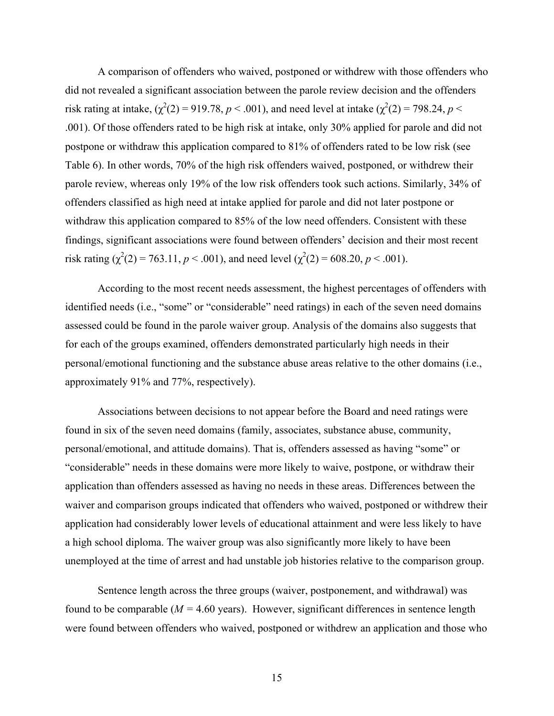A comparison of offenders who waived, postponed or withdrew with those offenders who did not revealed a significant association between the parole review decision and the offenders risk rating at intake,  $(\chi^2(2) = 919.78, p < .001)$ , and need level at intake  $(\chi^2(2) = 798.24, p < .001)$ .001). Of those offenders rated to be high risk at intake, only 30% applied for parole and did not postpone or withdraw this application compared to 81% of offenders rated to be low risk (see [Table 6](#page-27-1)). In other words, 70% of the high risk offenders waived, postponed, or withdrew their parole review, whereas only 19% of the low risk offenders took such actions. Similarly, 34% of offenders classified as high need at intake applied for parole and did not later postpone or withdraw this application compared to 85% of the low need offenders. Consistent with these findings, significant associations were found between offenders' decision and their most recent risk rating ( $\chi^2(2) = 763.11$ ,  $p < .001$ ), and need level ( $\chi^2(2) = 608.20$ ,  $p < .001$ ).

According to the most recent needs assessment, the highest percentages of offenders with identified needs (i.e., "some" or "considerable" need ratings) in each of the seven need domains assessed could be found in the parole waiver group. Analysis of the domains also suggests that for each of the groups examined, offenders demonstrated particularly high needs in their personal/emotional functioning and the substance abuse areas relative to the other domains (i.e., approximately 91% and 77%, respectively).

Associations between decisions to not appear before the Board and need ratings were found in six of the seven need domains (family, associates, substance abuse, community, personal/emotional, and attitude domains). That is, offenders assessed as having "some" or "considerable" needs in these domains were more likely to waive, postpone, or withdraw their application than offenders assessed as having no needs in these areas. Differences between the waiver and comparison groups indicated that offenders who waived, postponed or withdrew their application had considerably lower levels of educational attainment and were less likely to have a high school diploma. The waiver group was also significantly more likely to have been unemployed at the time of arrest and had unstable job histories relative to the comparison group.

Sentence length across the three groups (waiver, postponement, and withdrawal) was found to be comparable  $(M = 4.60 \text{ years})$ . However, significant differences in sentence length were found between offenders who waived, postponed or withdrew an application and those who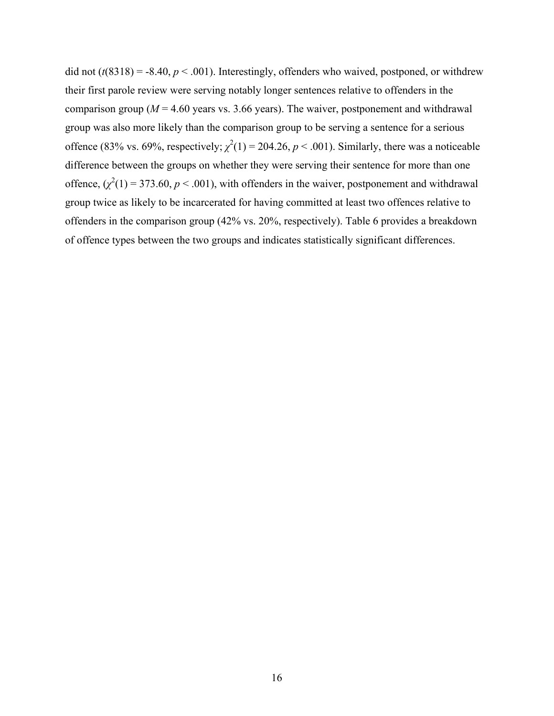did not  $(t(8318) = -8.40, p < .001)$ . Interestingly, offenders who waived, postponed, or withdrew their first parole review were serving notably longer sentences relative to offenders in the comparison group ( $M = 4.60$  years vs. 3.66 years). The waiver, postponement and withdrawal group was also more likely than the comparison group to be serving a sentence for a serious offence (83% vs. 69%, respectively;  $\chi^2(1) = 204.26$ ,  $p < .001$ ). Similarly, there was a noticeable difference between the groups on whether they were serving their sentence for more than one offence,  $(\chi^2(1) = 373.60, p < .001)$ , with offenders in the waiver, postponement and withdrawal group twice as likely to be incarcerated for having committed at least two offences relative to offenders in the comparison group (42% vs. 20%, respectively). [Table 6](#page-27-1) provides a breakdown of offence types between the two groups and indicates statistically significant differences.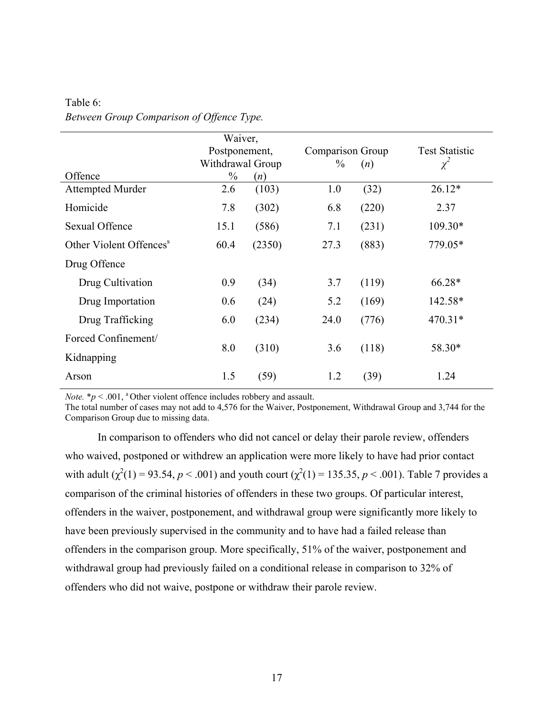|                                     | Waiver,          |        |                  |       |                       |
|-------------------------------------|------------------|--------|------------------|-------|-----------------------|
|                                     | Postponement,    |        | Comparison Group |       | <b>Test Statistic</b> |
|                                     | Withdrawal Group |        | $\%$             | (n)   | $\chi^2$              |
| Offence                             | $\frac{0}{0}$    | (n)    |                  |       |                       |
| <b>Attempted Murder</b>             | 2.6              | (103)  | 1.0              | (32)  | $26.12*$              |
| Homicide                            | 7.8              | (302)  | 6.8              | (220) | 2.37                  |
| Sexual Offence                      | 15.1             | (586)  | 7.1              | (231) | $109.30*$             |
| Other Violent Offences <sup>s</sup> | 60.4             | (2350) | 27.3             | (883) | 779.05*               |
| Drug Offence                        |                  |        |                  |       |                       |
| Drug Cultivation                    | 0.9              | (34)   | 3.7              | (119) | 66.28*                |
| Drug Importation                    | 0.6              | (24)   | 5.2              | (169) | 142.58*               |
| Drug Trafficking                    | 6.0              | (234)  | 24.0             | (776) | $470.31*$             |
| Forced Confinement/                 | 8.0              | (310)  | 3.6              | (118) | 58.30*                |
| Kidnapping                          |                  |        |                  |       |                       |
| Arson                               | 1.5              | (59)   | 1.2              | (39)  | 1.24                  |

<span id="page-27-1"></span><span id="page-27-0"></span>Table 6: *Between Group Comparison of Offence Type.*

*Note.*  $* p < .001$ , <sup>a</sup> Other violent offence includes robbery and assault.

The total number of cases may not add to 4,576 for the Waiver, Postponement, Withdrawal Group and 3,744 for the Comparison Group due to missing data.

In comparison to offenders who did not cancel or delay their parole review, offenders who waived, postponed or withdrew an application were more likely to have had prior contact with adult  $(\chi^2(1) = 93.54, p < .001)$  and youth court  $(\chi^2(1) = 135.35, p < .001)$ . [Table 7](#page-28-1) provides a comparison of the criminal histories of offenders in these two groups. Of particular interest, offenders in the waiver, postponement, and withdrawal group were significantly more likely to have been previously supervised in the community and to have had a failed release than offenders in the comparison group. More specifically, 51% of the waiver, postponement and withdrawal group had previously failed on a conditional release in comparison to 32% of offenders who did not waive, postpone or withdraw their parole review.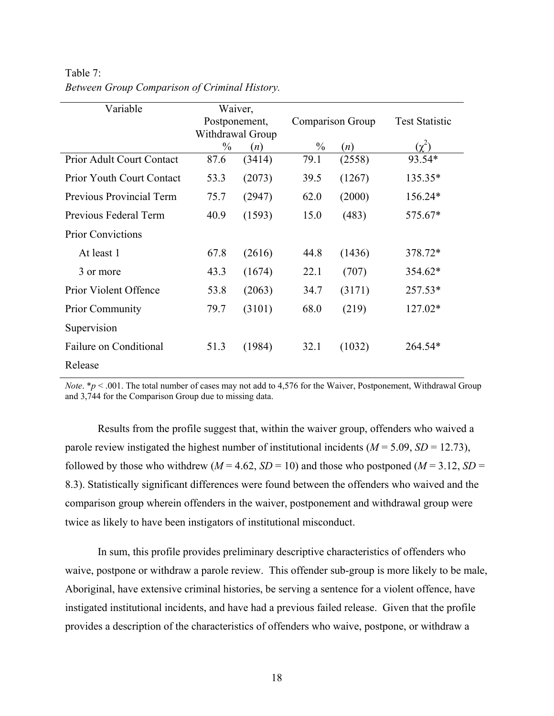| Variable                         | Waiver,       |                  |               |                  |                       |
|----------------------------------|---------------|------------------|---------------|------------------|-----------------------|
|                                  | Postponement, |                  |               | Comparison Group | <b>Test Statistic</b> |
|                                  |               | Withdrawal Group |               |                  |                       |
|                                  | $\frac{0}{0}$ | (n)              | $\frac{0}{0}$ | (n)              | $(\gamma^2)$          |
| <b>Prior Adult Court Contact</b> | 87.6          | (3414)           | 79.1          | (2558)           | 93.54*                |
| Prior Youth Court Contact        | 53.3          | (2073)           | 39.5          | (1267)           | 135.35*               |
| <b>Previous Provincial Term</b>  | 75.7          | (2947)           | 62.0          | (2000)           | 156.24*               |
| Previous Federal Term            | 40.9          | (1593)           | 15.0          | (483)            | 575.67*               |
| <b>Prior Convictions</b>         |               |                  |               |                  |                       |
| At least 1                       | 67.8          | (2616)           | 44.8          | (1436)           | 378.72*               |
| 3 or more                        | 43.3          | (1674)           | 22.1          | (707)            | 354.62*               |
| Prior Violent Offence            | 53.8          | (2063)           | 34.7          | (3171)           | 257.53*               |
| <b>Prior Community</b>           | 79.7          | (3101)           | 68.0          | (219)            | 127.02*               |
| Supervision                      |               |                  |               |                  |                       |
| Failure on Conditional           | 51.3          | (1984)           | 32.1          | (1032)           | 264.54*               |
| Release                          |               |                  |               |                  |                       |

<span id="page-28-1"></span><span id="page-28-0"></span>Table 7: *Between Group Comparison of Criminal History.*

*Note*. \**p* < .001. The total number of cases may not add to 4,576 for the Waiver, Postponement, Withdrawal Group and 3,744 for the Comparison Group due to missing data.

Results from the profile suggest that, within the waiver group, offenders who waived a parole review instigated the highest number of institutional incidents  $(M = 5.09, SD = 12.73)$ , followed by those who withdrew  $(M = 4.62, SD = 10)$  and those who postponed  $(M = 3.12, SD = 10)$ 8.3). Statistically significant differences were found between the offenders who waived and the comparison group wherein offenders in the waiver, postponement and withdrawal group were twice as likely to have been instigators of institutional misconduct.

In sum, this profile provides preliminary descriptive characteristics of offenders who waive, postpone or withdraw a parole review. This offender sub-group is more likely to be male, Aboriginal, have extensive criminal histories, be serving a sentence for a violent offence, have instigated institutional incidents, and have had a previous failed release. Given that the profile provides a description of the characteristics of offenders who waive, postpone, or withdraw a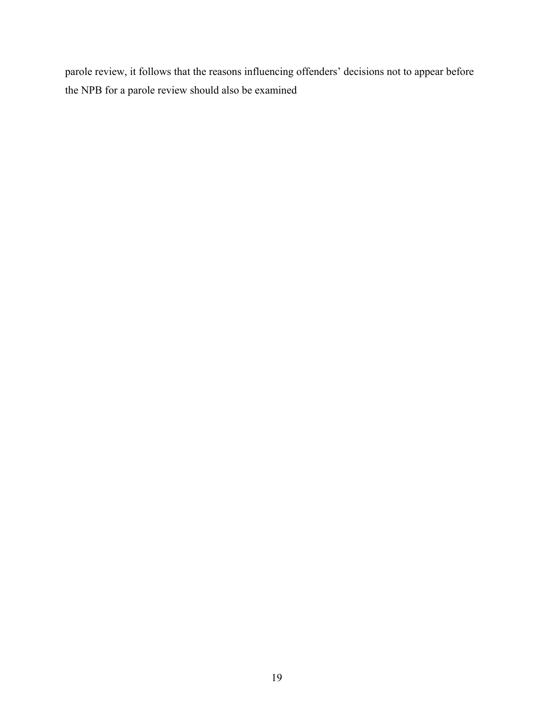parole review, it follows that the reasons influencing offenders' decisions not to appear before the NPB for a parole review should also be examined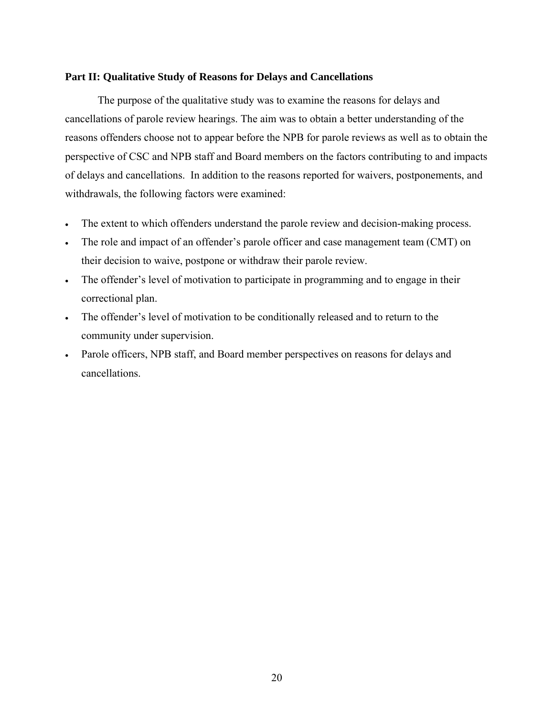# <span id="page-30-0"></span>**Part II: Qualitative Study of Reasons for Delays and Cancellations**

The purpose of the qualitative study was to examine the reasons for delays and cancellations of parole review hearings. The aim was to obtain a better understanding of the reasons offenders choose not to appear before the NPB for parole reviews as well as to obtain the perspective of CSC and NPB staff and Board members on the factors contributing to and impacts of delays and cancellations. In addition to the reasons reported for waivers, postponements, and withdrawals, the following factors were examined:

- The extent to which offenders understand the parole review and decision-making process.
- The role and impact of an offender's parole officer and case management team (CMT) on their decision to waive, postpone or withdraw their parole review.
- The offender's level of motivation to participate in programming and to engage in their correctional plan.
- The offender's level of motivation to be conditionally released and to return to the community under supervision.
- Parole officers, NPB staff, and Board member perspectives on reasons for delays and cancellations.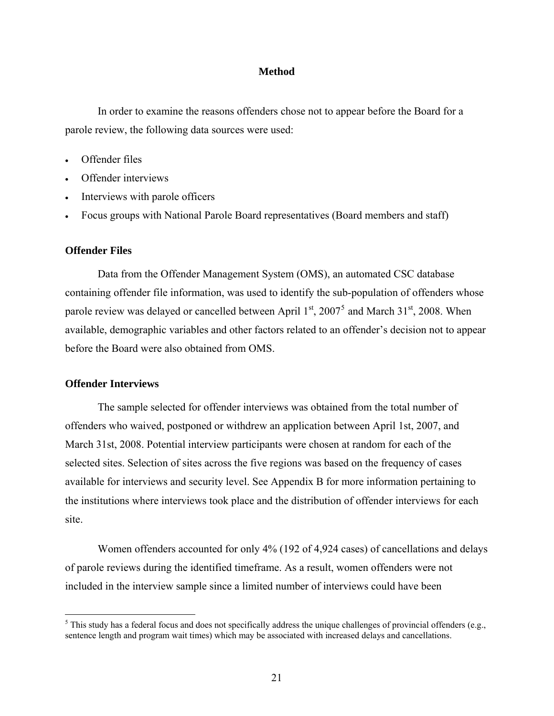### **Method**

<span id="page-31-0"></span>In order to examine the reasons offenders chose not to appear before the Board for a parole review, the following data sources were used:

- Offender files
- Offender interviews
- Interviews with parole officers
- Focus groups with National Parole Board representatives (Board members and staff)

#### **Offender Files**

Data from the Offender Management System (OMS), an automated CSC database containing offender file information, was used to identify the sub-population of offenders whose parole review was delayed or cancelled between April  $1<sup>st</sup>$ , 2007<sup>[5](#page-31-1)</sup> and March 31<sup>st</sup>, 2008. When available, demographic variables and other factors related to an offender's decision not to appear before the Board were also obtained from OMS.

### **Offender Interviews**

 $\overline{a}$ 

The sample selected for offender interviews was obtained from the total number of offenders who waived, postponed or withdrew an application between April 1st, 2007, and March 31st, 2008. Potential interview participants were chosen at random for each of the selected sites. Selection of sites across the five regions was based on the frequency of cases available for interviews and security level. See [Appendix B](#page-66-1) for more information pertaining to the institutions where interviews took place and the distribution of offender interviews for each site.

Women offenders accounted for only 4% (192 of 4,924 cases) of cancellations and delays of parole reviews during the identified timeframe. As a result, women offenders were not included in the interview sample since a limited number of interviews could have been

<span id="page-31-1"></span> $<sup>5</sup>$  This study has a federal focus and does not specifically address the unique challenges of provincial offenders (e.g.,</sup> sentence length and program wait times) which may be associated with increased delays and cancellations.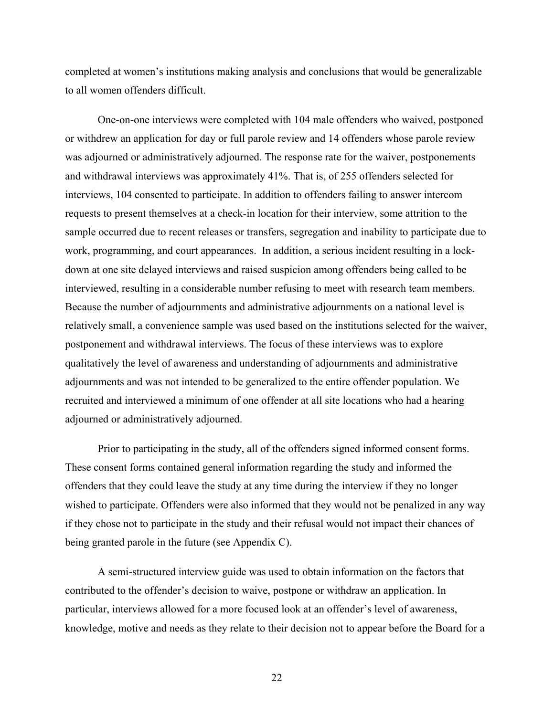completed at women's institutions making analysis and conclusions that would be generalizable to all women offenders difficult.

One-on-one interviews were completed with 104 male offenders who waived, postponed or withdrew an application for day or full parole review and 14 offenders whose parole review was adjourned or administratively adjourned. The response rate for the waiver, postponements and withdrawal interviews was approximately 41%. That is, of 255 offenders selected for interviews, 104 consented to participate. In addition to offenders failing to answer intercom requests to present themselves at a check-in location for their interview, some attrition to the sample occurred due to recent releases or transfers, segregation and inability to participate due to work, programming, and court appearances. In addition, a serious incident resulting in a lockdown at one site delayed interviews and raised suspicion among offenders being called to be interviewed, resulting in a considerable number refusing to meet with research team members. Because the number of adjournments and administrative adjournments on a national level is relatively small, a convenience sample was used based on the institutions selected for the waiver, postponement and withdrawal interviews. The focus of these interviews was to explore qualitatively the level of awareness and understanding of adjournments and administrative adjournments and was not intended to be generalized to the entire offender population. We recruited and interviewed a minimum of one offender at all site locations who had a hearing adjourned or administratively adjourned.

Prior to participating in the study, all of the offenders signed informed consent forms. These consent forms contained general information regarding the study and informed the offenders that they could leave the study at any time during the interview if they no longer wished to participate. Offenders were also informed that they would not be penalized in any way if they chose not to participate in the study and their refusal would not impact their chances of being granted parole in the future (see [Appendix C\)](#page-67-1).

A semi-structured interview guide was used to obtain information on the factors that contributed to the offender's decision to waive, postpone or withdraw an application. In particular, interviews allowed for a more focused look at an offender's level of awareness, knowledge, motive and needs as they relate to their decision not to appear before the Board for a

22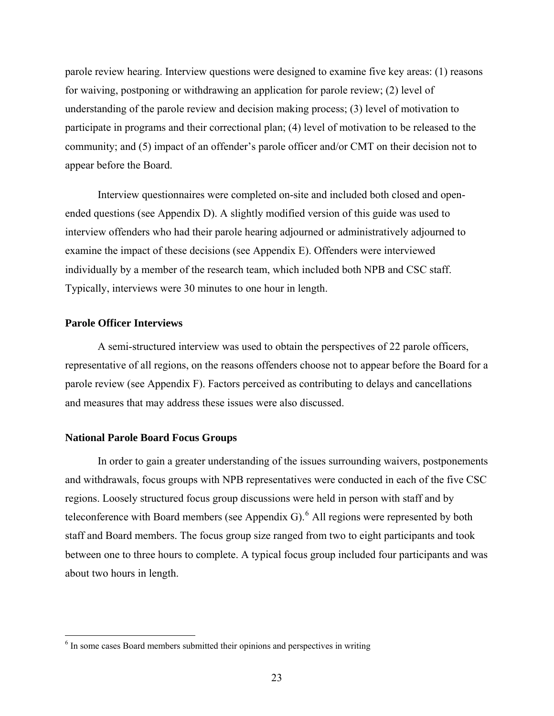<span id="page-33-0"></span>parole review hearing. Interview questions were designed to examine five key areas: (1) reasons for waiving, postponing or withdrawing an application for parole review; (2) level of understanding of the parole review and decision making process; (3) level of motivation to participate in programs and their correctional plan; (4) level of motivation to be released to the community; and (5) impact of an offender's parole officer and/or CMT on their decision not to appear before the Board.

Interview questionnaires were completed on-site and included both closed and openended questions (see [Appendix D](#page-70-1)). A slightly modified version of this guide was used to interview offenders who had their parole hearing adjourned or administratively adjourned to examine the impact of these decisions (see [Appendix E](#page-80-1)). Offenders were interviewed individually by a member of the research team, which included both NPB and CSC staff. Typically, interviews were 30 minutes to one hour in length.

# **Parole Officer Interviews**

 $\overline{a}$ 

A semi-structured interview was used to obtain the perspectives of 22 parole officers, representative of all regions, on the reasons offenders choose not to appear before the Board for a parole review (see [Appendix F\)](#page-86-1). Factors perceived as contributing to delays and cancellations and measures that may address these issues were also discussed.

#### **National Parole Board Focus Groups**

In order to gain a greater understanding of the issues surrounding waivers, postponements and withdrawals, focus groups with NPB representatives were conducted in each of the five CSC regions. Loosely structured focus group discussions were held in person with staff and by teleconference with Board members (see [Appendix G\)](#page-96-1).  $6$  All regions were represented by both staff and Board members. The focus group size ranged from two to eight participants and took between one to three hours to complete. A typical focus group included four participants and was about two hours in length.

<span id="page-33-1"></span><sup>&</sup>lt;sup>6</sup> In some cases Board members submitted their opinions and perspectives in writing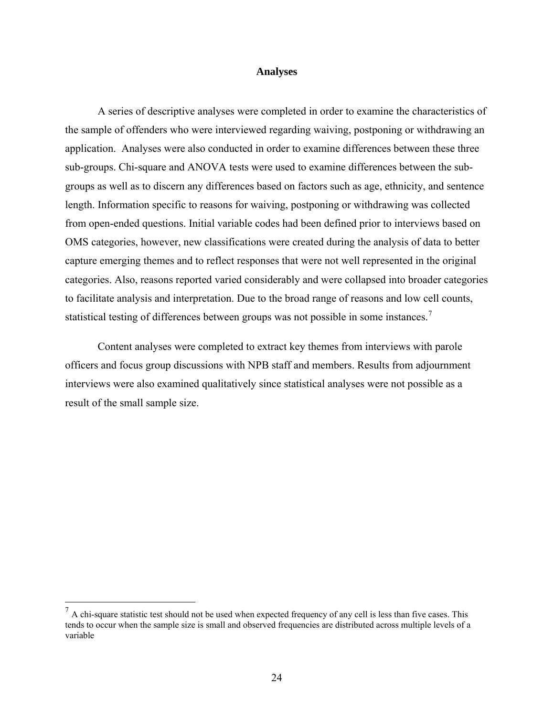#### **Analyses**

<span id="page-34-0"></span>A series of descriptive analyses were completed in order to examine the characteristics of the sample of offenders who were interviewed regarding waiving, postponing or withdrawing an application. Analyses were also conducted in order to examine differences between these three sub-groups. Chi-square and ANOVA tests were used to examine differences between the subgroups as well as to discern any differences based on factors such as age, ethnicity, and sentence length. Information specific to reasons for waiving, postponing or withdrawing was collected from open-ended questions. Initial variable codes had been defined prior to interviews based on OMS categories, however, new classifications were created during the analysis of data to better capture emerging themes and to reflect responses that were not well represented in the original categories. Also, reasons reported varied considerably and were collapsed into broader categories to facilitate analysis and interpretation. Due to the broad range of reasons and low cell counts, statistical testing of differences between groups was not possible in some instances.[7](#page-34-1)

Content analyses were completed to extract key themes from interviews with parole officers and focus group discussions with NPB staff and members. Results from adjournment interviews were also examined qualitatively since statistical analyses were not possible as a result of the small sample size.

 $\overline{a}$ 

<span id="page-34-1"></span> $<sup>7</sup>$  A chi-square statistic test should not be used when expected frequency of any cell is less than five cases. This</sup> tends to occur when the sample size is small and observed frequencies are distributed across multiple levels of a variable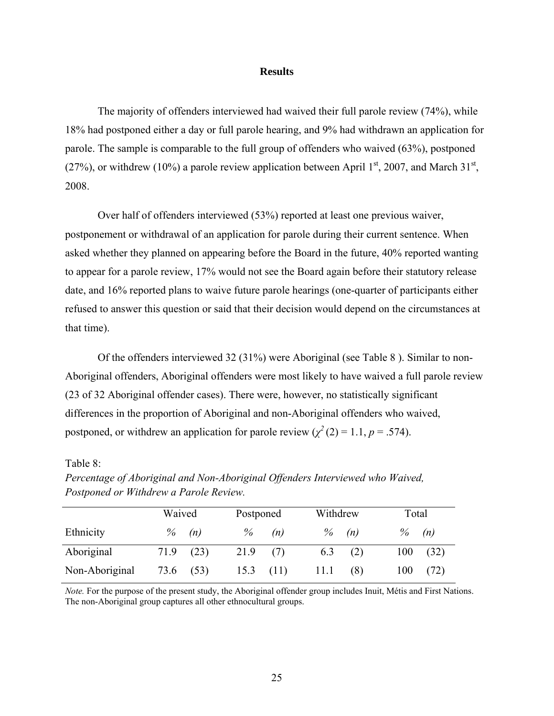#### **Results**

<span id="page-35-0"></span>The majority of offenders interviewed had waived their full parole review (74%), while 18% had postponed either a day or full parole hearing, and 9% had withdrawn an application for parole. The sample is comparable to the full group of offenders who waived (63%), postponed (27%), or withdrew (10%) a parole review application between April  $1<sup>st</sup>$ , 2007, and March  $31<sup>st</sup>$ , 2008.

Over half of offenders interviewed (53%) reported at least one previous waiver, postponement or withdrawal of an application for parole during their current sentence. When asked whether they planned on appearing before the Board in the future, 40% reported wanting to appear for a parole review, 17% would not see the Board again before their statutory release date, and 16% reported plans to waive future parole hearings (one-quarter of participants either refused to answer this question or said that their decision would depend on the circumstances at that time).

Of the offenders interviewed 32 (31%) were Aboriginal (see [Table 8](#page-35-1) ). Similar to non-Aboriginal offenders, Aboriginal offenders were most likely to have waived a full parole review (23 of 32 Aboriginal offender cases). There were, however, no statistically significant differences in the proportion of Aboriginal and non-Aboriginal offenders who waived, postponed, or withdrew an application for parole review  $(\chi^2(2) = 1.1, p = .574)$ .

# <span id="page-35-1"></span>Table 8:

|                | Waived |          | Postponed |     | Withdrew |     | Total |      |
|----------------|--------|----------|-----------|-----|----------|-----|-------|------|
| Ethnicity      |        | $\%$ (n) | $\%$      | (n) | $\%$     | (n) | $\%$  | (n)  |
| Aboriginal     | 71.9   | (23)     | 21.9      |     | 6.3      | (2) | 100   | (32) |
| Non-Aboriginal | 73.6   | (53)     | 15.3      |     |          | (8) | 100   | (72) |

*Percentage of Aboriginal and Non-Aboriginal Offenders Interviewed who Waived, Postponed or Withdrew a Parole Review.* 

*Note.* For the purpose of the present study, the Aboriginal offender group includes Inuit, Métis and First Nations. The non-Aboriginal group captures all other ethnocultural groups.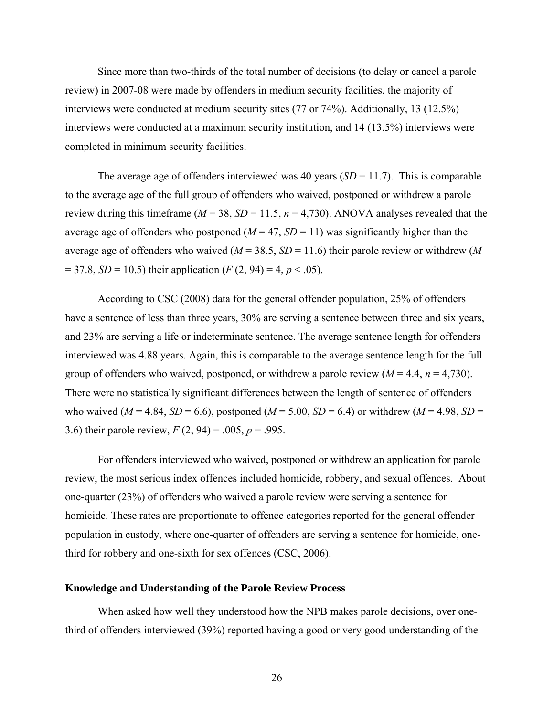Since more than two-thirds of the total number of decisions (to delay or cancel a parole review) in 2007-08 were made by offenders in medium security facilities, the majority of interviews were conducted at medium security sites (77 or 74%). Additionally, 13 (12.5%) interviews were conducted at a maximum security institution, and 14 (13.5%) interviews were completed in minimum security facilities.

The average age of offenders interviewed was 40 years  $(SD = 11.7)$ . This is comparable to the average age of the full group of offenders who waived, postponed or withdrew a parole review during this timeframe ( $M = 38$ ,  $SD = 11.5$ ,  $n = 4,730$ ). ANOVA analyses revealed that the average age of offenders who postponed  $(M = 47, SD = 11)$  was significantly higher than the average age of offenders who waived (*M* = 38.5, *SD* = 11.6) their parole review or withdrew (*M*  $= 37.8, SD = 10.5$ ) their application (*F* (2, 94) = 4, *p* < .05).

According to CSC (2008) data for the general offender population, 25% of offenders have a sentence of less than three years,  $30\%$  are serving a sentence between three and six years, and 23% are serving a life or indeterminate sentence. The average sentence length for offenders interviewed was 4.88 years. Again, this is comparable to the average sentence length for the full group of offenders who waived, postponed, or withdrew a parole review  $(M = 4.4, n = 4,730)$ . There were no statistically significant differences between the length of sentence of offenders who waived ( $M = 4.84$ ,  $SD = 6.6$ ), postponed ( $M = 5.00$ ,  $SD = 6.4$ ) or withdrew ( $M = 4.98$ ,  $SD =$ 3.6) their parole review,  $F(2, 94) = .005$ ,  $p = .995$ .

For offenders interviewed who waived, postponed or withdrew an application for parole review, the most serious index offences included homicide, robbery, and sexual offences. About one-quarter (23%) of offenders who waived a parole review were serving a sentence for homicide. These rates are proportionate to offence categories reported for the general offender population in custody, where one-quarter of offenders are serving a sentence for homicide, onethird for robbery and one-sixth for sex offences (CSC, 2006).

## **Knowledge and Understanding of the Parole Review Process**

When asked how well they understood how the NPB makes parole decisions, over onethird of offenders interviewed (39%) reported having a good or very good understanding of the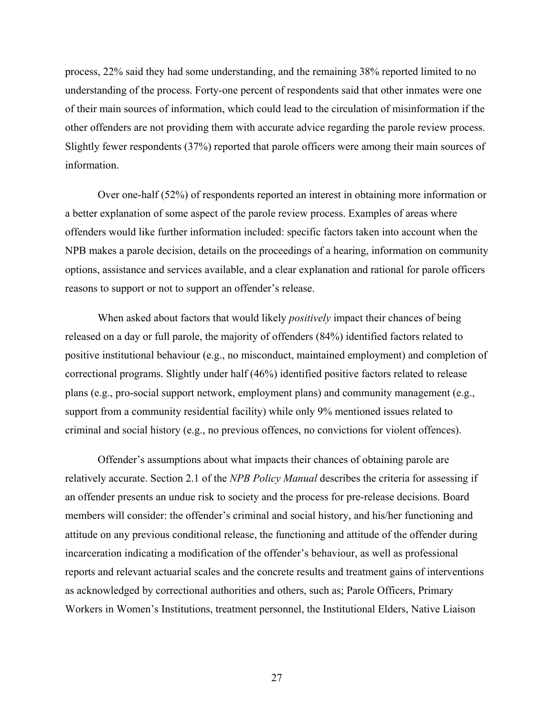process, 22% said they had some understanding, and the remaining 38% reported limited to no understanding of the process. Forty-one percent of respondents said that other inmates were one of their main sources of information, which could lead to the circulation of misinformation if the other offenders are not providing them with accurate advice regarding the parole review process. Slightly fewer respondents (37%) reported that parole officers were among their main sources of information.

Over one-half (52%) of respondents reported an interest in obtaining more information or a better explanation of some aspect of the parole review process. Examples of areas where offenders would like further information included: specific factors taken into account when the NPB makes a parole decision, details on the proceedings of a hearing, information on community options, assistance and services available, and a clear explanation and rational for parole officers reasons to support or not to support an offender's release.

When asked about factors that would likely *positively* impact their chances of being released on a day or full parole, the majority of offenders (84%) identified factors related to positive institutional behaviour (e.g., no misconduct, maintained employment) and completion of correctional programs. Slightly under half (46%) identified positive factors related to release plans (e.g., pro-social support network, employment plans) and community management (e.g., support from a community residential facility) while only 9% mentioned issues related to criminal and social history (e.g., no previous offences, no convictions for violent offences).

Offender's assumptions about what impacts their chances of obtaining parole are relatively accurate. Section 2.1 of the *NPB Policy Manual* describes the criteria for assessing if an offender presents an undue risk to society and the process for pre-release decisions. Board members will consider: the offender's criminal and social history, and his/her functioning and attitude on any previous conditional release, the functioning and attitude of the offender during incarceration indicating a modification of the offender's behaviour, as well as professional reports and relevant actuarial scales and the concrete results and treatment gains of interventions as acknowledged by correctional authorities and others, such as; Parole Officers, Primary Workers in Women's Institutions, treatment personnel, the Institutional Elders, Native Liaison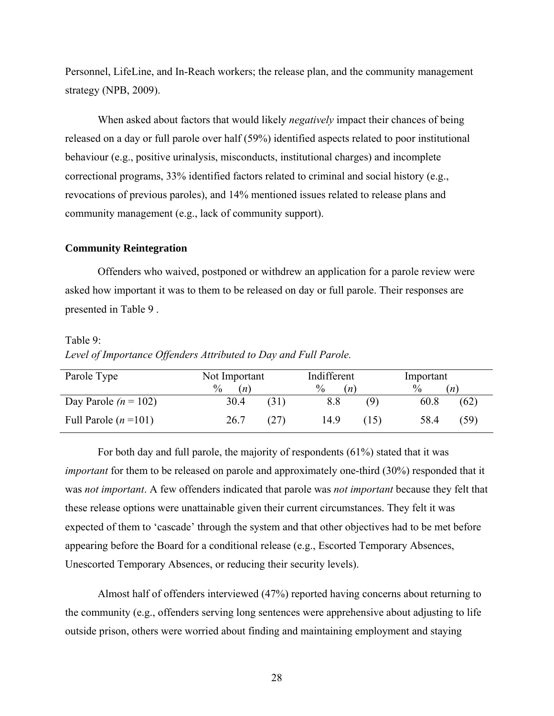Personnel, LifeLine, and In-Reach workers; the release plan, and the community management strategy (NPB, 2009).

When asked about factors that would likely *negatively* impact their chances of being released on a day or full parole over half (59%) identified aspects related to poor institutional behaviour (e.g., positive urinalysis, misconducts, institutional charges) and incomplete correctional programs, 33% identified factors related to criminal and social history (e.g., revocations of previous paroles), and 14% mentioned issues related to release plans and community management (e.g., lack of community support).

#### **Community Reintegration**

Offenders who waived, postponed or withdrew an application for a parole review were asked how important it was to them to be released on day or full parole. Their responses are presented in [Table 9](#page-38-0) .

## <span id="page-38-0"></span>Table 9:

*Level of Importance Offenders Attributed to Day and Full Parole.* 

| Parole Type            | Not Important        |      | Indifferent |      | Important |      |
|------------------------|----------------------|------|-------------|------|-----------|------|
|                        | $\frac{0}{0}$<br>(n) |      | $\%$<br>(n) |      | $\%$      | (n)  |
| Day Parole $(n = 102)$ | 30.4                 | (31) | 8.8         | (9)  | 60.8      | (62) |
| Full Parole $(n=101)$  | 26.7                 | (27) | 14.9        | (15) | 58.4      | (59) |

For both day and full parole, the majority of respondents (61%) stated that it was *important* for them to be released on parole and approximately one-third (30%) responded that it was *not important*. A few offenders indicated that parole was *not important* because they felt that these release options were unattainable given their current circumstances. They felt it was expected of them to 'cascade' through the system and that other objectives had to be met before appearing before the Board for a conditional release (e.g., Escorted Temporary Absences, Unescorted Temporary Absences, or reducing their security levels).

Almost half of offenders interviewed (47%) reported having concerns about returning to the community (e.g., offenders serving long sentences were apprehensive about adjusting to life outside prison, others were worried about finding and maintaining employment and staying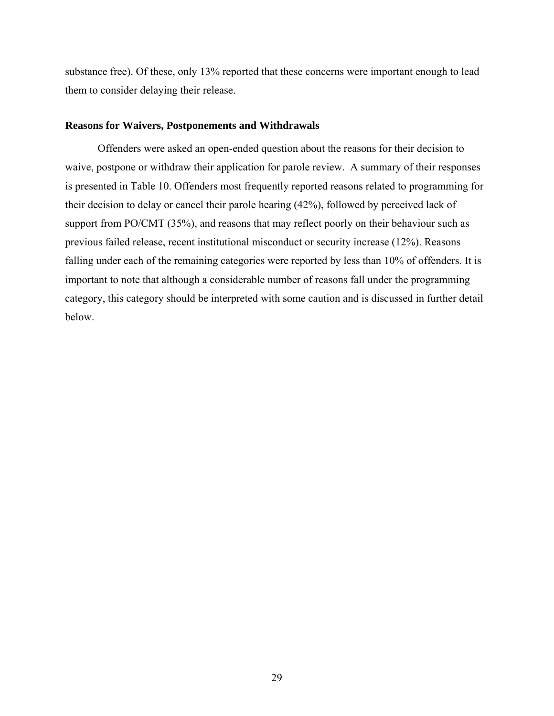substance free). Of these, only 13% reported that these concerns were important enough to lead them to consider delaying their release.

## **Reasons for Waivers, Postponements and Withdrawals**

Offenders were asked an open-ended question about the reasons for their decision to waive, postpone or withdraw their application for parole review. A summary of their responses is presented in [Table 10.](#page-40-0) Offenders most frequently reported reasons related to programming for their decision to delay or cancel their parole hearing (42%), followed by perceived lack of support from PO/CMT (35%), and reasons that may reflect poorly on their behaviour such as previous failed release, recent institutional misconduct or security increase (12%). Reasons falling under each of the remaining categories were reported by less than 10% of offenders. It is important to note that although a considerable number of reasons fall under the programming category, this category should be interpreted with some caution and is discussed in further detail below.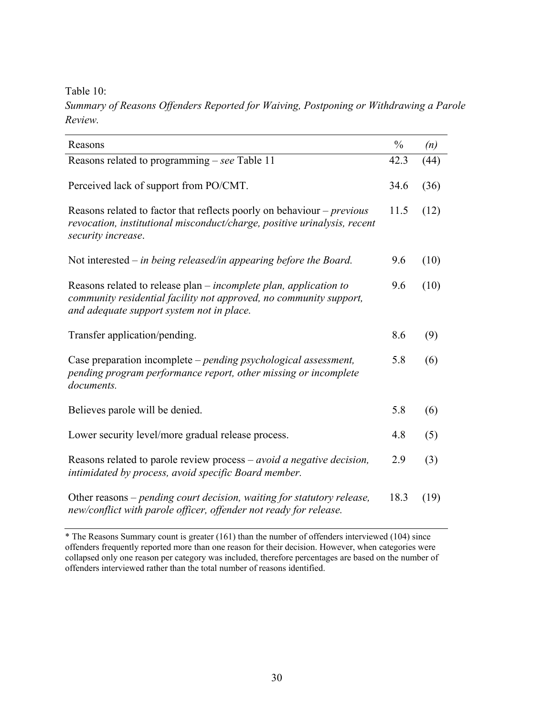<span id="page-40-0"></span>Table 10:

*Summary of Reasons Offenders Reported for Waiving, Postponing or Withdrawing a Parole Review.*

| Reasons                                                                                                                                                                                     | $\frac{0}{0}$ | (n)  |
|---------------------------------------------------------------------------------------------------------------------------------------------------------------------------------------------|---------------|------|
| Reasons related to programming – see Table 11                                                                                                                                               | 42.3          | (44) |
| Perceived lack of support from PO/CMT.                                                                                                                                                      | 34.6          | (36) |
| Reasons related to factor that reflects poorly on behaviour $-$ <i>previous</i><br>revocation, institutional misconduct/charge, positive urinalysis, recent<br>security increase.           | 11.5          | (12) |
| Not interested – in being released/in appearing before the Board.                                                                                                                           | 9.6           | (10) |
| Reasons related to release plan – <i>incomplete plan, application to</i><br>community residential facility not approved, no community support,<br>and adequate support system not in place. | 9.6           | (10) |
| Transfer application/pending.                                                                                                                                                               | 8.6           | (9)  |
| Case preparation incomplete – <i>pending psychological assessment</i> ,<br>pending program performance report, other missing or incomplete<br>documents.                                    | 5.8           | (6)  |
| Believes parole will be denied.                                                                                                                                                             | 5.8           | (6)  |
| Lower security level/more gradual release process.                                                                                                                                          | 4.8           | (5)  |
| Reasons related to parole review process $-$ <i>avoid a negative decision</i> ,<br>intimidated by process, avoid specific Board member.                                                     | 2.9           | (3)  |
| Other reasons – pending court decision, waiting for statutory release,<br>new/conflict with parole officer, offender not ready for release.                                                 | 18.3          | (19) |

\* The Reasons Summary count is greater (161) than the number of offenders interviewed (104) since offenders frequently reported more than one reason for their decision. However, when categories were collapsed only one reason per category was included, therefore percentages are based on the number of offenders interviewed rather than the total number of reasons identified.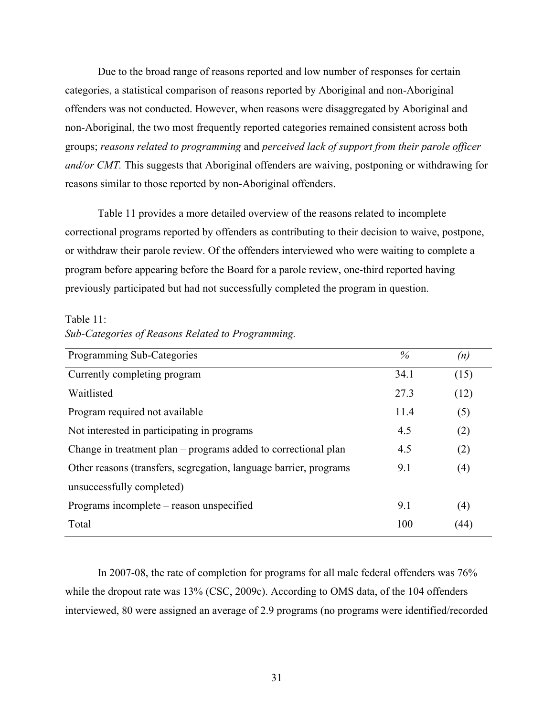Due to the broad range of reasons reported and low number of responses for certain categories, a statistical comparison of reasons reported by Aboriginal and non-Aboriginal offenders was not conducted. However, when reasons were disaggregated by Aboriginal and non-Aboriginal, the two most frequently reported categories remained consistent across both groups; *reasons related to programming* and *perceived lack of support from their parole officer and/or CMT.* This suggests that Aboriginal offenders are waiving, postponing or withdrawing for reasons similar to those reported by non-Aboriginal offenders.

[Table 11](#page-41-0) provides a more detailed overview of the reasons related to incomplete correctional programs reported by offenders as contributing to their decision to waive, postpone, or withdraw their parole review. Of the offenders interviewed who were waiting to complete a program before appearing before the Board for a parole review, one-third reported having previously participated but had not successfully completed the program in question.

#### <span id="page-41-0"></span>Table 11:

|  |  |  |  |  | Sub-Categories of Reasons Related to Programming. |
|--|--|--|--|--|---------------------------------------------------|
|--|--|--|--|--|---------------------------------------------------|

| 34.1 | (15) |
|------|------|
|      |      |
| 27.3 | (12) |
| 11.4 | (5)  |
| 4.5  | (2)  |
| 4.5  | (2)  |
| 9.1  | (4)  |
|      |      |
| 9.1  | (4)  |
| 100  | (44) |
|      |      |

In 2007-08, the rate of completion for programs for all male federal offenders was 76% while the dropout rate was 13% (CSC, 2009c). According to OMS data, of the 104 offenders interviewed, 80 were assigned an average of 2.9 programs (no programs were identified/recorded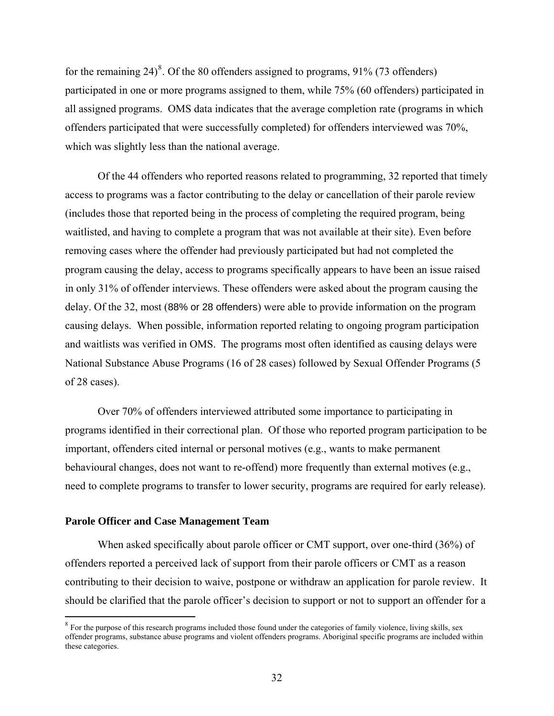for the remaining  $24)^8$  $24)^8$ . Of the 80 offenders assigned to programs, 91% (73 offenders) participated in one or more programs assigned to them, while 75% (60 offenders) participated in all assigned programs. OMS data indicates that the average completion rate (programs in which offenders participated that were successfully completed) for offenders interviewed was 70%, which was slightly less than the national average.

Of the 44 offenders who reported reasons related to programming, 32 reported that timely access to programs was a factor contributing to the delay or cancellation of their parole review (includes those that reported being in the process of completing the required program, being waitlisted, and having to complete a program that was not available at their site). Even before removing cases where the offender had previously participated but had not completed the program causing the delay, access to programs specifically appears to have been an issue raised in only 31% of offender interviews. These offenders were asked about the program causing the delay. Of the 32, most (88% or 28 offenders) were able to provide information on the program causing delays. When possible, information reported relating to ongoing program participation and waitlists was verified in OMS. The programs most often identified as causing delays were National Substance Abuse Programs (16 of 28 cases) followed by Sexual Offender Programs (5 of 28 cases).

Over 70% of offenders interviewed attributed some importance to participating in programs identified in their correctional plan. Of those who reported program participation to be important, offenders cited internal or personal motives (e.g., wants to make permanent behavioural changes, does not want to re-offend) more frequently than external motives (e.g., need to complete programs to transfer to lower security, programs are required for early release).

## **Parole Officer and Case Management Team**

 $\overline{a}$ 

When asked specifically about parole officer or CMT support, over one-third (36%) of offenders reported a perceived lack of support from their parole officers or CMT as a reason contributing to their decision to waive, postpone or withdraw an application for parole review. It should be clarified that the parole officer's decision to support or not to support an offender for a

<span id="page-42-0"></span><sup>&</sup>lt;sup>8</sup> For the purpose of this research programs included those found under the categories of family violence, living skills, sex offender programs, substance abuse programs and violent offenders programs. Aboriginal specific programs are included within these categories.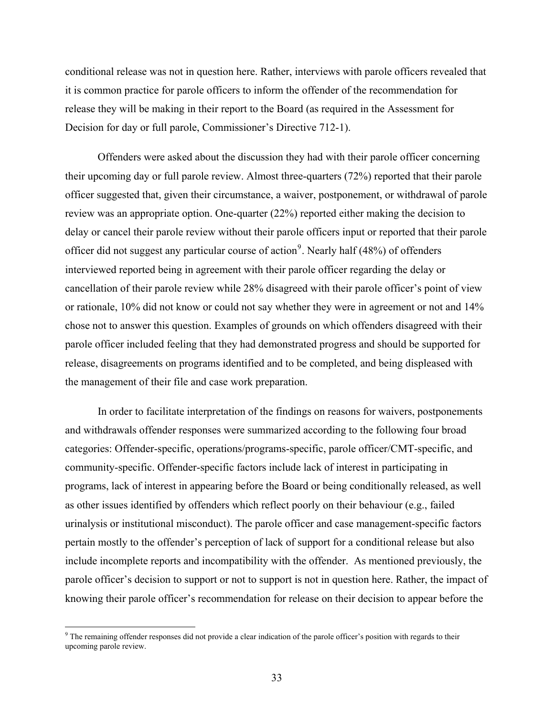conditional release was not in question here. Rather, interviews with parole officers revealed that it is common practice for parole officers to inform the offender of the recommendation for release they will be making in their report to the Board (as required in the Assessment for Decision for day or full parole, Commissioner's Directive 712-1).

Offenders were asked about the discussion they had with their parole officer concerning their upcoming day or full parole review. Almost three-quarters (72%) reported that their parole officer suggested that, given their circumstance, a waiver, postponement, or withdrawal of parole review was an appropriate option. One-quarter (22%) reported either making the decision to delay or cancel their parole review without their parole officers input or reported that their parole officer did not suggest any particular course of action<sup>[9](#page-43-0)</sup>. Nearly half  $(48%)$  of offenders interviewed reported being in agreement with their parole officer regarding the delay or cancellation of their parole review while 28% disagreed with their parole officer's point of view or rationale, 10% did not know or could not say whether they were in agreement or not and 14% chose not to answer this question. Examples of grounds on which offenders disagreed with their parole officer included feeling that they had demonstrated progress and should be supported for release, disagreements on programs identified and to be completed, and being displeased with the management of their file and case work preparation.

In order to facilitate interpretation of the findings on reasons for waivers, postponements and withdrawals offender responses were summarized according to the following four broad categories: Offender-specific, operations/programs-specific, parole officer/CMT-specific, and community-specific. Offender-specific factors include lack of interest in participating in programs, lack of interest in appearing before the Board or being conditionally released, as well as other issues identified by offenders which reflect poorly on their behaviour (e.g., failed urinalysis or institutional misconduct). The parole officer and case management-specific factors pertain mostly to the offender's perception of lack of support for a conditional release but also include incomplete reports and incompatibility with the offender. As mentioned previously, the parole officer's decision to support or not to support is not in question here. Rather, the impact of knowing their parole officer's recommendation for release on their decision to appear before the

<span id="page-43-0"></span><sup>&</sup>lt;sup>9</sup> The remaining offender responses did not provide a clear indication of the parole officer's position with regards to their upcoming parole review.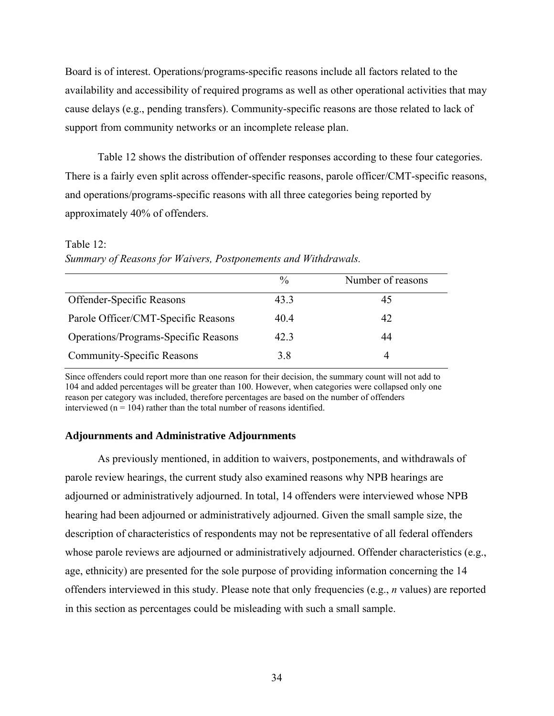Board is of interest. Operations/programs-specific reasons include all factors related to the availability and accessibility of required programs as well as other operational activities that may cause delays (e.g., pending transfers). Community-specific reasons are those related to lack of support from community networks or an incomplete release plan.

[Table 12](#page-44-0) shows the distribution of offender responses according to these four categories. There is a fairly even split across offender-specific reasons, parole officer/CMT-specific reasons, and operations/programs-specific reasons with all three categories being reported by approximately 40% of offenders.

# % Number of reasons Offender-Specific Reasons 43.3 45 Parole Officer/CMT-Specific Reasons 40.4 42 Operations/Programs-Specific Reasons 42.3 44 Community-Specific Reasons 3.8 4

<span id="page-44-0"></span>Table 12: *Summary of Reasons for Waivers, Postponements and Withdrawals.*

Since offenders could report more than one reason for their decision, the summary count will not add to 104 and added percentages will be greater than 100. However, when categories were collapsed only one reason per category was included, therefore percentages are based on the number of offenders interviewed ( $n = 104$ ) rather than the total number of reasons identified.

## **Adjournments and Administrative Adjournments**

As previously mentioned, in addition to waivers, postponements, and withdrawals of parole review hearings, the current study also examined reasons why NPB hearings are adjourned or administratively adjourned. In total, 14 offenders were interviewed whose NPB hearing had been adjourned or administratively adjourned. Given the small sample size, the description of characteristics of respondents may not be representative of all federal offenders whose parole reviews are adjourned or administratively adjourned. Offender characteristics (e.g., age, ethnicity) are presented for the sole purpose of providing information concerning the 14 offenders interviewed in this study. Please note that only frequencies (e.g., *n* values) are reported in this section as percentages could be misleading with such a small sample.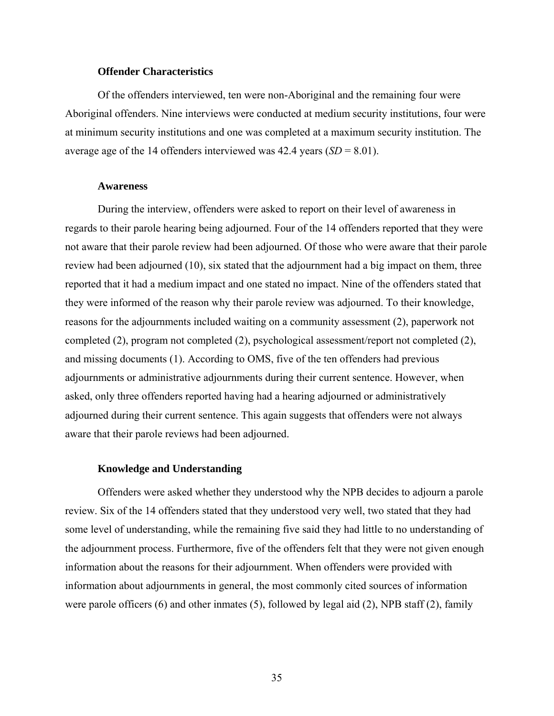#### **Offender Characteristics**

Of the offenders interviewed, ten were non-Aboriginal and the remaining four were Aboriginal offenders. Nine interviews were conducted at medium security institutions, four were at minimum security institutions and one was completed at a maximum security institution. The average age of the 14 offenders interviewed was  $42.4$  years  $(SD = 8.01)$ .

## **Awareness**

During the interview, offenders were asked to report on their level of awareness in regards to their parole hearing being adjourned. Four of the 14 offenders reported that they were not aware that their parole review had been adjourned. Of those who were aware that their parole review had been adjourned (10), six stated that the adjournment had a big impact on them, three reported that it had a medium impact and one stated no impact. Nine of the offenders stated that they were informed of the reason why their parole review was adjourned. To their knowledge, reasons for the adjournments included waiting on a community assessment (2), paperwork not completed (2), program not completed (2), psychological assessment/report not completed (2), and missing documents (1). According to OMS, five of the ten offenders had previous adjournments or administrative adjournments during their current sentence. However, when asked, only three offenders reported having had a hearing adjourned or administratively adjourned during their current sentence. This again suggests that offenders were not always aware that their parole reviews had been adjourned.

#### **Knowledge and Understanding**

Offenders were asked whether they understood why the NPB decides to adjourn a parole review. Six of the 14 offenders stated that they understood very well, two stated that they had some level of understanding, while the remaining five said they had little to no understanding of the adjournment process. Furthermore, five of the offenders felt that they were not given enough information about the reasons for their adjournment. When offenders were provided with information about adjournments in general, the most commonly cited sources of information were parole officers (6) and other inmates (5), followed by legal aid (2), NPB staff (2), family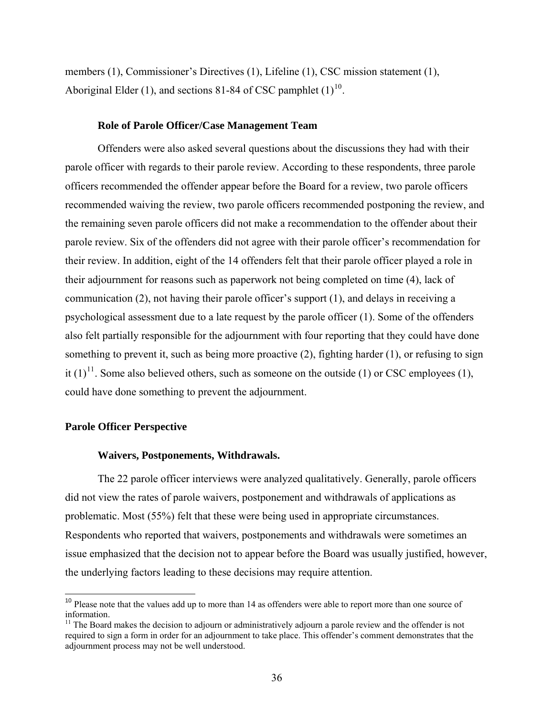members (1), Commissioner's Directives (1), Lifeline (1), CSC mission statement (1), Aboriginal Elder (1), and sections 81-84 of CSC pamphlet  $(1)^{10}$  $(1)^{10}$  $(1)^{10}$ .

#### **Role of Parole Officer/Case Management Team**

Offenders were also asked several questions about the discussions they had with their parole officer with regards to their parole review. According to these respondents, three parole officers recommended the offender appear before the Board for a review, two parole officers recommended waiving the review, two parole officers recommended postponing the review, and the remaining seven parole officers did not make a recommendation to the offender about their parole review. Six of the offenders did not agree with their parole officer's recommendation for their review. In addition, eight of the 14 offenders felt that their parole officer played a role in their adjournment for reasons such as paperwork not being completed on time (4), lack of communication (2), not having their parole officer's support (1), and delays in receiving a psychological assessment due to a late request by the parole officer (1). Some of the offenders also felt partially responsible for the adjournment with four reporting that they could have done something to prevent it, such as being more proactive (2), fighting harder (1), or refusing to sign it  $(1)^{11}$  $(1)^{11}$  $(1)^{11}$ . Some also believed others, such as someone on the outside (1) or CSC employees (1), could have done something to prevent the adjournment.

#### **Parole Officer Perspective**

 $\overline{a}$ 

#### **Waivers, Postponements, Withdrawals.**

The 22 parole officer interviews were analyzed qualitatively. Generally, parole officers did not view the rates of parole waivers, postponement and withdrawals of applications as problematic. Most (55%) felt that these were being used in appropriate circumstances. Respondents who reported that waivers, postponements and withdrawals were sometimes an issue emphasized that the decision not to appear before the Board was usually justified, however, the underlying factors leading to these decisions may require attention.

<span id="page-46-0"></span><sup>&</sup>lt;sup>10</sup> Please note that the values add up to more than 14 as offenders were able to report more than one source of information.

<span id="page-46-1"></span> $11$  The Board makes the decision to adjourn or administratively adjourn a parole review and the offender is not required to sign a form in order for an adjournment to take place. This offender's comment demonstrates that the adjournment process may not be well understood.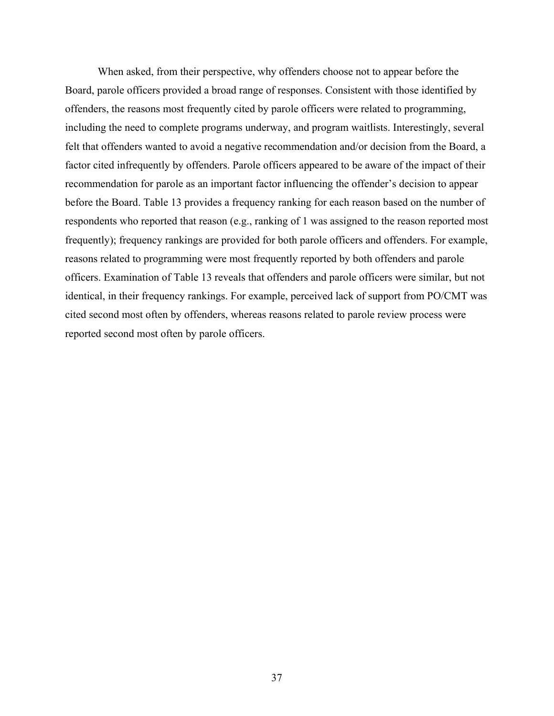When asked, from their perspective, why offenders choose not to appear before the Board, parole officers provided a broad range of responses. Consistent with those identified by offenders, the reasons most frequently cited by parole officers were related to programming, including the need to complete programs underway, and program waitlists. Interestingly, several felt that offenders wanted to avoid a negative recommendation and/or decision from the Board, a factor cited infrequently by offenders. Parole officers appeared to be aware of the impact of their recommendation for parole as an important factor influencing the offender's decision to appear before the Board. [Table 13](#page-48-0) provides a frequency ranking for each reason based on the number of respondents who reported that reason (e.g., ranking of 1 was assigned to the reason reported most frequently); frequency rankings are provided for both parole officers and offenders. For example, reasons related to programming were most frequently reported by both offenders and parole officers. Examination of [Table 13](#page-48-0) reveals that offenders and parole officers were similar, but not identical, in their frequency rankings. For example, perceived lack of support from PO/CMT was cited second most often by offenders, whereas reasons related to parole review process were reported second most often by parole officers.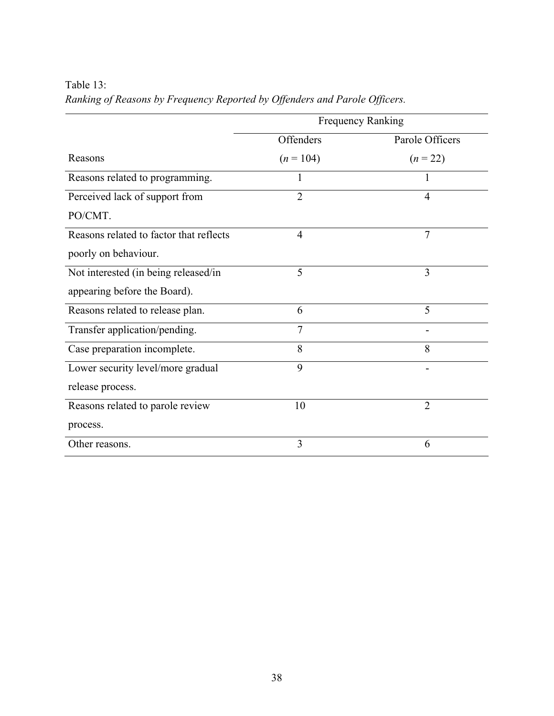<span id="page-48-0"></span>Table 13:

|                                         | Frequency Ranking |                 |  |
|-----------------------------------------|-------------------|-----------------|--|
|                                         | Offenders         | Parole Officers |  |
| Reasons                                 | $(n = 104)$       | $(n = 22)$      |  |
| Reasons related to programming.         | 1                 | T               |  |
| Perceived lack of support from          | $\overline{2}$    | $\overline{4}$  |  |
| PO/CMT.                                 |                   |                 |  |
| Reasons related to factor that reflects | $\overline{4}$    | $\overline{7}$  |  |
| poorly on behaviour.                    |                   |                 |  |
| Not interested (in being released/in    | 5                 | 3               |  |
| appearing before the Board).            |                   |                 |  |
| Reasons related to release plan.        | 6                 | 5               |  |
| Transfer application/pending.           | $\overline{7}$    |                 |  |
| Case preparation incomplete.            | 8                 | 8               |  |
| Lower security level/more gradual       | 9                 |                 |  |
| release process.                        |                   |                 |  |
| Reasons related to parole review        | 10                | $\overline{2}$  |  |
| process.                                |                   |                 |  |
| Other reasons.                          | 3                 | 6               |  |

*Ranking of Reasons by Frequency Reported by Offenders and Parole Officers.*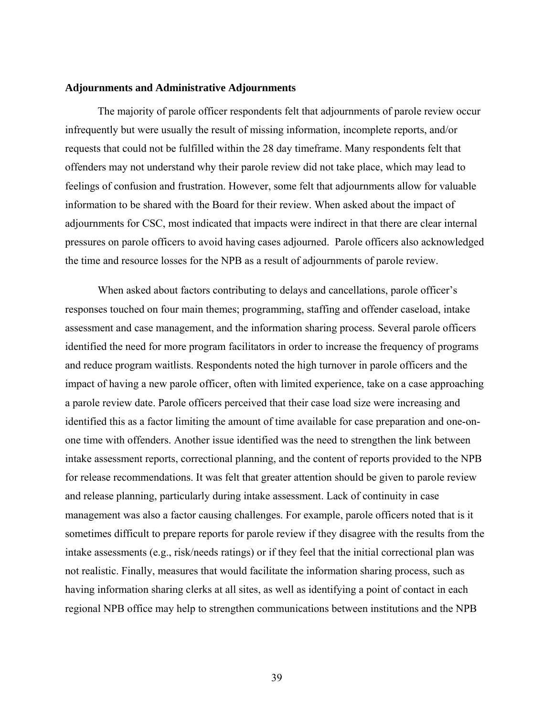#### **Adjournments and Administrative Adjournments**

The majority of parole officer respondents felt that adjournments of parole review occur infrequently but were usually the result of missing information, incomplete reports, and/or requests that could not be fulfilled within the 28 day timeframe. Many respondents felt that offenders may not understand why their parole review did not take place, which may lead to feelings of confusion and frustration. However, some felt that adjournments allow for valuable information to be shared with the Board for their review. When asked about the impact of adjournments for CSC, most indicated that impacts were indirect in that there are clear internal pressures on parole officers to avoid having cases adjourned. Parole officers also acknowledged the time and resource losses for the NPB as a result of adjournments of parole review.

When asked about factors contributing to delays and cancellations, parole officer's responses touched on four main themes; programming, staffing and offender caseload, intake assessment and case management, and the information sharing process. Several parole officers identified the need for more program facilitators in order to increase the frequency of programs and reduce program waitlists. Respondents noted the high turnover in parole officers and the impact of having a new parole officer, often with limited experience, take on a case approaching a parole review date. Parole officers perceived that their case load size were increasing and identified this as a factor limiting the amount of time available for case preparation and one-onone time with offenders. Another issue identified was the need to strengthen the link between intake assessment reports, correctional planning, and the content of reports provided to the NPB for release recommendations. It was felt that greater attention should be given to parole review and release planning, particularly during intake assessment. Lack of continuity in case management was also a factor causing challenges. For example, parole officers noted that is it sometimes difficult to prepare reports for parole review if they disagree with the results from the intake assessments (e.g., risk/needs ratings) or if they feel that the initial correctional plan was not realistic. Finally, measures that would facilitate the information sharing process, such as having information sharing clerks at all sites, as well as identifying a point of contact in each regional NPB office may help to strengthen communications between institutions and the NPB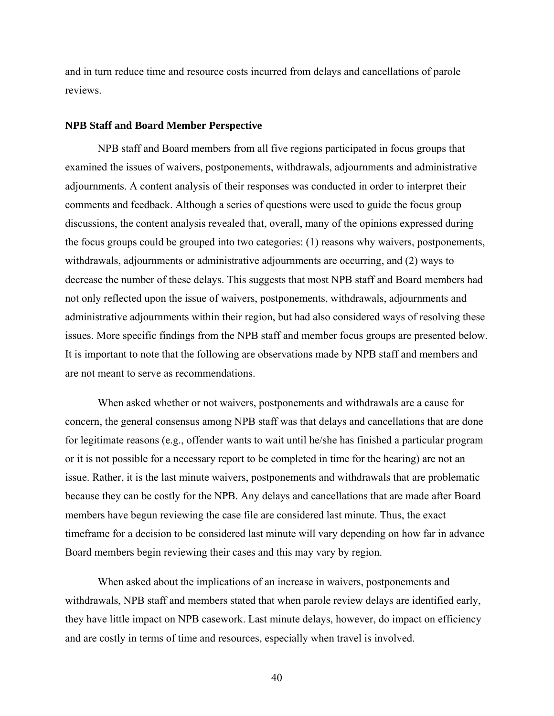and in turn reduce time and resource costs incurred from delays and cancellations of parole reviews.

#### **NPB Staff and Board Member Perspective**

NPB staff and Board members from all five regions participated in focus groups that examined the issues of waivers, postponements, withdrawals, adjournments and administrative adjournments. A content analysis of their responses was conducted in order to interpret their comments and feedback. Although a series of questions were used to guide the focus group discussions, the content analysis revealed that, overall, many of the opinions expressed during the focus groups could be grouped into two categories: (1) reasons why waivers, postponements, withdrawals, adjournments or administrative adjournments are occurring, and (2) ways to decrease the number of these delays. This suggests that most NPB staff and Board members had not only reflected upon the issue of waivers, postponements, withdrawals, adjournments and administrative adjournments within their region, but had also considered ways of resolving these issues. More specific findings from the NPB staff and member focus groups are presented below. It is important to note that the following are observations made by NPB staff and members and are not meant to serve as recommendations.

When asked whether or not waivers, postponements and withdrawals are a cause for concern, the general consensus among NPB staff was that delays and cancellations that are done for legitimate reasons (e.g., offender wants to wait until he/she has finished a particular program or it is not possible for a necessary report to be completed in time for the hearing) are not an issue. Rather, it is the last minute waivers, postponements and withdrawals that are problematic because they can be costly for the NPB. Any delays and cancellations that are made after Board members have begun reviewing the case file are considered last minute. Thus, the exact timeframe for a decision to be considered last minute will vary depending on how far in advance Board members begin reviewing their cases and this may vary by region.

When asked about the implications of an increase in waivers, postponements and withdrawals, NPB staff and members stated that when parole review delays are identified early, they have little impact on NPB casework. Last minute delays, however, do impact on efficiency and are costly in terms of time and resources, especially when travel is involved.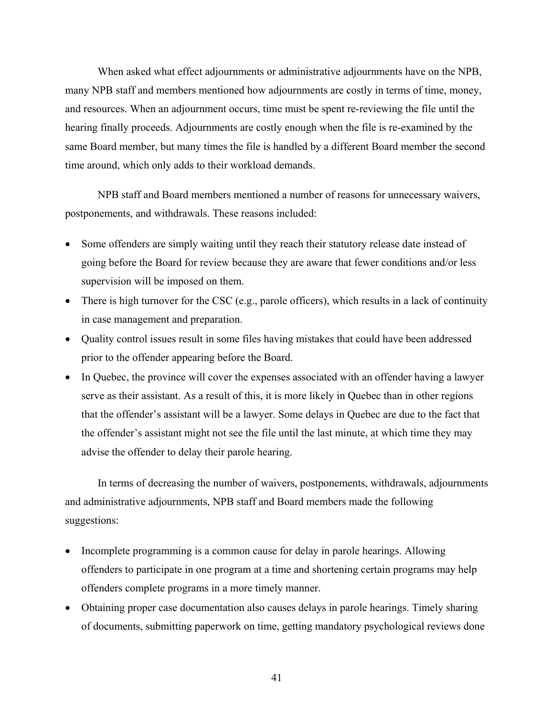When asked what effect adjournments or administrative adjournments have on the NPB, many NPB staff and members mentioned how adjournments are costly in terms of time, money, and resources. When an adjournment occurs, time must be spent re-reviewing the file until the hearing finally proceeds. Adjournments are costly enough when the file is re-examined by the same Board member, but many times the file is handled by a different Board member the second time around, which only adds to their workload demands.

NPB staff and Board members mentioned a number of reasons for unnecessary waivers, postponements, and withdrawals. These reasons included:

- Some offenders are simply waiting until they reach their statutory release date instead of going before the Board for review because they are aware that fewer conditions and/or less supervision will be imposed on them.
- There is high turnover for the CSC (e.g., parole officers), which results in a lack of continuity in case management and preparation.
- Quality control issues result in some files having mistakes that could have been addressed prior to the offender appearing before the Board.
- In Quebec, the province will cover the expenses associated with an offender having a lawyer serve as their assistant. As a result of this, it is more likely in Quebec than in other regions that the offender's assistant will be a lawyer. Some delays in Quebec are due to the fact that the offender's assistant might not see the file until the last minute, at which time they may advise the offender to delay their parole hearing.

In terms of decreasing the number of waivers, postponements, withdrawals, adjournments and administrative adjournments, NPB staff and Board members made the following suggestions:

- Incomplete programming is a common cause for delay in parole hearings. Allowing offenders to participate in one program at a time and shortening certain programs may help offenders complete programs in a more timely manner.
- Obtaining proper case documentation also causes delays in parole hearings. Timely sharing of documents, submitting paperwork on time, getting mandatory psychological reviews done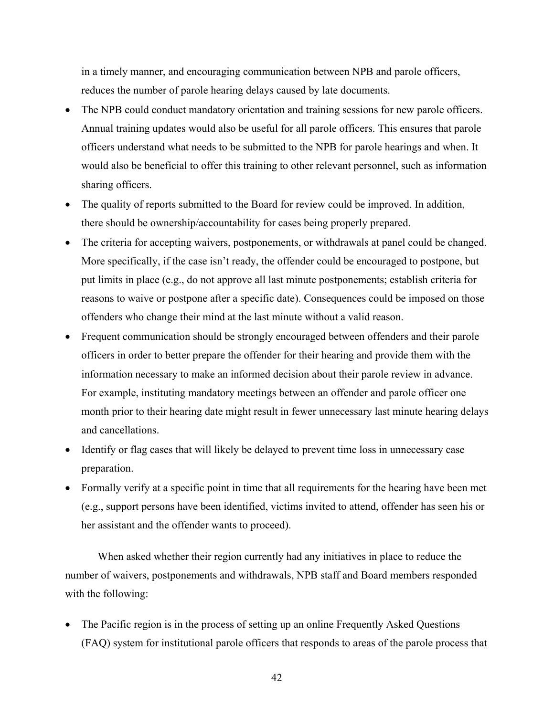in a timely manner, and encouraging communication between NPB and parole officers, reduces the number of parole hearing delays caused by late documents.

- The NPB could conduct mandatory orientation and training sessions for new parole officers. Annual training updates would also be useful for all parole officers. This ensures that parole officers understand what needs to be submitted to the NPB for parole hearings and when. It would also be beneficial to offer this training to other relevant personnel, such as information sharing officers.
- The quality of reports submitted to the Board for review could be improved. In addition, there should be ownership/accountability for cases being properly prepared.
- The criteria for accepting waivers, postponements, or withdrawals at panel could be changed. More specifically, if the case isn't ready, the offender could be encouraged to postpone, but put limits in place (e.g., do not approve all last minute postponements; establish criteria for reasons to waive or postpone after a specific date). Consequences could be imposed on those offenders who change their mind at the last minute without a valid reason.
- Frequent communication should be strongly encouraged between offenders and their parole officers in order to better prepare the offender for their hearing and provide them with the information necessary to make an informed decision about their parole review in advance. For example, instituting mandatory meetings between an offender and parole officer one month prior to their hearing date might result in fewer unnecessary last minute hearing delays and cancellations.
- Identify or flag cases that will likely be delayed to prevent time loss in unnecessary case preparation.
- Formally verify at a specific point in time that all requirements for the hearing have been met (e.g., support persons have been identified, victims invited to attend, offender has seen his or her assistant and the offender wants to proceed).

When asked whether their region currently had any initiatives in place to reduce the number of waivers, postponements and withdrawals, NPB staff and Board members responded with the following:

• The Pacific region is in the process of setting up an online Frequently Asked Questions (FAQ) system for institutional parole officers that responds to areas of the parole process that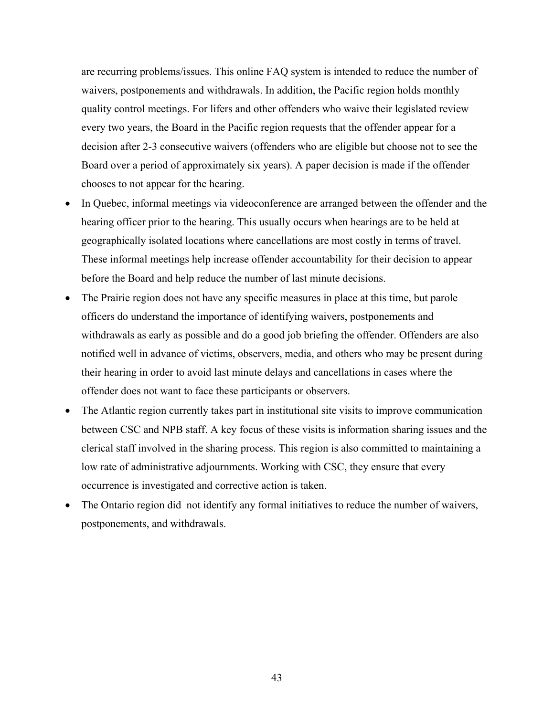are recurring problems/issues. This online FAQ system is intended to reduce the number of waivers, postponements and withdrawals. In addition, the Pacific region holds monthly quality control meetings. For lifers and other offenders who waive their legislated review every two years, the Board in the Pacific region requests that the offender appear for a decision after 2-3 consecutive waivers (offenders who are eligible but choose not to see the Board over a period of approximately six years). A paper decision is made if the offender chooses to not appear for the hearing.

- In Quebec, informal meetings via videoconference are arranged between the offender and the hearing officer prior to the hearing. This usually occurs when hearings are to be held at geographically isolated locations where cancellations are most costly in terms of travel. These informal meetings help increase offender accountability for their decision to appear before the Board and help reduce the number of last minute decisions.
- The Prairie region does not have any specific measures in place at this time, but parole officers do understand the importance of identifying waivers, postponements and withdrawals as early as possible and do a good job briefing the offender. Offenders are also notified well in advance of victims, observers, media, and others who may be present during their hearing in order to avoid last minute delays and cancellations in cases where the offender does not want to face these participants or observers.
- The Atlantic region currently takes part in institutional site visits to improve communication between CSC and NPB staff. A key focus of these visits is information sharing issues and the clerical staff involved in the sharing process. This region is also committed to maintaining a low rate of administrative adjournments. Working with CSC, they ensure that every occurrence is investigated and corrective action is taken.
- The Ontario region did not identify any formal initiatives to reduce the number of waivers, postponements, and withdrawals.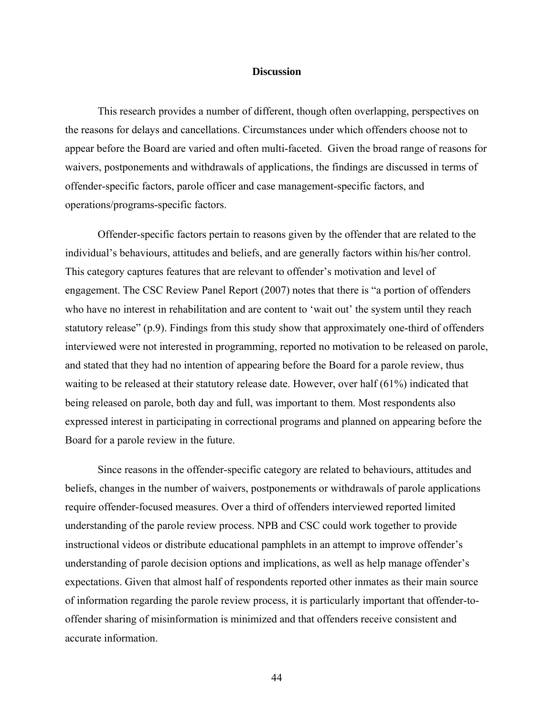#### **Discussion**

This research provides a number of different, though often overlapping, perspectives on the reasons for delays and cancellations. Circumstances under which offenders choose not to appear before the Board are varied and often multi-faceted. Given the broad range of reasons for waivers, postponements and withdrawals of applications, the findings are discussed in terms of offender-specific factors, parole officer and case management-specific factors, and operations/programs-specific factors.

Offender-specific factors pertain to reasons given by the offender that are related to the individual's behaviours, attitudes and beliefs, and are generally factors within his/her control. This category captures features that are relevant to offender's motivation and level of engagement. The CSC Review Panel Report (2007) notes that there is "a portion of offenders who have no interest in rehabilitation and are content to 'wait out' the system until they reach statutory release" (p.9). Findings from this study show that approximately one-third of offenders interviewed were not interested in programming, reported no motivation to be released on parole, and stated that they had no intention of appearing before the Board for a parole review, thus waiting to be released at their statutory release date. However, over half (61%) indicated that being released on parole, both day and full, was important to them. Most respondents also expressed interest in participating in correctional programs and planned on appearing before the Board for a parole review in the future.

Since reasons in the offender-specific category are related to behaviours, attitudes and beliefs, changes in the number of waivers, postponements or withdrawals of parole applications require offender-focused measures. Over a third of offenders interviewed reported limited understanding of the parole review process. NPB and CSC could work together to provide instructional videos or distribute educational pamphlets in an attempt to improve offender's understanding of parole decision options and implications, as well as help manage offender's expectations. Given that almost half of respondents reported other inmates as their main source of information regarding the parole review process, it is particularly important that offender-tooffender sharing of misinformation is minimized and that offenders receive consistent and accurate information.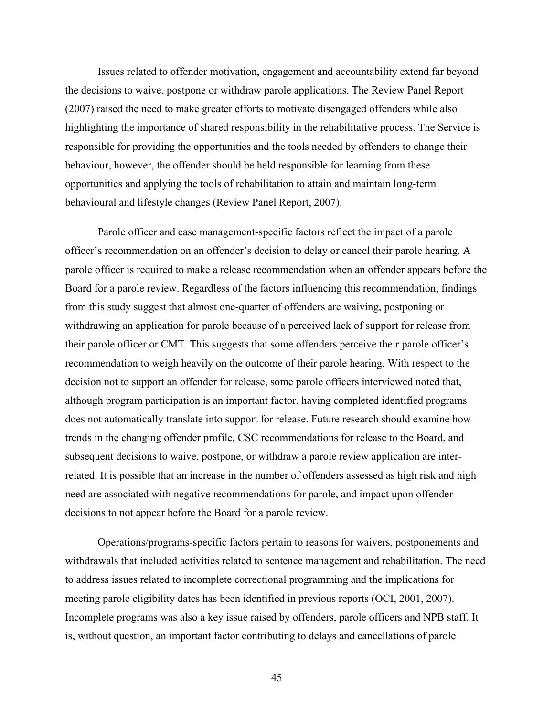Issues related to offender motivation, engagement and accountability extend far beyond the decisions to waive, postpone or withdraw parole applications. The Review Panel Report (2007) raised the need to make greater efforts to motivate disengaged offenders while also highlighting the importance of shared responsibility in the rehabilitative process. The Service is responsible for providing the opportunities and the tools needed by offenders to change their behaviour, however, the offender should be held responsible for learning from these opportunities and applying the tools of rehabilitation to attain and maintain long-term behavioural and lifestyle changes (Review Panel Report, 2007).

Parole officer and case management-specific factors reflect the impact of a parole officer's recommendation on an offender's decision to delay or cancel their parole hearing. A parole officer is required to make a release recommendation when an offender appears before the Board for a parole review. Regardless of the factors influencing this recommendation, findings from this study suggest that almost one-quarter of offenders are waiving, postponing or withdrawing an application for parole because of a perceived lack of support for release from their parole officer or CMT. This suggests that some offenders perceive their parole officer's recommendation to weigh heavily on the outcome of their parole hearing. With respect to the decision not to support an offender for release, some parole officers interviewed noted that, although program participation is an important factor, having completed identified programs does not automatically translate into support for release. Future research should examine how trends in the changing offender profile, CSC recommendations for release to the Board, and subsequent decisions to waive, postpone, or withdraw a parole review application are interrelated. It is possible that an increase in the number of offenders assessed as high risk and high need are associated with negative recommendations for parole, and impact upon offender decisions to not appear before the Board for a parole review.

Operations/programs-specific factors pertain to reasons for waivers, postponements and withdrawals that included activities related to sentence management and rehabilitation. The need to address issues related to incomplete correctional programming and the implications for meeting parole eligibility dates has been identified in previous reports (OCI, 2001, 2007). Incomplete programs was also a key issue raised by offenders, parole officers and NPB staff. It is, without question, an important factor contributing to delays and cancellations of parole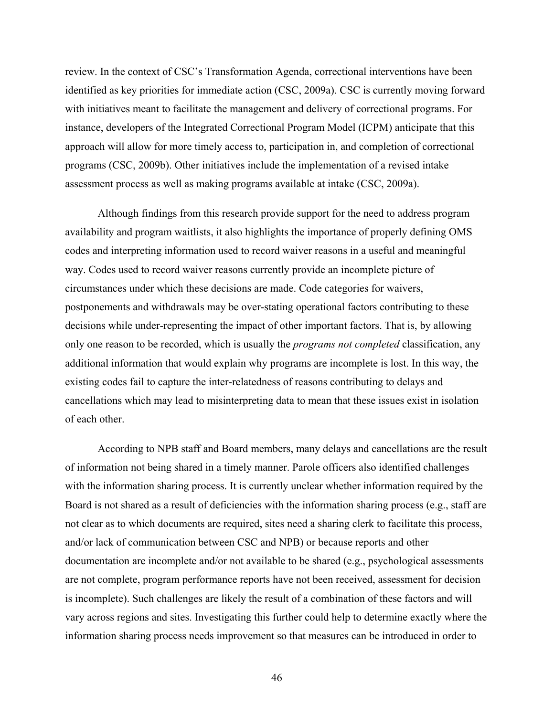review. In the context of CSC's Transformation Agenda, correctional interventions have been identified as key priorities for immediate action (CSC, 2009a). CSC is currently moving forward with initiatives meant to facilitate the management and delivery of correctional programs. For instance, developers of the Integrated Correctional Program Model (ICPM) anticipate that this approach will allow for more timely access to, participation in, and completion of correctional programs (CSC, 2009b). Other initiatives include the implementation of a revised intake assessment process as well as making programs available at intake (CSC, 2009a).

Although findings from this research provide support for the need to address program availability and program waitlists, it also highlights the importance of properly defining OMS codes and interpreting information used to record waiver reasons in a useful and meaningful way. Codes used to record waiver reasons currently provide an incomplete picture of circumstances under which these decisions are made. Code categories for waivers, postponements and withdrawals may be over-stating operational factors contributing to these decisions while under-representing the impact of other important factors. That is, by allowing only one reason to be recorded, which is usually the *programs not completed* classification, any additional information that would explain why programs are incomplete is lost. In this way, the existing codes fail to capture the inter-relatedness of reasons contributing to delays and cancellations which may lead to misinterpreting data to mean that these issues exist in isolation of each other.

According to NPB staff and Board members, many delays and cancellations are the result of information not being shared in a timely manner. Parole officers also identified challenges with the information sharing process. It is currently unclear whether information required by the Board is not shared as a result of deficiencies with the information sharing process (e.g., staff are not clear as to which documents are required, sites need a sharing clerk to facilitate this process, and/or lack of communication between CSC and NPB) or because reports and other documentation are incomplete and/or not available to be shared (e.g., psychological assessments are not complete, program performance reports have not been received, assessment for decision is incomplete). Such challenges are likely the result of a combination of these factors and will vary across regions and sites. Investigating this further could help to determine exactly where the information sharing process needs improvement so that measures can be introduced in order to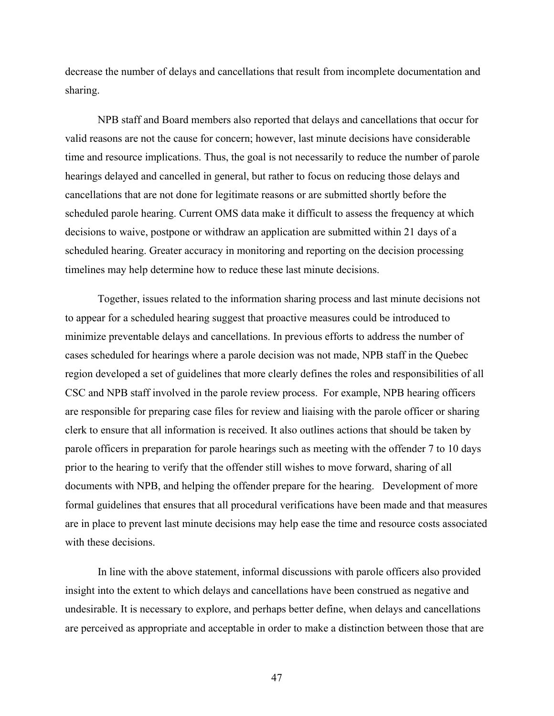decrease the number of delays and cancellations that result from incomplete documentation and sharing.

NPB staff and Board members also reported that delays and cancellations that occur for valid reasons are not the cause for concern; however, last minute decisions have considerable time and resource implications. Thus, the goal is not necessarily to reduce the number of parole hearings delayed and cancelled in general, but rather to focus on reducing those delays and cancellations that are not done for legitimate reasons or are submitted shortly before the scheduled parole hearing. Current OMS data make it difficult to assess the frequency at which decisions to waive, postpone or withdraw an application are submitted within 21 days of a scheduled hearing. Greater accuracy in monitoring and reporting on the decision processing timelines may help determine how to reduce these last minute decisions.

Together, issues related to the information sharing process and last minute decisions not to appear for a scheduled hearing suggest that proactive measures could be introduced to minimize preventable delays and cancellations. In previous efforts to address the number of cases scheduled for hearings where a parole decision was not made, NPB staff in the Quebec region developed a set of guidelines that more clearly defines the roles and responsibilities of all CSC and NPB staff involved in the parole review process. For example, NPB hearing officers are responsible for preparing case files for review and liaising with the parole officer or sharing clerk to ensure that all information is received. It also outlines actions that should be taken by parole officers in preparation for parole hearings such as meeting with the offender 7 to 10 days prior to the hearing to verify that the offender still wishes to move forward, sharing of all documents with NPB, and helping the offender prepare for the hearing. Development of more formal guidelines that ensures that all procedural verifications have been made and that measures are in place to prevent last minute decisions may help ease the time and resource costs associated with these decisions.

In line with the above statement, informal discussions with parole officers also provided insight into the extent to which delays and cancellations have been construed as negative and undesirable. It is necessary to explore, and perhaps better define, when delays and cancellations are perceived as appropriate and acceptable in order to make a distinction between those that are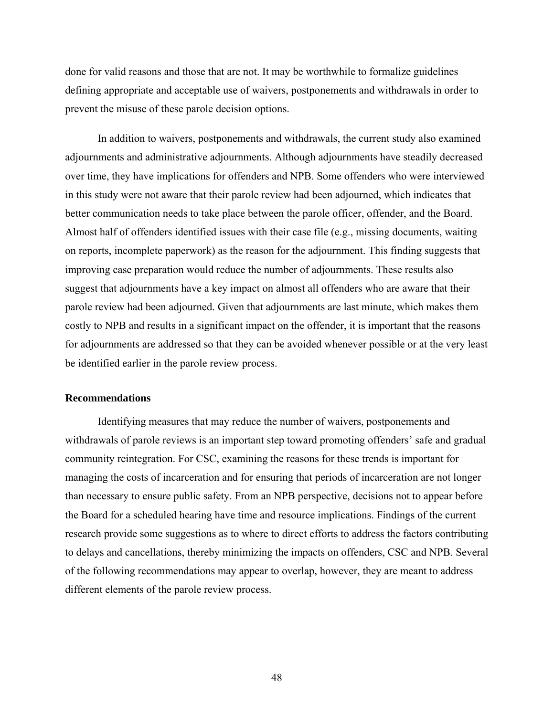done for valid reasons and those that are not. It may be worthwhile to formalize guidelines defining appropriate and acceptable use of waivers, postponements and withdrawals in order to prevent the misuse of these parole decision options.

In addition to waivers, postponements and withdrawals, the current study also examined adjournments and administrative adjournments. Although adjournments have steadily decreased over time, they have implications for offenders and NPB. Some offenders who were interviewed in this study were not aware that their parole review had been adjourned, which indicates that better communication needs to take place between the parole officer, offender, and the Board. Almost half of offenders identified issues with their case file (e.g., missing documents, waiting on reports, incomplete paperwork) as the reason for the adjournment. This finding suggests that improving case preparation would reduce the number of adjournments. These results also suggest that adjournments have a key impact on almost all offenders who are aware that their parole review had been adjourned. Given that adjournments are last minute, which makes them costly to NPB and results in a significant impact on the offender, it is important that the reasons for adjournments are addressed so that they can be avoided whenever possible or at the very least be identified earlier in the parole review process.

#### **Recommendations**

Identifying measures that may reduce the number of waivers, postponements and withdrawals of parole reviews is an important step toward promoting offenders' safe and gradual community reintegration. For CSC, examining the reasons for these trends is important for managing the costs of incarceration and for ensuring that periods of incarceration are not longer than necessary to ensure public safety. From an NPB perspective, decisions not to appear before the Board for a scheduled hearing have time and resource implications. Findings of the current research provide some suggestions as to where to direct efforts to address the factors contributing to delays and cancellations, thereby minimizing the impacts on offenders, CSC and NPB. Several of the following recommendations may appear to overlap, however, they are meant to address different elements of the parole review process.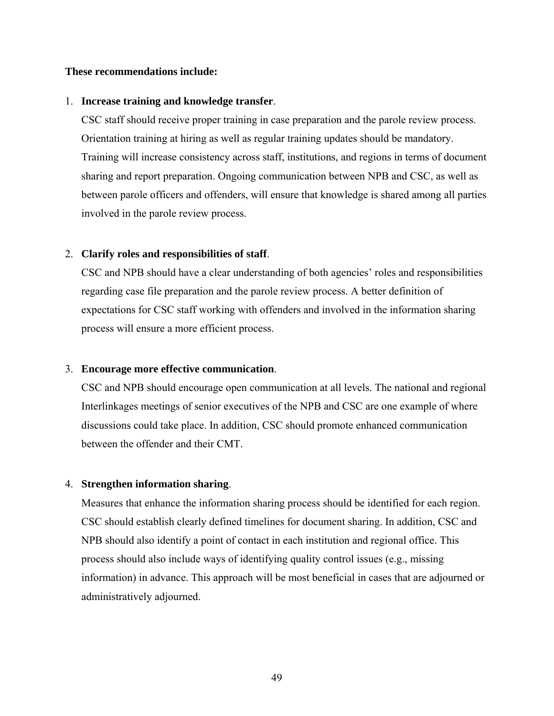## **These recommendations include:**

## 1. **Increase training and knowledge transfer**.

CSC staff should receive proper training in case preparation and the parole review process. Orientation training at hiring as well as regular training updates should be mandatory. Training will increase consistency across staff, institutions, and regions in terms of document sharing and report preparation. Ongoing communication between NPB and CSC, as well as between parole officers and offenders, will ensure that knowledge is shared among all parties involved in the parole review process.

# 2. **Clarify roles and responsibilities of staff**.

CSC and NPB should have a clear understanding of both agencies' roles and responsibilities regarding case file preparation and the parole review process. A better definition of expectations for CSC staff working with offenders and involved in the information sharing process will ensure a more efficient process.

## 3. **Encourage more effective communication**.

CSC and NPB should encourage open communication at all levels. The national and regional Interlinkages meetings of senior executives of the NPB and CSC are one example of where discussions could take place. In addition, CSC should promote enhanced communication between the offender and their CMT.

## 4. **Strengthen information sharing**.

Measures that enhance the information sharing process should be identified for each region. CSC should establish clearly defined timelines for document sharing. In addition, CSC and NPB should also identify a point of contact in each institution and regional office. This process should also include ways of identifying quality control issues (e.g., missing information) in advance. This approach will be most beneficial in cases that are adjourned or administratively adjourned.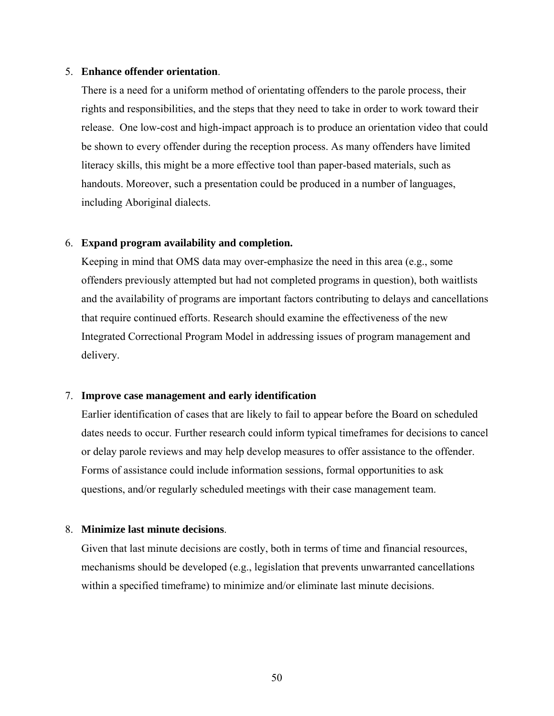## 5. **Enhance offender orientation**.

There is a need for a uniform method of orientating offenders to the parole process, their rights and responsibilities, and the steps that they need to take in order to work toward their release. One low-cost and high-impact approach is to produce an orientation video that could be shown to every offender during the reception process. As many offenders have limited literacy skills, this might be a more effective tool than paper-based materials, such as handouts. Moreover, such a presentation could be produced in a number of languages, including Aboriginal dialects.

## 6. **Expand program availability and completion.**

Keeping in mind that OMS data may over-emphasize the need in this area (e.g., some offenders previously attempted but had not completed programs in question), both waitlists and the availability of programs are important factors contributing to delays and cancellations that require continued efforts. Research should examine the effectiveness of the new Integrated Correctional Program Model in addressing issues of program management and delivery.

#### 7. **Improve case management and early identification**

Earlier identification of cases that are likely to fail to appear before the Board on scheduled dates needs to occur. Further research could inform typical timeframes for decisions to cancel or delay parole reviews and may help develop measures to offer assistance to the offender. Forms of assistance could include information sessions, formal opportunities to ask questions, and/or regularly scheduled meetings with their case management team.

## 8. **Minimize last minute decisions**.

Given that last minute decisions are costly, both in terms of time and financial resources, mechanisms should be developed (e.g., legislation that prevents unwarranted cancellations within a specified timeframe) to minimize and/or eliminate last minute decisions.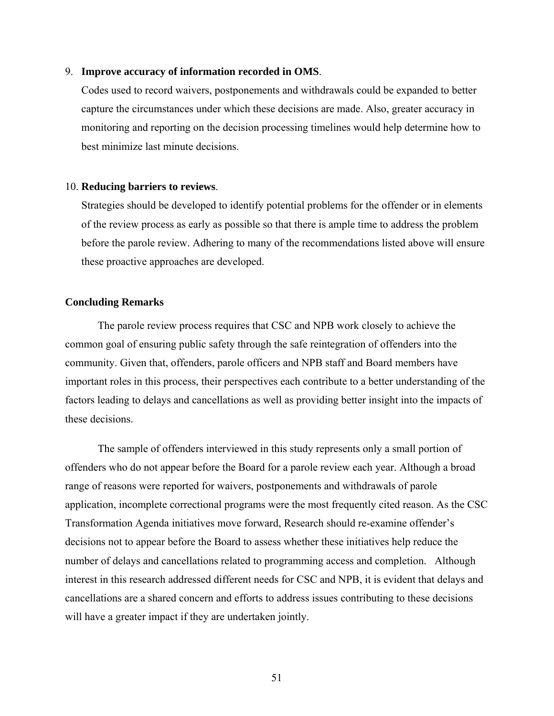## 9. **Improve accuracy of information recorded in OMS**.

Codes used to record waivers, postponements and withdrawals could be expanded to better capture the circumstances under which these decisions are made. Also, greater accuracy in monitoring and reporting on the decision processing timelines would help determine how to best minimize last minute decisions.

#### 10. **Reducing barriers to reviews**.

Strategies should be developed to identify potential problems for the offender or in elements of the review process as early as possible so that there is ample time to address the problem before the parole review. Adhering to many of the recommendations listed above will ensure these proactive approaches are developed.

#### **Concluding Remarks**

The parole review process requires that CSC and NPB work closely to achieve the common goal of ensuring public safety through the safe reintegration of offenders into the community. Given that, offenders, parole officers and NPB staff and Board members have important roles in this process, their perspectives each contribute to a better understanding of the factors leading to delays and cancellations as well as providing better insight into the impacts of these decisions.

The sample of offenders interviewed in this study represents only a small portion of offenders who do not appear before the Board for a parole review each year. Although a broad range of reasons were reported for waivers, postponements and withdrawals of parole application, incomplete correctional programs were the most frequently cited reason. As the CSC Transformation Agenda initiatives move forward, Research should re-examine offender's decisions not to appear before the Board to assess whether these initiatives help reduce the number of delays and cancellations related to programming access and completion. Although interest in this research addressed different needs for CSC and NPB, it is evident that delays and cancellations are a shared concern and efforts to address issues contributing to these decisions will have a greater impact if they are undertaken jointly.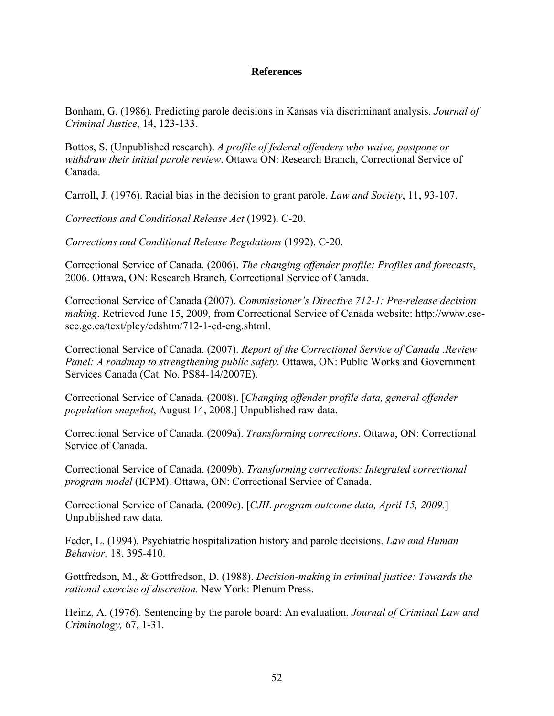## **References**

Bonham, G. (1986). Predicting parole decisions in Kansas via discriminant analysis. *Journal of Criminal Justice*, 14, 123-133.

Bottos, S. (Unpublished research). *A profile of federal offenders who waive, postpone or withdraw their initial parole review*. Ottawa ON: Research Branch, Correctional Service of Canada.

Carroll, J. (1976). Racial bias in the decision to grant parole. *Law and Society*, 11, 93-107.

*Corrections and Conditional Release Act* (1992). C-20.

*Corrections and Conditional Release Regulations* (1992). C-20.

Correctional Service of Canada. (2006). *The changing offender profile: Profiles and forecasts*, 2006. Ottawa, ON: Research Branch, Correctional Service of Canada.

Correctional Service of Canada (2007). *Commissioner's Directive 712-1: Pre-release decision making*. Retrieved June 15, 2009, from Correctional Service of Canada website: http://www.cscscc.gc.ca/text/plcy/cdshtm/712-1-cd-eng.shtml.

Correctional Service of Canada. (2007). *Report of the Correctional Service of Canada .Review Panel: A roadmap to strengthening public safety*. Ottawa, ON: Public Works and Government Services Canada (Cat. No. PS84-14/2007E).

Correctional Service of Canada. (2008). [*Changing offender profile data, general offender population snapshot*, August 14, 2008.] Unpublished raw data.

Correctional Service of Canada. (2009a). *Transforming corrections*. Ottawa, ON: Correctional Service of Canada.

Correctional Service of Canada. (2009b). *Transforming corrections: Integrated correctional program model* (ICPM). Ottawa, ON: Correctional Service of Canada.

Correctional Service of Canada. (2009c). [*CJIL program outcome data, April 15, 2009.*] Unpublished raw data.

Feder, L. (1994). Psychiatric hospitalization history and parole decisions. *Law and Human Behavior,* 18, 395-410.

Gottfredson, M., & Gottfredson, D. (1988). *Decision-making in criminal justice: Towards the rational exercise of discretion.* New York: Plenum Press.

Heinz, A. (1976). Sentencing by the parole board: An evaluation. *Journal of Criminal Law and Criminology,* 67, 1-31.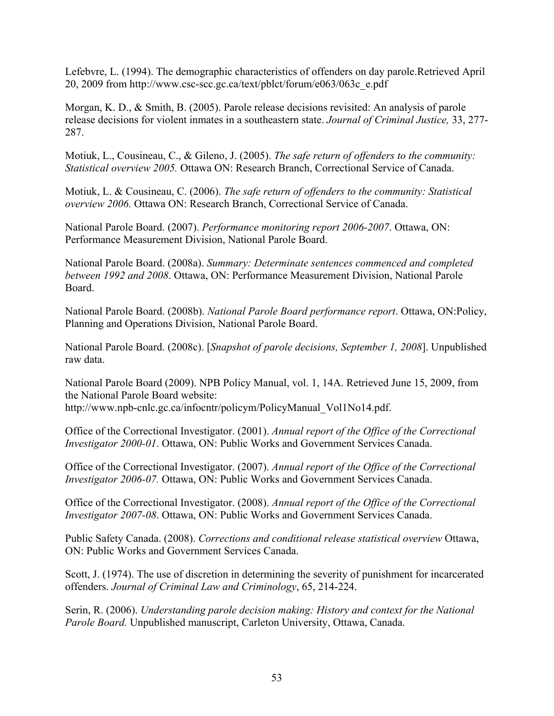Lefebvre, L. (1994). The demographic characteristics of offenders on day parole.Retrieved April 20, 2009 from http://www.csc-scc.gc.ca/text/pblct/forum/e063/063c\_e.pdf

Morgan, K. D., & Smith, B. (2005). Parole release decisions revisited: An analysis of parole release decisions for violent inmates in a southeastern state. *Journal of Criminal Justice,* 33, 277- 287.

Motiuk, L., Cousineau, C., & Gileno, J. (2005). *The safe return of offenders to the community: Statistical overview 2005.* Ottawa ON: Research Branch, Correctional Service of Canada.

Motiuk, L. & Cousineau, C. (2006). *The safe return of offenders to the community: Statistical overview 2006.* Ottawa ON: Research Branch, Correctional Service of Canada.

National Parole Board. (2007). *Performance monitoring report 2006-2007*. Ottawa, ON: Performance Measurement Division, National Parole Board.

National Parole Board. (2008a). *Summary: Determinate sentences commenced and completed between 1992 and 2008*. Ottawa, ON: Performance Measurement Division, National Parole Board.

National Parole Board. (2008b). *National Parole Board performance report*. Ottawa, ON:Policy, Planning and Operations Division, National Parole Board.

National Parole Board. (2008c). [*Snapshot of parole decisions, September 1, 2008*]. Unpublished raw data.

National Parole Board (2009). NPB Policy Manual, vol. 1, 14A. Retrieved June 15, 2009, from the National Parole Board website:

http://www.npb-cnlc.gc.ca/infocntr/policym/PolicyManual\_Vol1No14.pdf.

Office of the Correctional Investigator. (2001). *Annual report of the Office of the Correctional Investigator 2000-01*. Ottawa, ON: Public Works and Government Services Canada.

Office of the Correctional Investigator. (2007). *Annual report of the Office of the Correctional Investigator 2006-07.* Ottawa, ON: Public Works and Government Services Canada.

Office of the Correctional Investigator. (2008). *Annual report of the Office of the Correctional Investigator 2007-08*. Ottawa, ON: Public Works and Government Services Canada.

Public Safety Canada. (2008). *Corrections and conditional release statistical overview* Ottawa, ON: Public Works and Government Services Canada.

Scott, J. (1974). The use of discretion in determining the severity of punishment for incarcerated offenders. *Journal of Criminal Law and Criminology*, 65, 214-224.

Serin, R. (2006). *Understanding parole decision making: History and context for the National Parole Board.* Unpublished manuscript, Carleton University, Ottawa, Canada.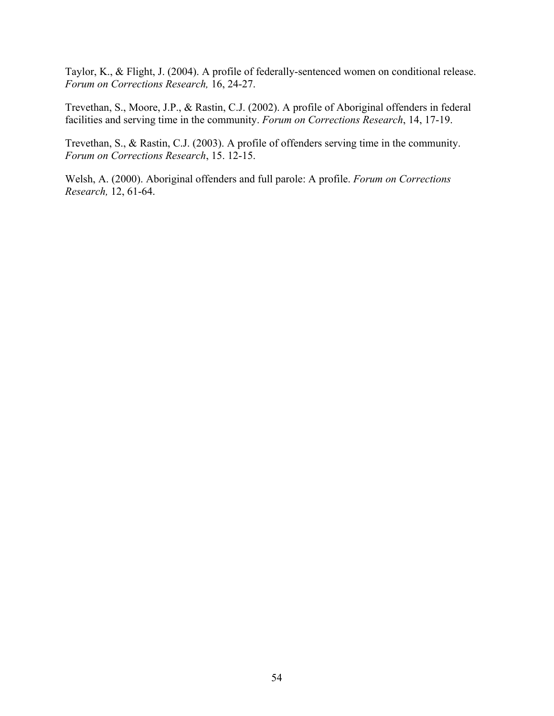Taylor, K., & Flight, J. (2004). A profile of federally-sentenced women on conditional release. *Forum on Corrections Research,* 16, 24-27.

Trevethan, S., Moore, J.P., & Rastin, C.J. (2002). A profile of Aboriginal offenders in federal facilities and serving time in the community. *Forum on Corrections Research*, 14, 17-19.

Trevethan, S., & Rastin, C.J. (2003). A profile of offenders serving time in the community. *Forum on Corrections Research*, 15. 12-15.

Welsh, A. (2000). Aboriginal offenders and full parole: A profile. *Forum on Corrections Research,* 12, 61-64.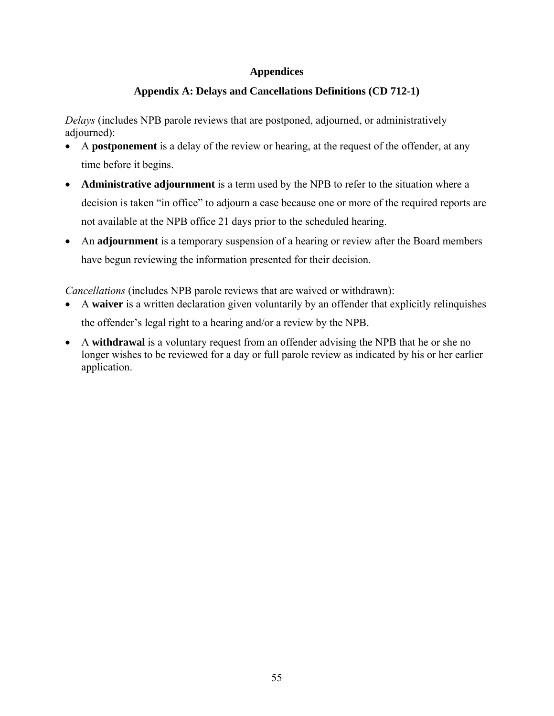# **Appendices**

# **Appendix A: Delays and Cancellations Definitions (CD 712-1)**

*Delays* (includes NPB parole reviews that are postponed, adjourned, or administratively adjourned):

- A **postponement** is a delay of the review or hearing, at the request of the offender, at any time before it begins.
- **Administrative adjournment** is a term used by the NPB to refer to the situation where a decision is taken "in office" to adjourn a case because one or more of the required reports are not available at the NPB office 21 days prior to the scheduled hearing.
- An **adjournment** is a temporary suspension of a hearing or review after the Board members have begun reviewing the information presented for their decision.

*Cancellations* (includes NPB parole reviews that are waived or withdrawn):

- A **waiver** is a written declaration given voluntarily by an offender that explicitly relinquishes the offender's legal right to a hearing and/or a review by the NPB.
- A **withdrawal** is a voluntary request from an offender advising the NPB that he or she no longer wishes to be reviewed for a day or full parole review as indicated by his or her earlier application.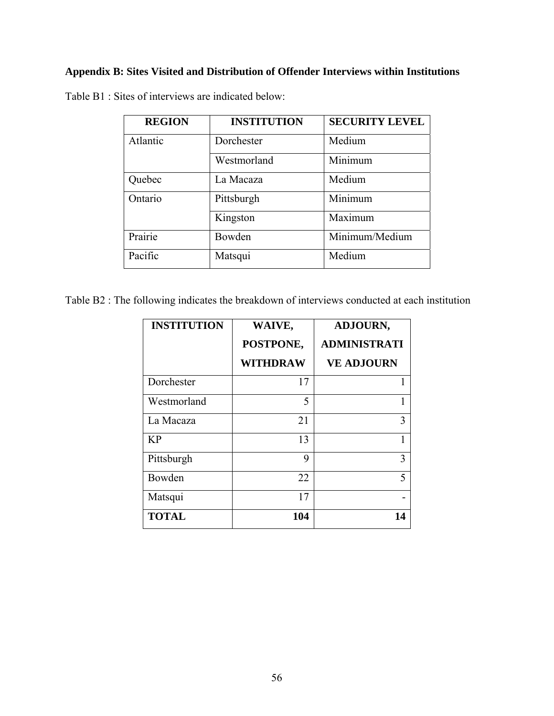# **Appendix B: Sites Visited and Distribution of Offender Interviews within Institutions**

| <b>REGION</b> | <b>INSTITUTION</b> | <b>SECURITY LEVEL</b> |
|---------------|--------------------|-----------------------|
| Atlantic      | Dorchester         | Medium                |
|               | Westmorland        | Minimum               |
| Quebec        | La Macaza          | Medium                |
| Ontario       | Pittsburgh         | Minimum               |
|               | Kingston           | Maximum               |
| Prairie       | Bowden             | Minimum/Medium        |
| Pacific       | Matsqui            | Medium                |

Table B1 : Sites of interviews are indicated below:

Table B2 : The following indicates the breakdown of interviews conducted at each institution

| <b>INSTITUTION</b> | WAIVE,<br>POSTPONE, | <b>ADJOURN,</b><br><b>ADMINISTRATI</b> |
|--------------------|---------------------|----------------------------------------|
|                    | <b>WITHDRAW</b>     | <b>VE ADJOURN</b>                      |
| Dorchester         | 17                  |                                        |
| Westmorland        | 5                   |                                        |
| La Macaza          | 21                  | 3                                      |
| <b>KP</b>          | 13                  |                                        |
| Pittsburgh         | 9                   | 3                                      |
| Bowden             | 22                  | 5                                      |
| Matsqui            | 17                  |                                        |
| <b>TOTAL</b>       | 104                 | 14                                     |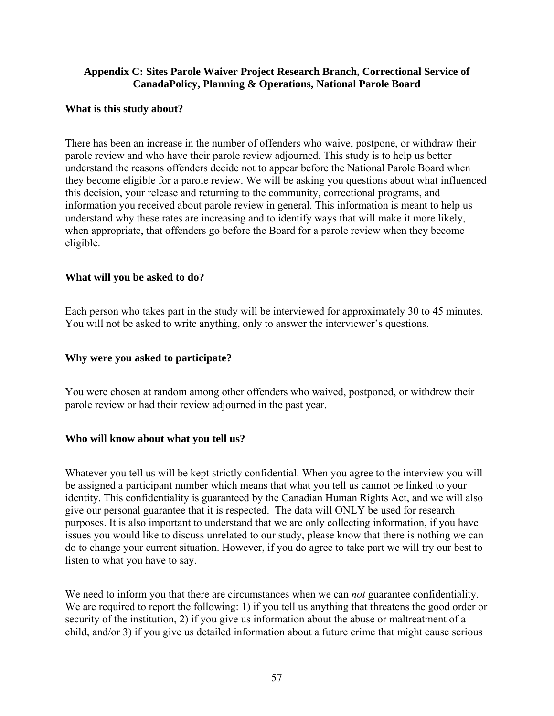# **Appendix C: Sites Parole Waiver Project Research Branch, Correctional Service of CanadaPolicy, Planning & Operations, National Parole Board**

# **What is this study about?**

There has been an increase in the number of offenders who waive, postpone, or withdraw their parole review and who have their parole review adjourned. This study is to help us better understand the reasons offenders decide not to appear before the National Parole Board when they become eligible for a parole review. We will be asking you questions about what influenced this decision, your release and returning to the community, correctional programs, and information you received about parole review in general. This information is meant to help us understand why these rates are increasing and to identify ways that will make it more likely, when appropriate, that offenders go before the Board for a parole review when they become eligible.

# **What will you be asked to do?**

Each person who takes part in the study will be interviewed for approximately 30 to 45 minutes. You will not be asked to write anything, only to answer the interviewer's questions.

# **Why were you asked to participate?**

You were chosen at random among other offenders who waived, postponed, or withdrew their parole review or had their review adjourned in the past year.

## **Who will know about what you tell us?**

Whatever you tell us will be kept strictly confidential. When you agree to the interview you will be assigned a participant number which means that what you tell us cannot be linked to your identity. This confidentiality is guaranteed by the Canadian Human Rights Act, and we will also give our personal guarantee that it is respected. The data will ONLY be used for research purposes. It is also important to understand that we are only collecting information, if you have issues you would like to discuss unrelated to our study, please know that there is nothing we can do to change your current situation. However, if you do agree to take part we will try our best to listen to what you have to say.

We need to inform you that there are circumstances when we can *not* guarantee confidentiality. We are required to report the following: 1) if you tell us anything that threatens the good order or security of the institution, 2) if you give us information about the abuse or maltreatment of a child, and/or 3) if you give us detailed information about a future crime that might cause serious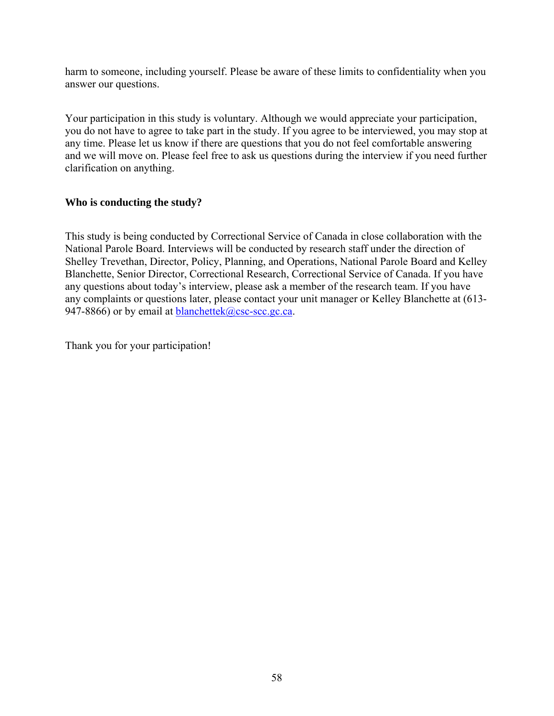harm to someone, including yourself. Please be aware of these limits to confidentiality when you answer our questions.

Your participation in this study is voluntary. Although we would appreciate your participation, you do not have to agree to take part in the study. If you agree to be interviewed, you may stop at any time. Please let us know if there are questions that you do not feel comfortable answering and we will move on. Please feel free to ask us questions during the interview if you need further clarification on anything.

# **Who is conducting the study?**

This study is being conducted by Correctional Service of Canada in close collaboration with the National Parole Board. Interviews will be conducted by research staff under the direction of Shelley Trevethan, Director, Policy, Planning, and Operations, National Parole Board and Kelley Blanchette, Senior Director, Correctional Research, Correctional Service of Canada. If you have any questions about today's interview, please ask a member of the research team. If you have any complaints or questions later, please contact your unit manager or Kelley Blanchette at (613- 947-8866) or by email at **blanchettek**@csc-scc.gc.ca.

Thank you for your participation!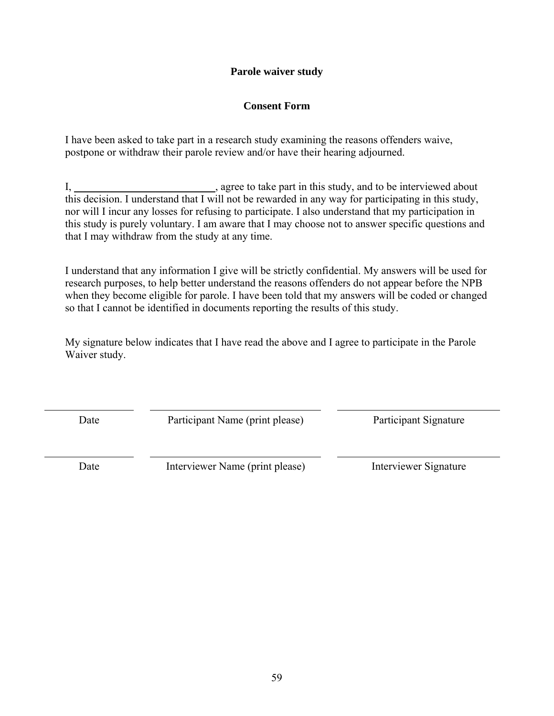# **Parole waiver study**

# **Consent Form**

I have been asked to take part in a research study examining the reasons offenders waive, postpone or withdraw their parole review and/or have their hearing adjourned.

I, \_\_\_\_\_\_\_\_\_\_\_\_\_\_\_\_\_\_\_\_\_\_\_\_\_\_, agree to take part in this study, and to be interviewed about this decision. I understand that I will not be rewarded in any way for participating in this study, nor will I incur any losses for refusing to participate. I also understand that my participation in this study is purely voluntary. I am aware that I may choose not to answer specific questions and that I may withdraw from the study at any time.

I understand that any information I give will be strictly confidential. My answers will be used for research purposes, to help better understand the reasons offenders do not appear before the NPB when they become eligible for parole. I have been told that my answers will be coded or changed so that I cannot be identified in documents reporting the results of this study.

My signature below indicates that I have read the above and I agree to participate in the Parole Waiver study.

Date Participant Name (print please) Participant Signature

Date Interviewer Name (print please) Interviewer Signature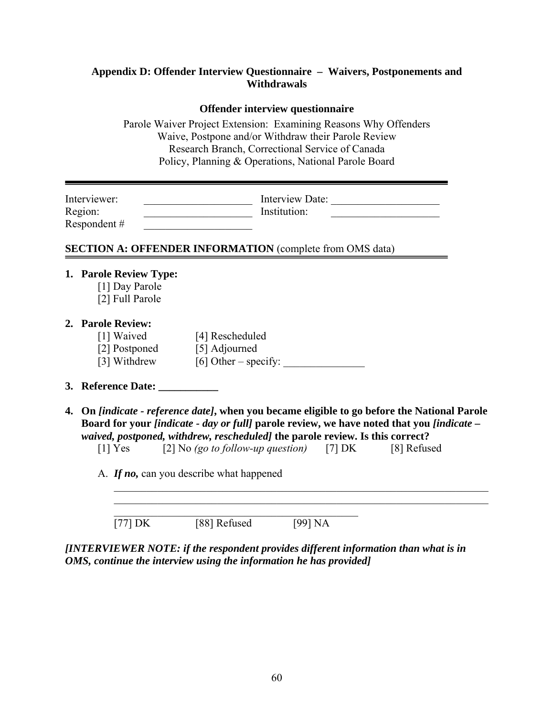# **Appendix D: Offender Interview Questionnaire – Waivers, Postponements and Withdrawals**

## **Offender interview questionnaire**

Parole Waiver Project Extension: Examining Reasons Why Offenders Waive, Postpone and/or Withdraw their Parole Review Research Branch, Correctional Service of Canada Policy, Planning & Operations, National Parole Board

| Interviewer:<br>Region:<br>Respondent#                      |                                                                                                                                                                                                                                                                                                                                                                    | Institution: | Interview Date: |  |
|-------------------------------------------------------------|--------------------------------------------------------------------------------------------------------------------------------------------------------------------------------------------------------------------------------------------------------------------------------------------------------------------------------------------------------------------|--------------|-----------------|--|
|                                                             | <b>SECTION A: OFFENDER INFORMATION</b> (complete from OMS data)                                                                                                                                                                                                                                                                                                    |              |                 |  |
| 1. Parole Review Type:<br>[1] Day Parole<br>[2] Full Parole |                                                                                                                                                                                                                                                                                                                                                                    |              |                 |  |
| 2. Parole Review:                                           | [1] Waived [4] Rescheduled<br>[2] Postponed [5] Adjourned<br>[3] Withdrew $[6]$ Other – specify:                                                                                                                                                                                                                                                                   |              |                 |  |
|                                                             | 3. Reference Date: ___________                                                                                                                                                                                                                                                                                                                                     |              |                 |  |
|                                                             | 4. On <i>[indicate - reference date]</i> , when you became eligible to go before the National Parole<br>Board for your <i>[indicate - day or full]</i> parole review, we have noted that you <i>[indicate -</i><br>waived, postponed, withdrew, rescheduled] the parole review. Is this correct?<br>[1] Yes $[2]$ No (go to follow-up question) [7] DK [8] Refused |              |                 |  |
|                                                             | A. If no, can you describe what happened                                                                                                                                                                                                                                                                                                                           |              |                 |  |
| [77] DK                                                     | [88] Refused                                                                                                                                                                                                                                                                                                                                                       | [99] NA      |                 |  |

*[INTERVIEWER NOTE: if the respondent provides different information than what is in OMS, continue the interview using the information he has provided]*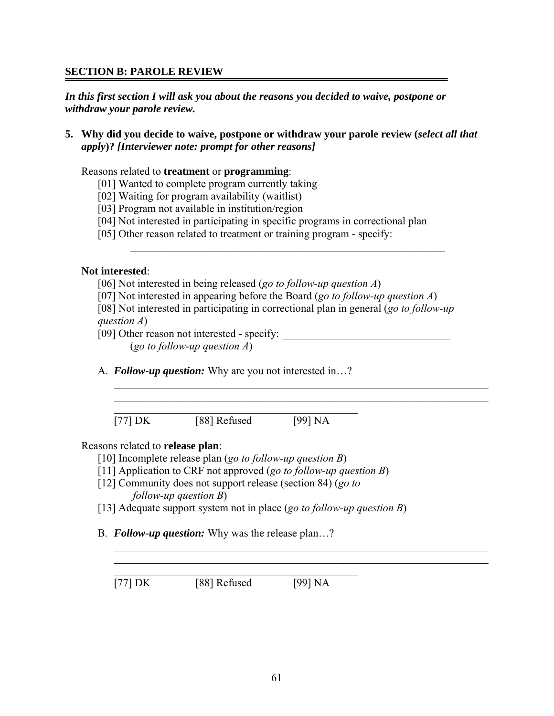# **SECTION B: PAROLE REVIEW**

*In this first section I will ask you about the reasons you decided to waive, postpone or withdraw your parole review.* 

**5. Why did you decide to waive, postpone or withdraw your parole review (***select all that apply***)?** *[Interviewer note: prompt for other reasons]*

Reasons related to **treatment** or **programming**:

- [01] Wanted to complete program currently taking
- [02] Waiting for program availability (waitlist)
- [03] Program not available in institution/region
- [04] Not interested in participating in specific programs in correctional plan
- [05] Other reason related to treatment or training program specify:

## **Not interested**:

- [06] Not interested in being released (*go to follow-up question A*)
- [07] Not interested in appearing before the Board (*go to follow-up question A*)
- [08] Not interested in participating in correctional plan in general (*go to follow-up question A*)

 $\mathcal{L}_\text{max}$  and the contract of the contract of the contract of the contract of the contract of the contract of the contract of the contract of the contract of the contract of the contract of the contract of the contrac

[09] Other reason not interested - specify: (*go to follow-up question A*)

A. *Follow-up question:* Why are you not interested in…?

| $[77]$ DK | [88] Refused | [99] NA |
|-----------|--------------|---------|

 $\_$  , and the contribution of the contribution of  $\mathcal{L}_\mathcal{A}$  , and the contribution of  $\mathcal{L}_\mathcal{A}$  $\_$  , and the contribution of the contribution of  $\mathcal{L}_\mathcal{A}$  , and the contribution of  $\mathcal{L}_\mathcal{A}$ 

## Reasons related to **release plan**:

- [10] Incomplete release plan (*go to follow-up question B*)
- [11] Application to CRF not approved (*go to follow-up question B*)
- [12] Community does not support release (section 84) (*go to follow-up question B*)
- [13] Adequate support system not in place (*go to follow-up question B*)
- B. *Follow-up question:* Why was the release plan…?

 $\mathcal{L}_\mathcal{L}$  , and the set of the set of the set of the set of the set of the set of the set of the set of the set of the set of the set of the set of the set of the set of the set of the set of the set of the set of th

[77] DK [88] Refused [99] NA

 $\mathcal{L}_\text{max} = \mathcal{L}_\text{max} = \mathcal{L}_\text{max} = \mathcal{L}_\text{max} = \mathcal{L}_\text{max} = \mathcal{L}_\text{max} = \mathcal{L}_\text{max} = \mathcal{L}_\text{max} = \mathcal{L}_\text{max} = \mathcal{L}_\text{max} = \mathcal{L}_\text{max} = \mathcal{L}_\text{max} = \mathcal{L}_\text{max} = \mathcal{L}_\text{max} = \mathcal{L}_\text{max} = \mathcal{L}_\text{max} = \mathcal{L}_\text{max} = \mathcal{L}_\text{max} = \mathcal{$  $\_$  , and the contribution of the contribution of  $\mathcal{L}_\mathcal{A}$  , and the contribution of  $\mathcal{L}_\mathcal{A}$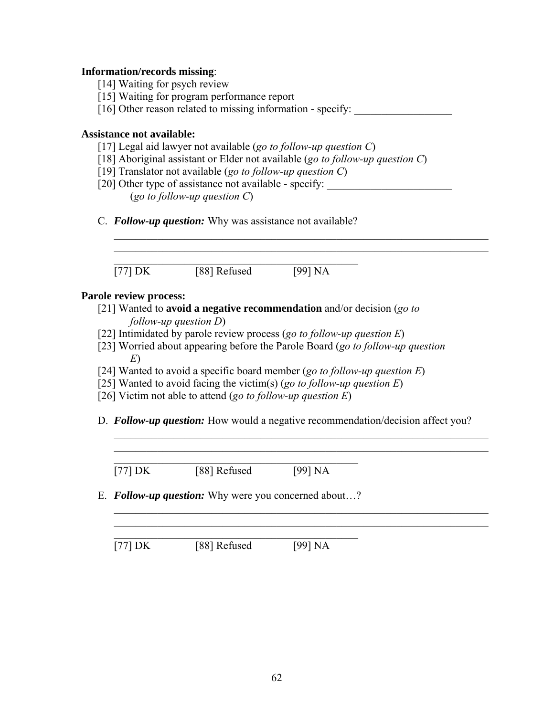#### **Information/records missing**:

- [14] Waiting for psych review
- [15] Waiting for program performance report
- [16] Other reason related to missing information specify:

#### **Assistance not available:**

- [17] Legal aid lawyer not available (*go to follow-up question C*)
- [18] Aboriginal assistant or Elder not available (*go to follow-up question C*)
- [19] Translator not available (*go to follow-up question C*)
- [20] Other type of assistance not available specify:

(*go to follow-up question C*)

C. *Follow-up question:* Why was assistance not available?

 $\mathcal{L}_\text{max}$  and  $\mathcal{L}_\text{max}$  and  $\mathcal{L}_\text{max}$  and  $\mathcal{L}_\text{max}$  and  $\mathcal{L}_\text{max}$ [77] DK [88] Refused [99] NA

#### **Parole review process:**

- [21] Wanted to **avoid a negative recommendation** and/or decision (*go to follow-up question D*)
- [22] Intimidated by parole review process (*go to follow-up question E*)
- [23] Worried about appearing before the Parole Board (*go to follow-up question E*)

 $\mathcal{L}_\text{max}$  , and the contribution of the contribution of the contribution of the contribution of the contribution of the contribution of the contribution of the contribution of the contribution of the contribution of t

- [24] Wanted to avoid a specific board member (*go to follow-up question E*)
- [25] Wanted to avoid facing the victim(s) (*go to follow-up question E*)

\_\_\_\_\_\_\_\_\_\_\_\_\_\_\_\_\_\_\_\_\_\_\_\_\_\_\_\_\_\_\_\_\_\_\_\_\_\_\_\_\_\_\_\_\_\_\_\_\_\_\_\_\_\_\_\_\_\_\_\_\_\_\_\_\_\_\_\_\_

- [26] Victim not able to attend (*go to follow-up question E*)
- D. *Follow-up question:* How would a negative recommendation/decision affect you?

 $\mathcal{L}_\text{max}$  , and the contribution of the contribution of the contribution of the contribution of the contribution of the contribution of the contribution of the contribution of the contribution of the contribution of t

 $\mathcal{L}_\text{max}$  and  $\mathcal{L}_\text{max}$  and  $\mathcal{L}_\text{max}$  and  $\mathcal{L}_\text{max}$  and  $\mathcal{L}_\text{max}$ [77] DK [88] Refused [99] NA

E. *Follow-up question:* Why were you concerned about…?

 $\mathcal{L}_\text{max}$  and  $\mathcal{L}_\text{max}$  and  $\mathcal{L}_\text{max}$  and  $\mathcal{L}_\text{max}$  and  $\mathcal{L}_\text{max}$ 

 $\boxed{77}$  DK  $\boxed{88}$  Refused  $\boxed{99}$  NA

 $\mathcal{L}_\text{max}$  , and the contribution of the contribution of the contribution of the contribution of the contribution of the contribution of the contribution of the contribution of the contribution of the contribution of t  $\mathcal{L}_\text{max}$  , and the contribution of the contribution of the contribution of the contribution of the contribution of the contribution of the contribution of the contribution of the contribution of the contribution of t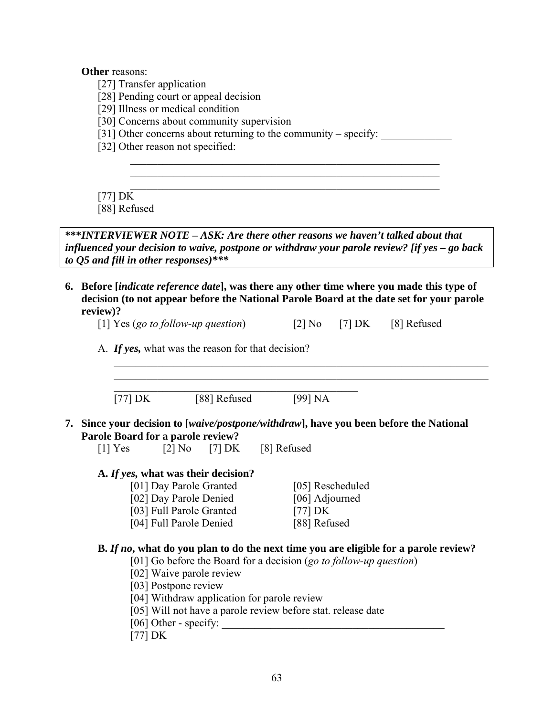**Other** reasons:

- [27] Transfer application
- [28] Pending court or appeal decision
- [29] Illness or medical condition
- [30] Concerns about community supervision
- [31] Other concerns about returning to the community specify:

 $\mathcal{L}_\text{max} = \frac{1}{2} \sum_{i=1}^n \frac{1}{2} \sum_{i=1}^n \frac{1}{2} \sum_{i=1}^n \frac{1}{2} \sum_{i=1}^n \frac{1}{2} \sum_{i=1}^n \frac{1}{2} \sum_{i=1}^n \frac{1}{2} \sum_{i=1}^n \frac{1}{2} \sum_{i=1}^n \frac{1}{2} \sum_{i=1}^n \frac{1}{2} \sum_{i=1}^n \frac{1}{2} \sum_{i=1}^n \frac{1}{2} \sum_{i=1}^n \frac{1}{2} \sum_{i=1}^n$  $\mathcal{L}_\text{max} = \frac{1}{2} \sum_{i=1}^n \mathcal{L}_\text{max} \left[ \mathcal{L}_\text{max} \left( \mathcal{L}_\text{max} \right) - \mathcal{L}_\text{max} \left( \mathcal{L}_\text{max} \right) \right]$ 

[32] Other reason not specified:

[77] DK

[88] Refused

**\*\*\****INTERVIEWER NOTE – ASK: Are there other reasons we haven't talked about that influenced your decision to waive, postpone or withdraw your parole review? [if yes – go back to Q5 and fill in other responses)\*\*\** 

**6. Before [***indicate reference date***], was there any other time where you made this type of decision (to not appear before the National Parole Board at the date set for your parole review)?** 

 $\_$  , and the contribution of the contribution of  $\mathcal{L}_\mathcal{A}$  , and the contribution of  $\mathcal{L}_\mathcal{A}$ 

A. *If yes,* what was the reason for that decision?

| $[77]$ DK | [88] Refused | [99] NA |
|-----------|--------------|---------|

**7. Since your decision to [***waive/postpone/withdraw***], have you been before the National Parole Board for a parole review?** 

 $[1]$  Yes  $[2]$  No  $[7]$  DK  $[8]$  Refused

#### **A.** *If yes,* **what was their decision?**

| [01] Day Parole Granted  | [05] Rescheduled |
|--------------------------|------------------|
| [02] Day Parole Denied   | [06] Adjourned   |
| [03] Full Parole Granted | $[77]$ DK        |
| [04] Full Parole Denied  | [88] Refused     |

#### **B.** *If no***, what do you plan to do the next time you are eligible for a parole review?**

[01] Go before the Board for a decision (*go to follow-up question*)

- [02] Waive parole review
- [03] Postpone review
- [04] Withdraw application for parole review
- [05] Will not have a parole review before stat. release date
- [06] Other specify:
- [77] DK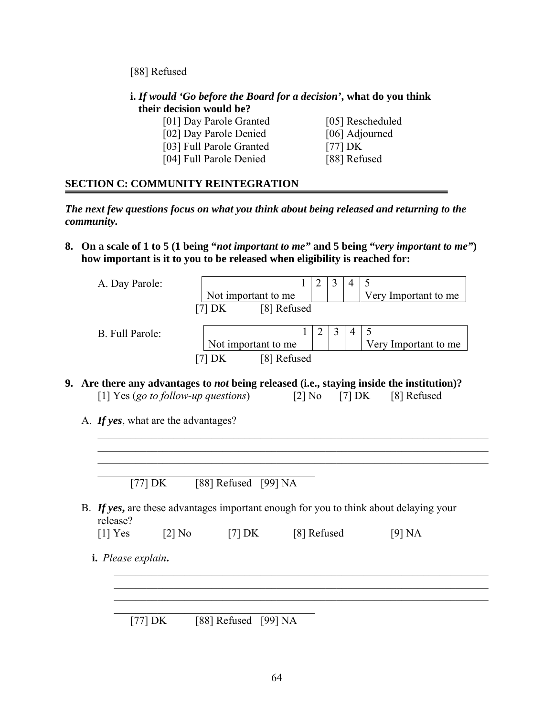[88] Refused

#### **i.** *If would 'Go before the Board for a decision'***, what do you think their decision would be?**

- [01] Day Parole Granted [05] Rescheduled
	-
- [02] Day Parole Denied [06] Adjourned
	-
- [03] Full Parole Granted [77] DK [04] Full Parole Denied [88] Refused
	-

## **SECTION C: COMMUNITY REINTEGRATION**

*The next few questions focus on what you think about being released and returning to the community.* 

**8. On a scale of 1 to 5 (1 being "***not important to me"* **and 5 being "***very important to me"***) how important is it to you to be released when eligibility is reached for:** 

| A. Day Parole:  |                       |  |  |                      |
|-----------------|-----------------------|--|--|----------------------|
|                 | Not important to me   |  |  | Very Important to me |
|                 | [8] Refused<br>171 DK |  |  |                      |
|                 |                       |  |  |                      |
| B. Full Parole: |                       |  |  |                      |
|                 | Not important to me   |  |  | Very Important to me |
|                 | [8] Refused           |  |  |                      |
|                 |                       |  |  |                      |

 $\mathcal{L}_\text{max}$  , and the contribution of the contribution of the contribution of the contribution of the contribution of the contribution of the contribution of the contribution of the contribution of the contribution of t  $\mathcal{L} = \{ \mathcal{L} \mid \mathcal{L} \in \mathcal{L} \}$  , where  $\mathcal{L} = \{ \mathcal{L} \mid \mathcal{L} \in \mathcal{L} \}$  , where  $\mathcal{L} = \{ \mathcal{L} \mid \mathcal{L} \in \mathcal{L} \}$ 

 $\_$  , and the contribution of the contribution of  $\mathcal{L}_\mathcal{A}$  , and the contribution of  $\mathcal{L}_\mathcal{A}$  $\_$  , and the contribution of the contribution of  $\mathcal{L}_\mathcal{A}$  , and the contribution of  $\mathcal{L}_\mathcal{A}$ 

- **9. Are there any advantages to** *not* **being released (i.e., staying inside the institution)?**  [1] Yes (*go to follow-up questions*) [2] No [7] DK [8] Refused
	- A. *If yes*, what are the advantages?

 $\mathcal{L}_\text{max}$  , and the set of the set of the set of the set of the set of the set of the set of the set of the set of the set of the set of the set of the set of the set of the set of the set of the set of the set of the [77] DK [88] Refused [99] NA

\_\_\_\_\_\_\_\_\_\_\_\_\_\_\_\_\_\_\_\_\_\_\_\_\_\_\_\_\_\_\_\_\_\_\_\_\_\_\_\_\_\_\_\_\_\_\_\_\_\_\_\_\_\_\_\_\_\_\_\_\_\_\_\_\_\_\_\_\_\_\_\_

B. *If yes***,** are these advantages important enough for you to think about delaying your release?

|  | [1] $Yes$ | $[2]$ No | $[7]$ DK | [8] Refused | [9] NA |
|--|-----------|----------|----------|-------------|--------|
|--|-----------|----------|----------|-------------|--------|

 $\mathcal{L}_\text{max}$ 

**i.** *Please explain***.** 

 $\mathcal{L}_\text{max}$ [77] DK [88] Refused [99] NA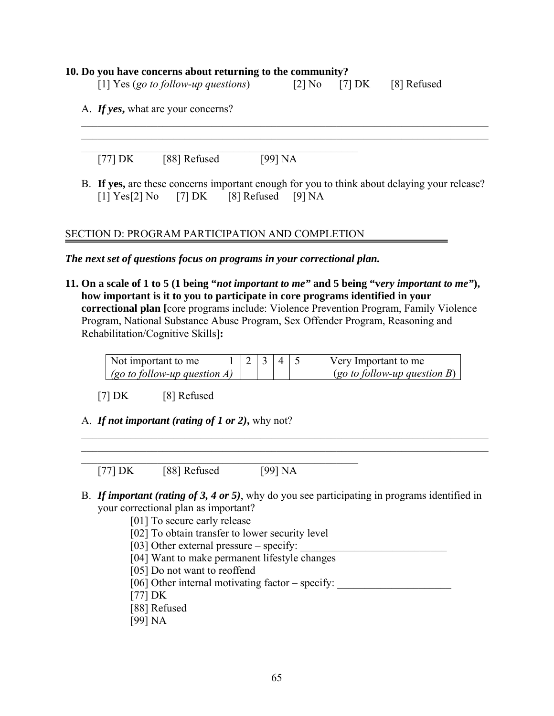#### **10. Do you have concerns about returning to the community?**

| [1] Yes (go to follow-up questions) |  | [2] No $[7]$ DK | [8] Refused |
|-------------------------------------|--|-----------------|-------------|
|-------------------------------------|--|-----------------|-------------|

A. *If yes***,** what are your concerns?

[77] DK [88] Refused [99] NA

B. **If yes,** are these concerns important enough for you to think about delaying your release?  $[1] \text{Yes}[2] \text{No}$   $[7] \text{DK}$   $[8] \text{Refused}$   $[9] \text{NA}$ 

 $\mathcal{L}_\text{max} = \frac{1}{2} \sum_{i=1}^n \mathcal{L}_\text{max}(\mathbf{z}_i - \mathbf{z}_i)$  $\mathcal{L}_\mathcal{L} = \{ \mathcal{L}_\mathcal{L} = \{ \mathcal{L}_\mathcal{L} = \{ \mathcal{L}_\mathcal{L} = \{ \mathcal{L}_\mathcal{L} = \{ \mathcal{L}_\mathcal{L} = \{ \mathcal{L}_\mathcal{L} = \{ \mathcal{L}_\mathcal{L} = \{ \mathcal{L}_\mathcal{L} = \{ \mathcal{L}_\mathcal{L} = \{ \mathcal{L}_\mathcal{L} = \{ \mathcal{L}_\mathcal{L} = \{ \mathcal{L}_\mathcal{L} = \{ \mathcal{L}_\mathcal{L} = \{ \mathcal{L}_\mathcal{$ 

## SECTION D: PROGRAM PARTICIPATION AND COMPLETION

 $\mathcal{L}_\text{max}$  , and the contribution of the contribution of  $\mathcal{L}_\text{max}$ 

*The next set of questions focus on programs in your correctional plan.* 

**11. On a scale of 1 to 5 (1 being "***not important to me"* **and 5 being "v***ery important to me"***), how important is it to you to participate in core programs identified in your correctional plan [**core programs include: Violence Prevention Program, Family Violence Program, National Substance Abuse Program, Sex Offender Program, Reasoning and Rehabilitation/Cognitive Skills]**:** 

| Not important to me             |  |  | Very Important to me                |
|---------------------------------|--|--|-------------------------------------|
| (go to follow-up question $A$ ) |  |  | $(go\ to\ follow\-up\ question\ B)$ |

 $\mathcal{L}_\mathcal{L} = \{ \mathcal{L}_\mathcal{L} = \{ \mathcal{L}_\mathcal{L} = \{ \mathcal{L}_\mathcal{L} = \{ \mathcal{L}_\mathcal{L} = \{ \mathcal{L}_\mathcal{L} = \{ \mathcal{L}_\mathcal{L} = \{ \mathcal{L}_\mathcal{L} = \{ \mathcal{L}_\mathcal{L} = \{ \mathcal{L}_\mathcal{L} = \{ \mathcal{L}_\mathcal{L} = \{ \mathcal{L}_\mathcal{L} = \{ \mathcal{L}_\mathcal{L} = \{ \mathcal{L}_\mathcal{L} = \{ \mathcal{L}_\mathcal{$  $\mathcal{L}_\mathcal{L} = \{ \mathcal{L}_\mathcal{L} = \{ \mathcal{L}_\mathcal{L} = \{ \mathcal{L}_\mathcal{L} = \{ \mathcal{L}_\mathcal{L} = \{ \mathcal{L}_\mathcal{L} = \{ \mathcal{L}_\mathcal{L} = \{ \mathcal{L}_\mathcal{L} = \{ \mathcal{L}_\mathcal{L} = \{ \mathcal{L}_\mathcal{L} = \{ \mathcal{L}_\mathcal{L} = \{ \mathcal{L}_\mathcal{L} = \{ \mathcal{L}_\mathcal{L} = \{ \mathcal{L}_\mathcal{L} = \{ \mathcal{L}_\mathcal{$ 

[7] DK [8] Refused

#### A. *If not important (rating of 1 or 2)***,** why not?

[77] DK [88] Refused [99] NA

B. *If important (rating of 3, 4 or 5)*, why do you see participating in programs identified in your correctional plan as important?

[01] To secure early release

- [02] To obtain transfer to lower security level
- [03] Other external pressure specify: \_\_\_\_\_\_\_\_\_\_\_\_\_\_\_\_\_\_\_\_\_\_\_\_\_\_\_

 $\mathcal{L}_\text{max}$  , and the contribution of the contribution of  $\mathcal{L}_\text{max}$ 

- [04] Want to make permanent lifestyle changes
- [05] Do not want to reoffend
- [06] Other internal motivating factor specify:
- [77] DK
- [88] Refused
- [99] NA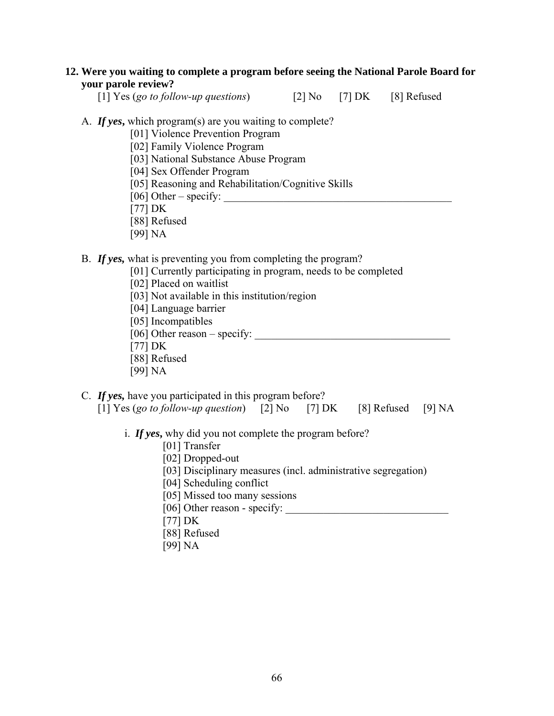#### **12. Were you waiting to complete a program before seeing the National Parole Board for your parole review?**

[1] Yes (*go to follow-up questions*) [2] No [7] DK [8] Refused

#### A. *If yes***,** which program(s) are you waiting to complete?

[01] Violence Prevention Program

[02] Family Violence Program

- [03] National Substance Abuse Program
- [04] Sex Offender Program
- [05] Reasoning and Rehabilitation/Cognitive Skills
- [06] Other specify: \_\_\_\_\_\_\_\_\_\_\_\_\_\_\_\_\_\_\_\_\_\_\_\_\_\_\_\_\_\_\_\_\_\_\_\_\_\_\_\_\_\_
- [77] DK
- [88] Refused
- [99] NA

#### B. *If yes,* what is preventing you from completing the program?

- [01] Currently participating in program, needs to be completed
- [02] Placed on waitlist
- [03] Not available in this institution/region
- [04] Language barrier
- [05] Incompatibles
- [06] Other reason specify: \_\_\_\_\_\_\_\_\_\_\_\_\_\_\_\_\_\_\_\_\_\_\_\_\_\_\_\_\_\_\_\_\_\_\_\_
- [77] DK
- [88] Refused
- [99] NA

## C. *If yes,* have you participated in this program before?

| [1] Yes (go to follow-up question) [2] No [7] DK |  |  | $[8]$ Refused $[9]$ NA |  |
|--------------------------------------------------|--|--|------------------------|--|
|--------------------------------------------------|--|--|------------------------|--|

- i. *If yes***,** why did you not complete the program before?
	- [01] Transfer
	- [02] Dropped-out
	- [03] Disciplinary measures (incl. administrative segregation)
	- [04] Scheduling conflict
	- [05] Missed too many sessions
	- [06] Other reason specify: \_\_\_\_\_\_\_\_\_\_\_\_\_\_\_\_\_\_\_\_\_\_\_\_\_\_\_\_\_\_
	- [77] DK
	- [88] Refused
	- [99] NA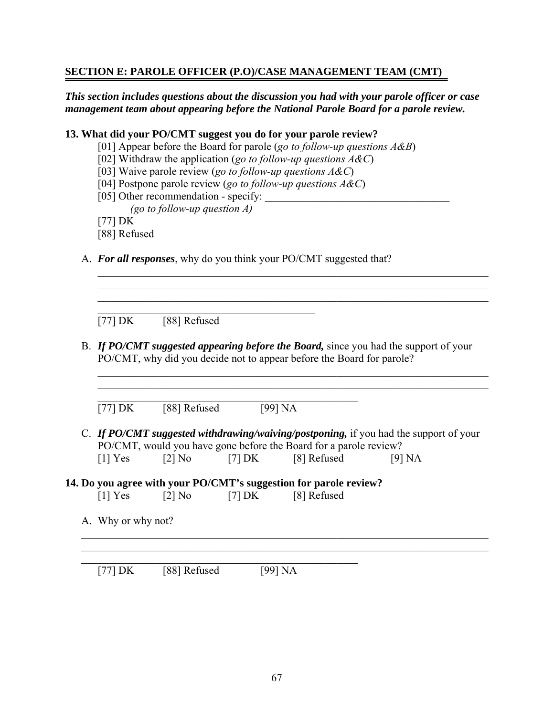## **SECTION E: PAROLE OFFICER (P.O)/CASE MANAGEMENT TEAM (CMT)**

## *This section includes questions about the discussion you had with your parole officer or case management team about appearing before the National Parole Board for a parole review.*

### **13. What did your PO/CMT suggest you do for your parole review?**

- [01] Appear before the Board for parole (*go to follow-up questions A&B*)
- [02] Withdraw the application (*go to follow-up questions A&C*)
- [03] Waive parole review (*go to follow-up questions A&C*)
- [04] Postpone parole review (*go to follow-up questions A&C*)
- [05] Other recommendation specify: \_\_\_\_\_\_\_\_\_\_\_\_\_\_\_\_\_\_\_\_\_\_\_\_\_\_\_\_\_\_\_\_\_\_ *(go to follow-up question A)*
- [77] DK
- [88] Refused
- A. *For all responses*, why do you think your PO/CMT suggested that?

 $[77] \, DK \qquad [88] \, Refused$ 

B. *If PO/CMT suggested appearing before the Board,* since you had the support of your PO/CMT, why did you decide not to appear before the Board for parole?

 $\mathcal{L}_\text{max} = \mathcal{L}_\text{max} = \mathcal{L}_\text{max} = \mathcal{L}_\text{max} = \mathcal{L}_\text{max} = \mathcal{L}_\text{max} = \mathcal{L}_\text{max} = \mathcal{L}_\text{max} = \mathcal{L}_\text{max} = \mathcal{L}_\text{max} = \mathcal{L}_\text{max} = \mathcal{L}_\text{max} = \mathcal{L}_\text{max} = \mathcal{L}_\text{max} = \mathcal{L}_\text{max} = \mathcal{L}_\text{max} = \mathcal{L}_\text{max} = \mathcal{L}_\text{max} = \mathcal{$  $\mathcal{L}_\text{max}$  , and the contribution of the contribution of the contribution of the contribution of the contribution of the contribution of the contribution of the contribution of the contribution of the contribution of t

 $\mathcal{L}_\text{max}$  , and the contribution of the contribution of the contribution of the contribution of the contribution of the contribution of the contribution of the contribution of the contribution of the contribution of t  $\mathcal{L}_\text{max}$  , and the contribution of the contribution of the contribution of the contribution of the contribution of the contribution of the contribution of the contribution of the contribution of the contribution of t  $\mathcal{L}_\text{max}$  , and the contribution of the contribution of the contribution of the contribution of the contribution of the contribution of the contribution of the contribution of the contribution of the contribution of t

 $\mathcal{L}_\text{max}$  , and the set of the set of the set of the set of the set of the set of the set of the set of the set of the set of the set of the set of the set of the set of the set of the set of the set of the set of the  $[77] \text{DK}$  [88] Refused [99] NA

 $\mathcal{L}_\text{max}$ 

C. *If PO/CMT suggested withdrawing/waiving/postponing,* if you had the support of your PO/CMT, would you have gone before the Board for a parole review?  $[1]$  Yes  $[2]$  No  $[7]$  DK  $[8]$  Refused  $[9]$  NA

 $\mathcal{L}_\mathcal{L} = \{ \mathcal{L}_\mathcal{L} = \{ \mathcal{L}_\mathcal{L} = \{ \mathcal{L}_\mathcal{L} = \{ \mathcal{L}_\mathcal{L} = \{ \mathcal{L}_\mathcal{L} = \{ \mathcal{L}_\mathcal{L} = \{ \mathcal{L}_\mathcal{L} = \{ \mathcal{L}_\mathcal{L} = \{ \mathcal{L}_\mathcal{L} = \{ \mathcal{L}_\mathcal{L} = \{ \mathcal{L}_\mathcal{L} = \{ \mathcal{L}_\mathcal{L} = \{ \mathcal{L}_\mathcal{L} = \{ \mathcal{L}_\mathcal{$  $\mathcal{L}_\text{max} = \frac{1}{2} \sum_{i=1}^n \mathcal{L}_\text{max}(\mathbf{z}_i - \mathbf{z}_i)$ 

# **14. Do you agree with your PO/CMT's suggestion for parole review?**

 $\mathcal{L}_\text{max}$  , and the contract of the contract of the contract of the contract of the contract of the contract of the contract of the contract of the contract of the contract of the contract of the contract of the contr

- $[1]$  Yes  $[2]$  No  $[7]$  DK  $[8]$  Refused
- A. Why or why not?

 $[77] \text{DK}$  [88] Refused [99] NA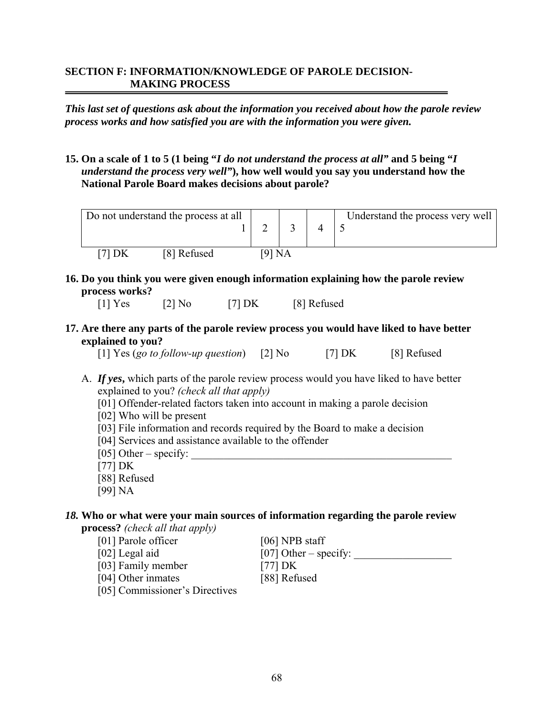#### **SECTION F: INFORMATION/KNOWLEDGE OF PAROLE DECISION-MAKING PROCESS**

*This last set of questions ask about the information you received about how the parole review process works and how satisfied you are with the information you were given.* 

**15. On a scale of 1 to 5 (1 being "***I do not understand the process at all"* **and 5 being "***I understand the process very well"***), how well would you say you understand how the National Parole Board makes decisions about parole?** 

|  | Do not understand the process at all |    |           | Understand the process very well ' |
|--|--------------------------------------|----|-----------|------------------------------------|
|  | [8] Refused                          | 91 | <b>NA</b> |                                    |

**16. Do you think you were given enough information explaining how the parole review process works?**

 $[1]$  Yes  $[2]$  No  $[7]$  DK  $[8]$  Refused

**17. Are there any parts of the parole review process you would have liked to have better explained to you?** 

[1] Yes (*go to follow-up question*) [2] No [7] DK [8] Refused

- A. *If yes***,** which parts of the parole review process would you have liked to have better explained to you? *(check all that apply)*
	- [01] Offender-related factors taken into account in making a parole decision
	- [02] Who will be present
	- [03] File information and records required by the Board to make a decision
	- [04] Services and assistance available to the offender
	- [05] Other specify:
	- [77] DK
	- [88] Refused
	- [99] NA

## *18.* **Who or what were your main sources of information regarding the parole review**

**process?** *(check all that apply)*  [01] Parole officer [06] NPB staff [02] Legal aid  $[07]$  Other – specify: [03] Family member [77] DK [04] Other inmates [88] Refused [05] Commissioner's Directives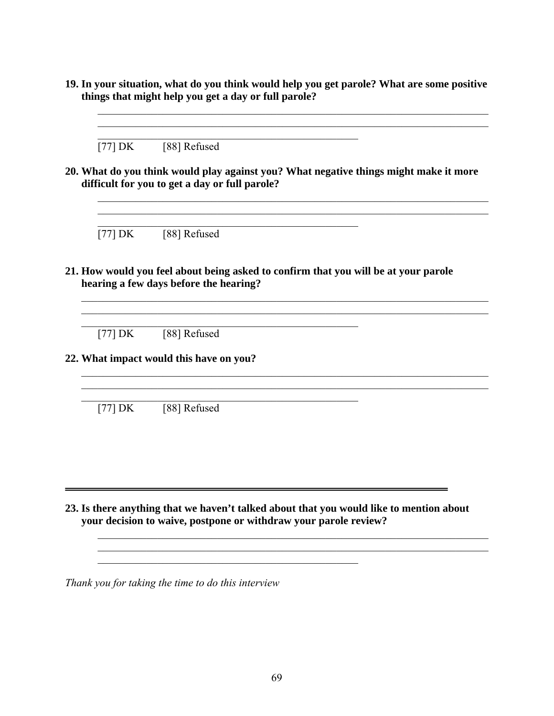**19. In your situation, what do you think would help you get parole? What are some positive things that might help you get a day or full parole?** 

 $\mathcal{L}_\text{max}$  , and the contribution of the contribution of the contribution of the contribution of the contribution of the contribution of the contribution of the contribution of the contribution of the contribution of t

 $\overline{\phantom{a}}$  , and the contribution of the contribution of the contribution of the contribution of the contribution of the contribution of the contribution of the contribution of the contribution of the contribution of the  $\mathcal{L}_\text{max}$  , and the contribution of the contribution of the contribution of the contribution of the contribution of the contribution of the contribution of the contribution of the contribution of the contribution of t \_\_\_\_\_\_\_\_\_\_\_\_\_\_\_\_\_\_\_\_\_\_\_\_\_\_\_\_\_\_\_\_\_\_\_\_\_\_\_\_\_\_\_\_\_\_\_\_

 $[77] \, DK \qquad [88] \, Refused$ 

**20. What do you think would play against you? What negative things might make it more difficult for you to get a day or full parole?**

 $\mathcal{L}_\text{max} = \frac{1}{2} \sum_{i=1}^n \mathcal{L}_\text{max} = \frac{1}{2} \sum_{i=1}^n \mathcal{L}_\text{max} = \frac{1}{2} \sum_{i=1}^n \mathcal{L}_\text{max} = \frac{1}{2} \sum_{i=1}^n \mathcal{L}_\text{max} = \frac{1}{2} \sum_{i=1}^n \mathcal{L}_\text{max} = \frac{1}{2} \sum_{i=1}^n \mathcal{L}_\text{max} = \frac{1}{2} \sum_{i=1}^n \mathcal{L}_\text{max} = \frac{1}{2} \sum_{i=$ 

 $\mathcal{L}_\text{max}$  , and the contract of the contract of the contract of the contract of the contract of the contract of the contract of the contract of the contract of the contract of the contract of the contract of the contr

 $\mathcal{L}_\text{max}$  , and the contribution of the contribution of  $\mathcal{L}_\text{max}$ 

 $\mathcal{L}_\text{max}$  , and the contribution of the contribution of  $\mathcal{L}_\text{max}$ 

 $[77] \, DK \qquad [88] \, Refused$ 

**21. How would you feel about being asked to confirm that you will be at your parole hearing a few days before the hearing?** 

 $\mathcal{L}_\mathcal{L} = \{ \mathcal{L}_\mathcal{L} = \{ \mathcal{L}_\mathcal{L} = \{ \mathcal{L}_\mathcal{L} = \{ \mathcal{L}_\mathcal{L} = \{ \mathcal{L}_\mathcal{L} = \{ \mathcal{L}_\mathcal{L} = \{ \mathcal{L}_\mathcal{L} = \{ \mathcal{L}_\mathcal{L} = \{ \mathcal{L}_\mathcal{L} = \{ \mathcal{L}_\mathcal{L} = \{ \mathcal{L}_\mathcal{L} = \{ \mathcal{L}_\mathcal{L} = \{ \mathcal{L}_\mathcal{L} = \{ \mathcal{L}_\mathcal{$ 

 $\mathcal{L}_\mathcal{L} = \mathcal{L}_\mathcal{L} = \mathcal{L}_\mathcal{L} = \mathcal{L}_\mathcal{L} = \mathcal{L}_\mathcal{L} = \mathcal{L}_\mathcal{L} = \mathcal{L}_\mathcal{L} = \mathcal{L}_\mathcal{L} = \mathcal{L}_\mathcal{L} = \mathcal{L}_\mathcal{L} = \mathcal{L}_\mathcal{L} = \mathcal{L}_\mathcal{L} = \mathcal{L}_\mathcal{L} = \mathcal{L}_\mathcal{L} = \mathcal{L}_\mathcal{L} = \mathcal{L}_\mathcal{L} = \mathcal{L}_\mathcal{L}$  $\mathcal{L}_\mathcal{L} = \{ \mathcal{L}_\mathcal{L} = \{ \mathcal{L}_\mathcal{L} = \{ \mathcal{L}_\mathcal{L} = \{ \mathcal{L}_\mathcal{L} = \{ \mathcal{L}_\mathcal{L} = \{ \mathcal{L}_\mathcal{L} = \{ \mathcal{L}_\mathcal{L} = \{ \mathcal{L}_\mathcal{L} = \{ \mathcal{L}_\mathcal{L} = \{ \mathcal{L}_\mathcal{L} = \{ \mathcal{L}_\mathcal{L} = \{ \mathcal{L}_\mathcal{L} = \{ \mathcal{L}_\mathcal{L} = \{ \mathcal{L}_\mathcal{$ 

 $[77] \, DK \qquad [88] \, Refused$ 

**22. What impact would this have on you?** 

 $[77] \, DK \qquad [88] \, Refused$ 

**23. Is there anything that we haven't talked about that you would like to mention about your decision to waive, postpone or withdraw your parole review?** 

\_\_\_\_\_\_\_\_\_\_\_\_\_\_\_\_\_\_\_\_\_\_\_\_\_\_\_\_\_\_\_\_\_\_\_\_\_\_\_\_\_\_\_\_\_\_\_\_\_\_\_\_\_\_\_\_\_\_\_\_\_\_\_\_\_\_\_\_\_\_\_\_

 $\mathcal{L}_\text{max}$  , and the set of the set of the set of the set of the set of the set of the set of the set of the set of

 $\mathcal{L}_\text{max}$  , and the contribution of the contribution of the contribution of the contribution of the contribution of the contribution of the contribution of the contribution of the contribution of the contribution of t

*Thank you for taking the time to do this interview*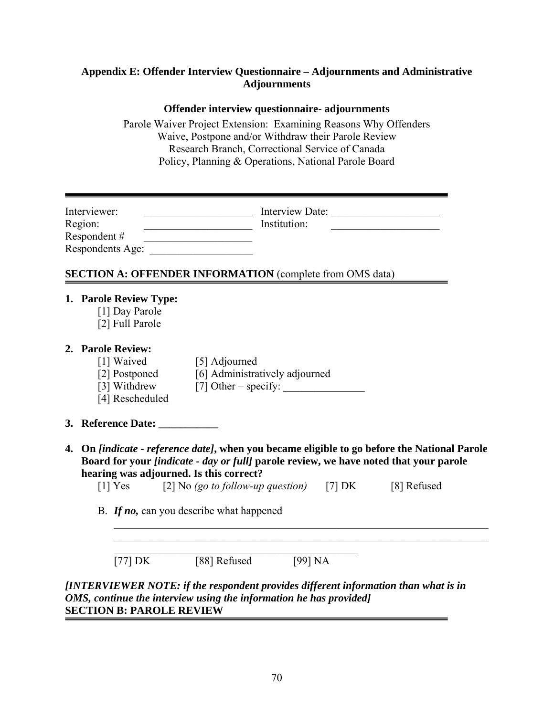## **Appendix E: Offender Interview Questionnaire – Adjournments and Administrative Adjournments**

## **Offender interview questionnaire- adjournments**

Parole Waiver Project Extension: Examining Reasons Why Offenders Waive, Postpone and/or Withdraw their Parole Review Research Branch, Correctional Service of Canada Policy, Planning & Operations, National Parole Board

| Interviewer:<br>Region:<br>Respondent # |                                                             | <u> 1989 - Johann Barn, fransk politik (</u><br><u> 1989 - Johann John Stone, meil in der Stone (d. 1989)</u><br>Respondents Age: | Institution: | Interview Date:                                                                                                                                                                                      |  |
|-----------------------------------------|-------------------------------------------------------------|-----------------------------------------------------------------------------------------------------------------------------------|--------------|------------------------------------------------------------------------------------------------------------------------------------------------------------------------------------------------------|--|
|                                         |                                                             | <b>SECTION A: OFFENDER INFORMATION (complete from OMS data)</b>                                                                   |              |                                                                                                                                                                                                      |  |
|                                         | 1. Parole Review Type:<br>[1] Day Parole<br>[2] Full Parole |                                                                                                                                   |              |                                                                                                                                                                                                      |  |
|                                         | 2. Parole Review:<br>[4] Rescheduled                        | [1] Waived [5] Adjourned<br>[2] Postponed [6] Administratively adjourned                                                          |              |                                                                                                                                                                                                      |  |
|                                         | 3. Reference Date: ___________                              |                                                                                                                                   |              |                                                                                                                                                                                                      |  |
|                                         |                                                             | hearing was adjourned. Is this correct?<br>[1] Yes $[2]$ No (go to follow-up question) [7] DK [8] Refused                         |              | 4. On <i>[indicate - reference date]</i> , when you became eligible to go before the National Parole<br>Board for your <i>[indicate - day or full]</i> parole review, we have noted that your parole |  |
|                                         |                                                             | B. If no, can you describe what happened                                                                                          |              |                                                                                                                                                                                                      |  |
|                                         | $[77] \text{DK}$                                            | [88] Refused                                                                                                                      | [99] NA      |                                                                                                                                                                                                      |  |
|                                         |                                                             | OMS, continue the interview using the information he has provided]                                                                |              | [INTERVIEWER NOTE: if the respondent provides different information than what is in                                                                                                                  |  |

## **SECTION B: PAROLE REVIEW**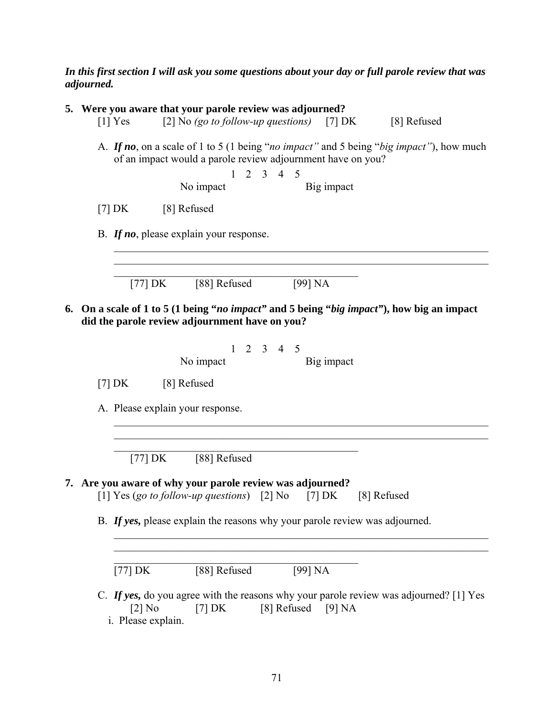#### *In this first section I will ask you some questions about your day or full parole review that was adjourned.*

| 5. Were you aware that your parole review was adjourned?<br>[2] No (go to follow-up questions) [7] DK<br>$[1]$ Yes<br>[8] Refused                                                                        |
|----------------------------------------------------------------------------------------------------------------------------------------------------------------------------------------------------------|
| A. If no, on a scale of 1 to 5 (1 being "no impact" and 5 being "big impact"), how much<br>of an impact would a parole review adjournment have on you?<br>$1 \t2 \t3 \t4 \t5$<br>No impact<br>Big impact |
| [7] DK [8] Refused                                                                                                                                                                                       |
| B. If no, please explain your response.                                                                                                                                                                  |
| [77] $DK$ [88] Refused<br>[99] NA                                                                                                                                                                        |
| 6. On a scale of 1 to 5 (1 being "no impact" and 5 being "big impact"), how big an impact<br>did the parole review adjournment have on you?                                                              |
| $1 \t2 \t3 \t4 \t5$<br>No impact<br>Big impact                                                                                                                                                           |
| $[7]$ DK<br>[8] Refused                                                                                                                                                                                  |
| A. Please explain your response.                                                                                                                                                                         |
| [77] DK [88] Refused                                                                                                                                                                                     |
| 7. Are you aware of why your parole review was adjourned?<br>[1] Yes (go to follow-up questions) [2] No [7] DK [8] Refused                                                                               |
| B. If yes, please explain the reasons why your parole review was adjourned.                                                                                                                              |
| [88] Refused<br>[99] NA<br>$[77]$ DK                                                                                                                                                                     |
| C. If yes, do you agree with the reasons why your parole review was adjourned? [1] Yes<br>[8] Refused<br>$[2]$ No<br>$[7]$ DK<br>[9] NA<br>i. Please explain.                                            |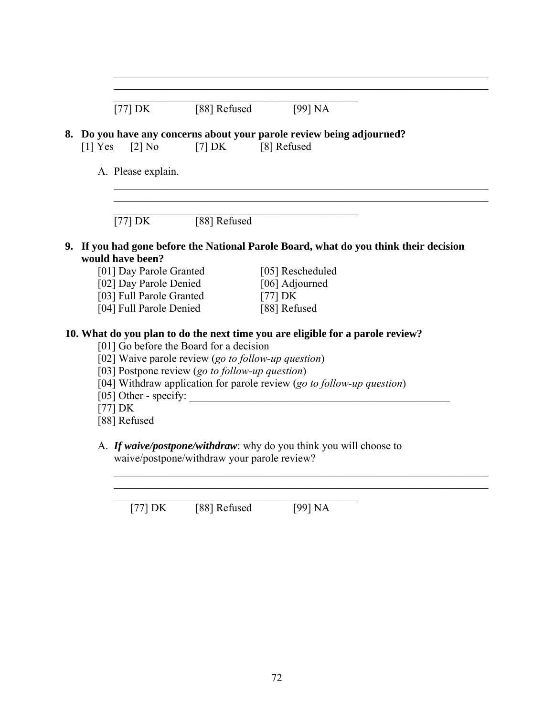|           | $[77]$ DK                                          | [88] Refused                                        | [99] NA                                                                               |
|-----------|----------------------------------------------------|-----------------------------------------------------|---------------------------------------------------------------------------------------|
| $[1]$ Yes | $[2]$ No                                           | $[7]$ DK                                            | 8. Do you have any concerns about your parole review being adjourned?<br>[8] Refused  |
|           | A. Please explain.                                 |                                                     |                                                                                       |
|           |                                                    |                                                     |                                                                                       |
|           | $[77] \text{ DK}$                                  | [88] Refused                                        |                                                                                       |
|           |                                                    |                                                     | 9. If you had gone before the National Parole Board, what do you think their decision |
|           | would have been?                                   |                                                     |                                                                                       |
|           | [01] Day Parole Granted                            |                                                     | [05] Rescheduled                                                                      |
|           | [02] Day Parole Denied<br>[03] Full Parole Granted |                                                     | [06] Adjourned<br>$[77]$ DK                                                           |
|           | [04] Full Parole Denied                            |                                                     | [88] Refused                                                                          |
|           |                                                    |                                                     | 10. What do you plan to do the next time you are eligible for a parole review?        |
|           |                                                    | [01] Go before the Board for a decision             |                                                                                       |
|           |                                                    | [02] Waive parole review (go to follow-up question) |                                                                                       |
|           |                                                    | [03] Postpone review (go to follow-up question)     |                                                                                       |
|           |                                                    |                                                     | [04] Withdraw application for parole review (go to follow-up question)                |
|           | $[77]$ DK                                          |                                                     | [05] Other - specify:                                                                 |

 $\mathcal{L}_\text{max}$  , and the contribution of the contribution of the contribution of the contribution of the contribution of the contribution of the contribution of the contribution of the contribution of the contribution of t  $\mathcal{L}_\text{max} = \mathcal{L}_\text{max} = \mathcal{L}_\text{max} = \mathcal{L}_\text{max} = \mathcal{L}_\text{max} = \mathcal{L}_\text{max} = \mathcal{L}_\text{max} = \mathcal{L}_\text{max} = \mathcal{L}_\text{max} = \mathcal{L}_\text{max} = \mathcal{L}_\text{max} = \mathcal{L}_\text{max} = \mathcal{L}_\text{max} = \mathcal{L}_\text{max} = \mathcal{L}_\text{max} = \mathcal{L}_\text{max} = \mathcal{L}_\text{max} = \mathcal{L}_\text{max} = \mathcal{$ 

 $\mathcal{L}_\text{max}$  , and the contribution of the contribution of the contribution of the contribution of the contribution of the contribution of the contribution of the contribution of the contribution of the contribution of t

 $\mathcal{L}_\text{max}$  and  $\mathcal{L}_\text{max}$  and  $\mathcal{L}_\text{max}$  and  $\mathcal{L}_\text{max}$  and  $\mathcal{L}_\text{max}$ [77] DK [88] Refused [99] NA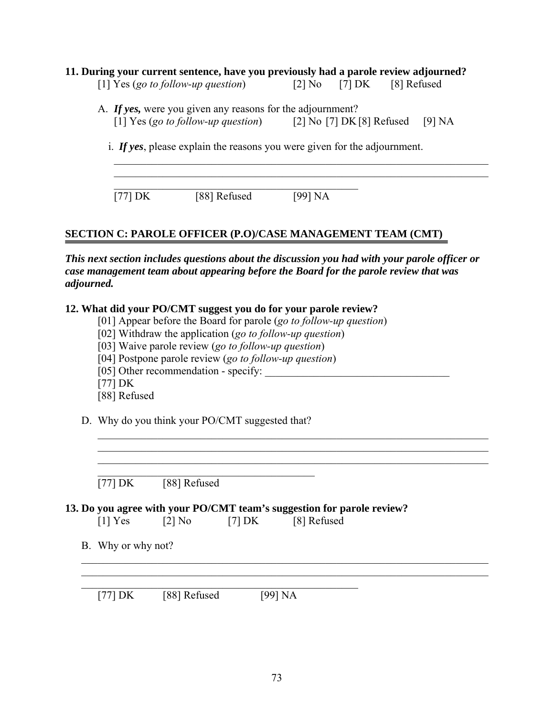|         | 11. During your current sentence, have you previously had a parole review adjourned?<br>[1] Yes (go to follow-up question)   | [2] No [7] DK | [8] Refused |
|---------|------------------------------------------------------------------------------------------------------------------------------|---------------|-------------|
|         | A. If yes, were you given any reasons for the adjournment?<br>[1] Yes (go to follow-up question) $[2]$ No [7] DK [8] Refused |               | [9] NA      |
|         | i. If yes, please explain the reasons you were given for the adjournment.                                                    |               |             |
| [77] DK | [88] Refused                                                                                                                 | [99] NA       |             |

## **SECTION C: PAROLE OFFICER (P.O)/CASE MANAGEMENT TEAM (CMT)**

*This next section includes questions about the discussion you had with your parole officer or case management team about appearing before the Board for the parole review that was adjourned.* 

 $\mathcal{L}_\text{max}$  , and the contribution of the contribution of the contribution of the contribution of the contribution of the contribution of the contribution of the contribution of the contribution of the contribution of t  $\mathcal{L}_\text{max}$  , and the contribution of the contribution of the contribution of the contribution of the contribution of the contribution of the contribution of the contribution of the contribution of the contribution of t  $\mathcal{L}_\text{max}$  , and the contribution of the contribution of the contribution of the contribution of the contribution of the contribution of the contribution of the contribution of the contribution of the contribution of t

## **12. What did your PO/CMT suggest you do for your parole review?**

- [01] Appear before the Board for parole (*go to follow-up question*)
- [02] Withdraw the application (*go to follow-up question*)
- [03] Waive parole review (*go to follow-up question*)
- [04] Postpone parole review (*go to follow-up question*)
- [05] Other recommendation specify:
- [77] DK
- [88] Refused
- D. Why do you think your PO/CMT suggested that?

 $\mathcal{L}_\text{max}$  , and the contract of the contract of the contract of the contract of the contract of the contract of the contract of the contract of the contract of the contract of the contract of the contract of the contr

 $[77] \, DK \qquad [88] \, Refused$ 

## **13. Do you agree with your PO/CMT team's suggestion for parole review?**

- $[1]$  Yes  $[2]$  No  $[7]$  DK  $[8]$  Refused
- B. Why or why not?

 $\mathcal{L}_\text{max}$  , and the contract of the contract of the contract of the contract of the contract of the contract of the contract of the contract of the contract of the contract of the contract of the contract of the contr [77] DK [88] Refused [99] NA

 $\mathcal{L}_\mathcal{L} = \{ \mathcal{L}_\mathcal{L} = \{ \mathcal{L}_\mathcal{L} = \{ \mathcal{L}_\mathcal{L} = \{ \mathcal{L}_\mathcal{L} = \{ \mathcal{L}_\mathcal{L} = \{ \mathcal{L}_\mathcal{L} = \{ \mathcal{L}_\mathcal{L} = \{ \mathcal{L}_\mathcal{L} = \{ \mathcal{L}_\mathcal{L} = \{ \mathcal{L}_\mathcal{L} = \{ \mathcal{L}_\mathcal{L} = \{ \mathcal{L}_\mathcal{L} = \{ \mathcal{L}_\mathcal{L} = \{ \mathcal{L}_\mathcal{$  $\mathcal{L}_\mathcal{L} = \{ \mathcal{L}_\mathcal{L} = \{ \mathcal{L}_\mathcal{L} = \{ \mathcal{L}_\mathcal{L} = \{ \mathcal{L}_\mathcal{L} = \{ \mathcal{L}_\mathcal{L} = \{ \mathcal{L}_\mathcal{L} = \{ \mathcal{L}_\mathcal{L} = \{ \mathcal{L}_\mathcal{L} = \{ \mathcal{L}_\mathcal{L} = \{ \mathcal{L}_\mathcal{L} = \{ \mathcal{L}_\mathcal{L} = \{ \mathcal{L}_\mathcal{L} = \{ \mathcal{L}_\mathcal{L} = \{ \mathcal{L}_\mathcal{$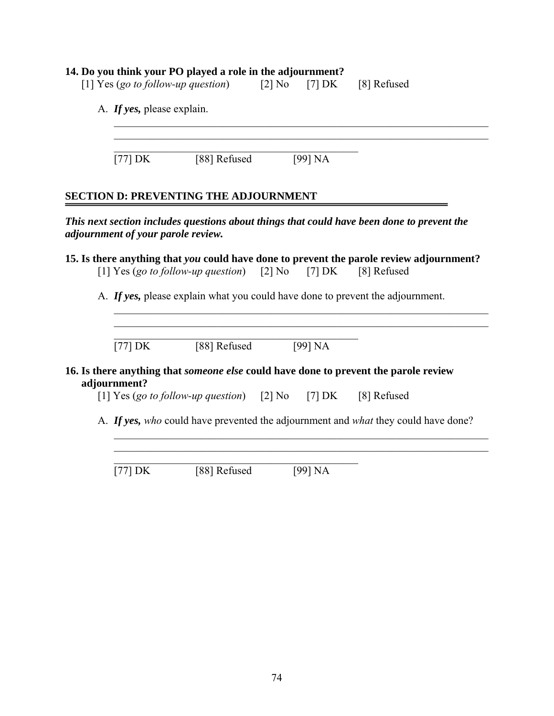## **14. Do you think your PO played a role in the adjournment?**

|                                    | [1] Yes (go to follow-up question)                           | $[2]$ No | $[7]$ DK | [8] Refused                                                                                 |
|------------------------------------|--------------------------------------------------------------|----------|----------|---------------------------------------------------------------------------------------------|
| A. If yes, please explain.         |                                                              |          |          |                                                                                             |
| $[77]$ DK                          | [88] Refused                                                 |          | [99] NA  |                                                                                             |
|                                    | <b>SECTION D: PREVENTING THE ADJOURNMENT</b>                 |          |          |                                                                                             |
| adjournment of your parole review. |                                                              |          |          | This next section includes questions about things that could have been done to prevent the  |
|                                    | [1] Yes (go to follow-up question) [2] No [7] DK [8] Refused |          |          | 15. Is there anything that you could have done to prevent the parole review adjournment?    |
|                                    |                                                              |          |          | A. If yes, please explain what you could have done to prevent the adjournment.              |
| $[77]$ DK                          | [88] Refused                                                 |          | [99] NA  |                                                                                             |
| adjournment?                       |                                                              |          |          | 16. Is there anything that <i>someone else</i> could have done to prevent the parole review |
|                                    | [1] Yes (go to follow-up question) [2] No [7] DK             |          |          | [8] Refused                                                                                 |
|                                    |                                                              |          |          | A. If yes, who could have prevented the adjournment and what they could have done?          |
| [77] $DK$                          | [88] Refused                                                 |          | [99] NA  |                                                                                             |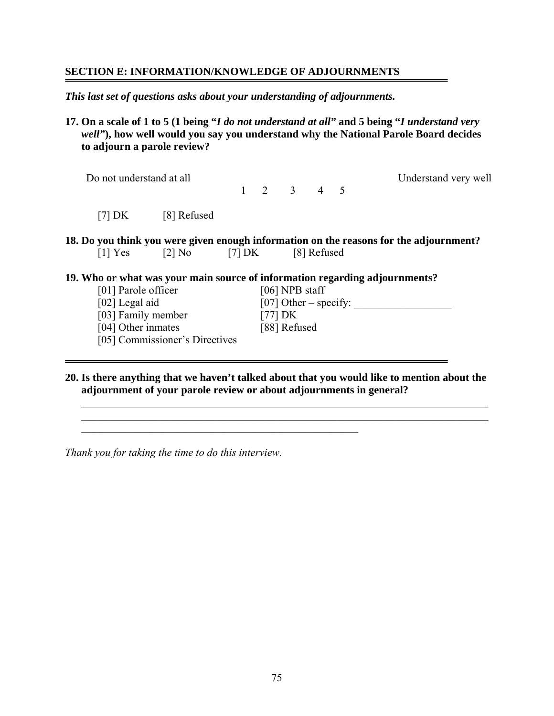#### **SECTION E: INFORMATION/KNOWLEDGE OF ADJOURNMENTS**

*This last set of questions asks about your understanding of adjournments.* 

**17. On a scale of 1 to 5 (1 being "***I do not understand at all"* **and 5 being "***I understand very well"***), how well would you say you understand why the National Parole Board decides to adjourn a parole review?** 

| Do not understand at all                                                    |                                           |  |                     |  | Understand very well                                                                   |
|-----------------------------------------------------------------------------|-------------------------------------------|--|---------------------|--|----------------------------------------------------------------------------------------|
|                                                                             |                                           |  | $1 \t2 \t3 \t4 \t5$ |  |                                                                                        |
| $[7]$ DK                                                                    | [8] Refused                               |  |                     |  |                                                                                        |
|                                                                             | $[1] Yes$ $[2] No$ $[7] DK$ $[8] Refused$ |  |                     |  | 18. Do you think you were given enough information on the reasons for the adjournment? |
| 19. Who or what was your main source of information regarding adjournments? |                                           |  |                     |  |                                                                                        |
| [01] Parole officer                                                         |                                           |  | $[06]$ NPB staff    |  |                                                                                        |
| [02] Legal aid                                                              |                                           |  |                     |  | [07] Other – specify:                                                                  |
| [03] Family member                                                          |                                           |  | $[77]$ DK           |  |                                                                                        |
| [04] Other inmates                                                          |                                           |  | [88] Refused        |  |                                                                                        |
|                                                                             | [05] Commissioner's Directives            |  |                     |  |                                                                                        |
|                                                                             |                                           |  |                     |  |                                                                                        |

**20. Is there anything that we haven't talked about that you would like to mention about the adjournment of your parole review or about adjournments in general?** 

 $\mathcal{L}_\text{max} = \frac{1}{2} \sum_{i=1}^n \mathcal{L}_\text{max}(\mathbf{z}_i - \mathbf{z}_i)$  $\mathcal{L}_\mathcal{L} = \{ \mathcal{L}_\mathcal{L} = \{ \mathcal{L}_\mathcal{L} = \{ \mathcal{L}_\mathcal{L} = \{ \mathcal{L}_\mathcal{L} = \{ \mathcal{L}_\mathcal{L} = \{ \mathcal{L}_\mathcal{L} = \{ \mathcal{L}_\mathcal{L} = \{ \mathcal{L}_\mathcal{L} = \{ \mathcal{L}_\mathcal{L} = \{ \mathcal{L}_\mathcal{L} = \{ \mathcal{L}_\mathcal{L} = \{ \mathcal{L}_\mathcal{L} = \{ \mathcal{L}_\mathcal{L} = \{ \mathcal{L}_\mathcal{$ 

*Thank you for taking the time to do this interview.*

 $\mathcal{L}_\text{max}$  , and the contribution of the contribution of  $\mathcal{L}_\text{max}$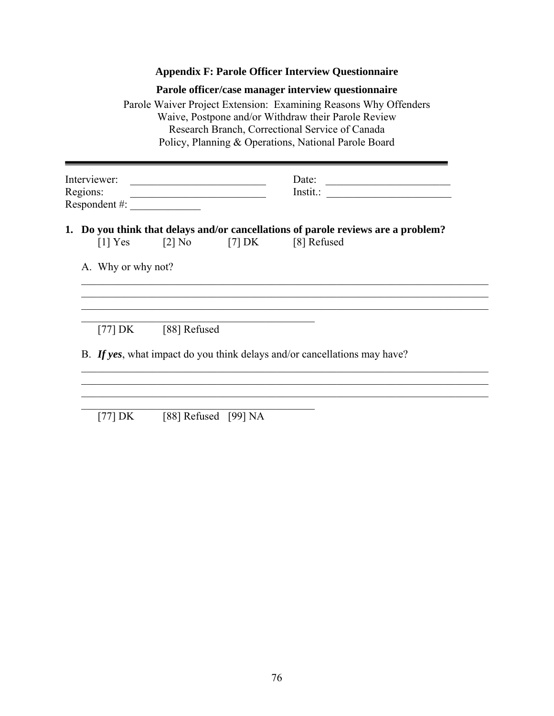## **Appendix F: Parole Officer Interview Questionnaire**

|                          |                                 |                                                                                           |          | Parole officer/case manager interview questionnaire<br>Parole Waiver Project Extension: Examining Reasons Why Offenders<br>Waive, Postpone and/or Withdraw their Parole Review<br>Research Branch, Correctional Service of Canada<br>Policy, Planning & Operations, National Parole Board |       |
|--------------------------|---------------------------------|-------------------------------------------------------------------------------------------|----------|-------------------------------------------------------------------------------------------------------------------------------------------------------------------------------------------------------------------------------------------------------------------------------------------|-------|
| Interviewer:<br>Regions: |                                 | the control of the control of the control of the control of the control of the control of |          |                                                                                                                                                                                                                                                                                           | Date: |
|                          |                                 |                                                                                           |          |                                                                                                                                                                                                                                                                                           |       |
|                          | $[1]$ Yes<br>A. Why or why not? | $\lceil 2 \rceil$ No                                                                      | $[7]$ DK | 1. Do you think that delays and/or cancellations of parole reviews are a problem?<br>[8] Refused                                                                                                                                                                                          |       |
|                          |                                 | [77] DK [88] Refused                                                                      |          | B. If yes, what impact do you think delays and/or cancellations may have?                                                                                                                                                                                                                 |       |
|                          |                                 |                                                                                           |          |                                                                                                                                                                                                                                                                                           |       |
|                          | [77] DK                         | [88] Refused [99] NA                                                                      |          |                                                                                                                                                                                                                                                                                           |       |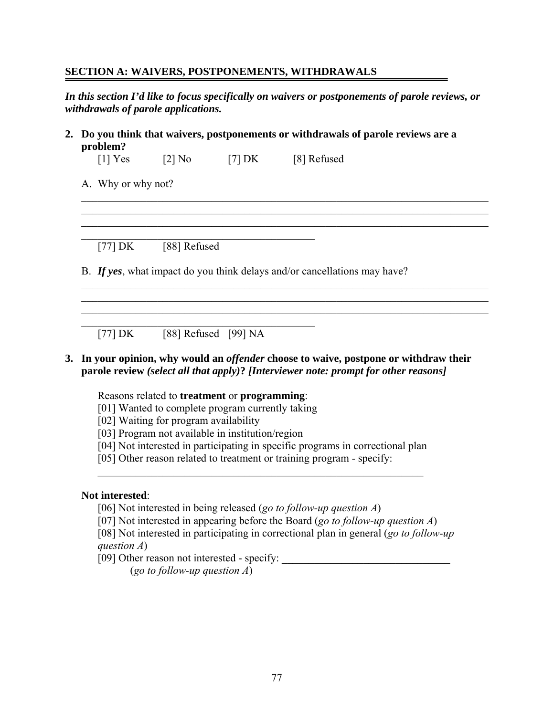#### **SECTION A: WAIVERS, POSTPONEMENTS, WITHDRAWALS**

*In this section I'd like to focus specifically on waivers or postponements of parole reviews, or withdrawals of parole applications.* 

 $\mathcal{L}_\mathcal{L} = \{ \mathcal{L}_\mathcal{L} = \{ \mathcal{L}_\mathcal{L} = \{ \mathcal{L}_\mathcal{L} = \{ \mathcal{L}_\mathcal{L} = \{ \mathcal{L}_\mathcal{L} = \{ \mathcal{L}_\mathcal{L} = \{ \mathcal{L}_\mathcal{L} = \{ \mathcal{L}_\mathcal{L} = \{ \mathcal{L}_\mathcal{L} = \{ \mathcal{L}_\mathcal{L} = \{ \mathcal{L}_\mathcal{L} = \{ \mathcal{L}_\mathcal{L} = \{ \mathcal{L}_\mathcal{L} = \{ \mathcal{L}_\mathcal{$  $\mathcal{L}_\mathcal{L} = \{ \mathcal{L}_\mathcal{L} = \{ \mathcal{L}_\mathcal{L} = \{ \mathcal{L}_\mathcal{L} = \{ \mathcal{L}_\mathcal{L} = \{ \mathcal{L}_\mathcal{L} = \{ \mathcal{L}_\mathcal{L} = \{ \mathcal{L}_\mathcal{L} = \{ \mathcal{L}_\mathcal{L} = \{ \mathcal{L}_\mathcal{L} = \{ \mathcal{L}_\mathcal{L} = \{ \mathcal{L}_\mathcal{L} = \{ \mathcal{L}_\mathcal{L} = \{ \mathcal{L}_\mathcal{L} = \{ \mathcal{L}_\mathcal{$  $\mathcal{L}_\mathcal{L} = \{ \mathcal{L}_\mathcal{L} = \{ \mathcal{L}_\mathcal{L} = \{ \mathcal{L}_\mathcal{L} = \{ \mathcal{L}_\mathcal{L} = \{ \mathcal{L}_\mathcal{L} = \{ \mathcal{L}_\mathcal{L} = \{ \mathcal{L}_\mathcal{L} = \{ \mathcal{L}_\mathcal{L} = \{ \mathcal{L}_\mathcal{L} = \{ \mathcal{L}_\mathcal{L} = \{ \mathcal{L}_\mathcal{L} = \{ \mathcal{L}_\mathcal{L} = \{ \mathcal{L}_\mathcal{L} = \{ \mathcal{L}_\mathcal{$ 

 $\mathcal{L}_\mathcal{L} = \{ \mathcal{L}_\mathcal{L} = \{ \mathcal{L}_\mathcal{L} = \{ \mathcal{L}_\mathcal{L} = \{ \mathcal{L}_\mathcal{L} = \{ \mathcal{L}_\mathcal{L} = \{ \mathcal{L}_\mathcal{L} = \{ \mathcal{L}_\mathcal{L} = \{ \mathcal{L}_\mathcal{L} = \{ \mathcal{L}_\mathcal{L} = \{ \mathcal{L}_\mathcal{L} = \{ \mathcal{L}_\mathcal{L} = \{ \mathcal{L}_\mathcal{L} = \{ \mathcal{L}_\mathcal{L} = \{ \mathcal{L}_\mathcal{$  $\mathcal{L}_\mathcal{L} = \{ \mathcal{L}_\mathcal{L} = \{ \mathcal{L}_\mathcal{L} = \{ \mathcal{L}_\mathcal{L} = \{ \mathcal{L}_\mathcal{L} = \{ \mathcal{L}_\mathcal{L} = \{ \mathcal{L}_\mathcal{L} = \{ \mathcal{L}_\mathcal{L} = \{ \mathcal{L}_\mathcal{L} = \{ \mathcal{L}_\mathcal{L} = \{ \mathcal{L}_\mathcal{L} = \{ \mathcal{L}_\mathcal{L} = \{ \mathcal{L}_\mathcal{L} = \{ \mathcal{L}_\mathcal{L} = \{ \mathcal{L}_\mathcal{$ 

**2. Do you think that waivers, postponements or withdrawals of parole reviews are a problem?** 

 $[1]$  Yes  $[2]$  No  $[7]$  DK  $[8]$  Refused

A. Why or why not?

[77] DK [88] Refused

B. *If yes*, what impact do you think delays and/or cancellations may have?

 $[77] \text{DK}$  [88] Refused [99] NA

#### **3. In your opinion, why would an** *offender* **choose to waive, postpone or withdraw their parole review** *(select all that apply)***?** *[Interviewer note: prompt for other reasons]*

Reasons related to **treatment** or **programming**:

 $\mathcal{L}_\text{max}$  , and the set of the set of the set of the set of the set of the set of the set of the set of the set of the set of the set of the set of the set of the set of the set of the set of the set of the set of the

 $\mathcal{L}_\mathcal{L} = \{ \mathcal{L}_\mathcal{L} = \{ \mathcal{L}_\mathcal{L} \}$ 

- [01] Wanted to complete program currently taking
- [02] Waiting for program availability
- [03] Program not available in institution/region
- [04] Not interested in participating in specific programs in correctional plan

 $\mathcal{L}_\text{max}$  , and the contribution of the contribution of the contribution of the contribution of the contribution of the contribution of the contribution of the contribution of the contribution of the contribution of t

[05] Other reason related to treatment or training program - specify:

#### **Not interested**:

- [06] Not interested in being released (*go to follow-up question A*)
- [07] Not interested in appearing before the Board (*go to follow-up question A*)
- [08] Not interested in participating in correctional plan in general (*go to follow-up question A*)
- [09] Other reason not interested specify: \_\_\_\_\_\_\_\_\_\_\_\_\_\_\_\_\_\_\_\_\_\_\_\_\_\_\_\_\_\_\_

(*go to follow-up question A*)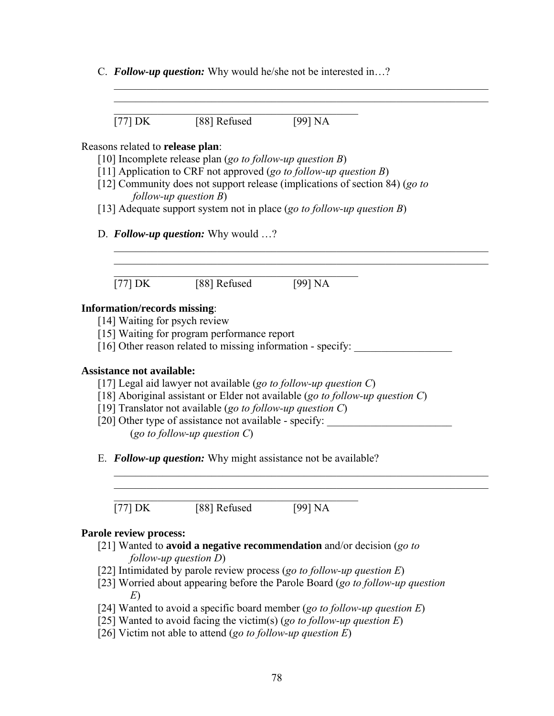C. *Follow-up question:* Why would he/she not be interested in…?

 $\mathcal{L}_\text{max}$  and  $\mathcal{L}_\text{max}$  and  $\mathcal{L}_\text{max}$  and  $\mathcal{L}_\text{max}$  and  $\mathcal{L}_\text{max}$  $[77] \text{ DK}$   $[88] \text{ Refused}$  [99] NA

#### Reasons related to **release plan**:

- [10] Incomplete release plan (*go to follow-up question B*)
- [11] Application to CRF not approved (*go to follow-up question B*)
- [12] Community does not support release (implications of section 84) (*go to follow-up question B*)

 $\mathcal{L}_\text{max}$  , and the contribution of the contribution of the contribution of the contribution of the contribution of the contribution of the contribution of the contribution of the contribution of the contribution of t  $\mathcal{L}_\text{max}$  , and the contribution of the contribution of the contribution of the contribution of the contribution of the contribution of the contribution of the contribution of the contribution of the contribution of t

 $\mathcal{L}_\text{max} = \mathcal{L}_\text{max} = \mathcal{L}_\text{max} = \mathcal{L}_\text{max} = \mathcal{L}_\text{max} = \mathcal{L}_\text{max} = \mathcal{L}_\text{max} = \mathcal{L}_\text{max} = \mathcal{L}_\text{max} = \mathcal{L}_\text{max} = \mathcal{L}_\text{max} = \mathcal{L}_\text{max} = \mathcal{L}_\text{max} = \mathcal{L}_\text{max} = \mathcal{L}_\text{max} = \mathcal{L}_\text{max} = \mathcal{L}_\text{max} = \mathcal{L}_\text{max} = \mathcal{$  $\_$  , and the contribution of the contribution of  $\mathcal{L}_\mathcal{A}$  , and the contribution of  $\mathcal{L}_\mathcal{A}$ 

 $\mathcal{L}_\text{max}$  , and the contribution of the contribution of the contribution of the contribution of the contribution of the contribution of the contribution of the contribution of the contribution of the contribution of t  $\mathcal{L}_\text{max} = \mathcal{L}_\text{max} = \mathcal{L}_\text{max} = \mathcal{L}_\text{max} = \mathcal{L}_\text{max} = \mathcal{L}_\text{max} = \mathcal{L}_\text{max} = \mathcal{L}_\text{max} = \mathcal{L}_\text{max} = \mathcal{L}_\text{max} = \mathcal{L}_\text{max} = \mathcal{L}_\text{max} = \mathcal{L}_\text{max} = \mathcal{L}_\text{max} = \mathcal{L}_\text{max} = \mathcal{L}_\text{max} = \mathcal{L}_\text{max} = \mathcal{L}_\text{max} = \mathcal{$ 

- [13] Adequate support system not in place (*go to follow-up question B*)
- D. *Follow-up question:* Why would …?

 $\mathcal{L}_\mathcal{L}$  , and the set of the set of the set of the set of the set of the set of the set of the set of the set of the set of the set of the set of the set of the set of the set of the set of the set of the set of th  $\boxed{77}$  DK  $\boxed{88}$  Refused  $\boxed{99}$  NA

#### **Information/records missing**:

- [14] Waiting for psych review
- [15] Waiting for program performance report
- [16] Other reason related to missing information specify:

#### **Assistance not available:**

- [17] Legal aid lawyer not available (*go to follow-up question C*)
- [18] Aboriginal assistant or Elder not available (*go to follow-up question C*)
- [19] Translator not available (*go to follow-up question C*)
- [20] Other type of assistance not available specify: \_\_\_\_\_\_\_\_\_\_\_\_\_\_\_\_\_\_\_\_\_\_\_\_\_ (*go to follow-up question C*)
- E. *Follow-up question:* Why might assistance not be available?

 $\mathcal{L}_\text{max}$  and  $\mathcal{L}_\text{max}$  and  $\mathcal{L}_\text{max}$  and  $\mathcal{L}_\text{max}$  and  $\mathcal{L}_\text{max}$ [77] DK [88] Refused [99] NA

#### **Parole review process:**

- [21] Wanted to **avoid a negative recommendation** and/or decision (*go to follow-up question D*)
- [22] Intimidated by parole review process (*go to follow-up question E*)
- [23] Worried about appearing before the Parole Board (*go to follow-up question E*)
- [24] Wanted to avoid a specific board member (*go to follow-up question E*)
- [25] Wanted to avoid facing the victim(s) (*go to follow-up question E*)
- [26] Victim not able to attend (*go to follow-up question E*)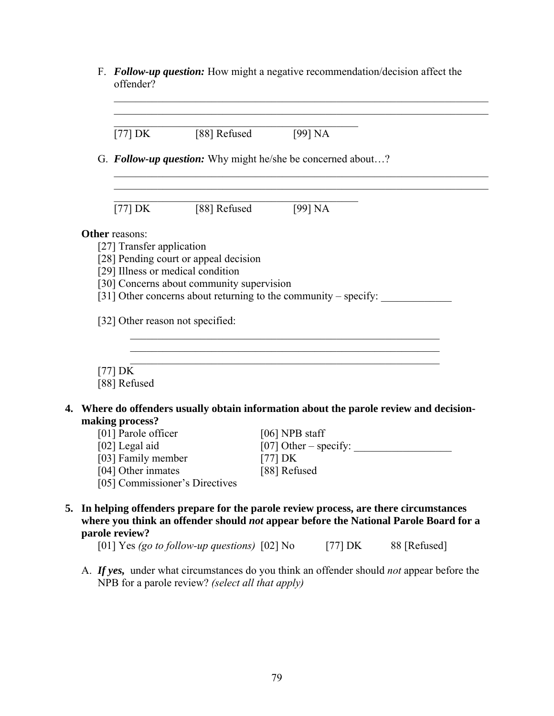F. *Follow-up question:* How might a negative recommendation/decision affect the offender?

 $\_$  , and the contribution of the contribution of  $\mathcal{L}_\mathcal{A}$  , and the contribution of  $\mathcal{L}_\mathcal{A}$ 

| $[77] \text{DK}$                                     | [88] Refused                                                    | [99] NA        |           |                                                                                                                                                                                |
|------------------------------------------------------|-----------------------------------------------------------------|----------------|-----------|--------------------------------------------------------------------------------------------------------------------------------------------------------------------------------|
|                                                      | G. Follow-up question: Why might he/she be concerned about?     |                |           |                                                                                                                                                                                |
| $[77] \text{ DK}$                                    | [88] Refused                                                    | [99] NA        |           |                                                                                                                                                                                |
| <b>Other reasons:</b>                                |                                                                 |                |           |                                                                                                                                                                                |
| [27] Transfer application                            |                                                                 |                |           |                                                                                                                                                                                |
|                                                      | [28] Pending court or appeal decision                           |                |           |                                                                                                                                                                                |
| [29] Illness or medical condition                    |                                                                 |                |           |                                                                                                                                                                                |
|                                                      | [30] Concerns about community supervision                       |                |           |                                                                                                                                                                                |
|                                                      | [31] Other concerns about returning to the community – specify: |                |           |                                                                                                                                                                                |
| $[77]$ DK<br>[88] Refused                            |                                                                 |                |           |                                                                                                                                                                                |
|                                                      |                                                                 |                |           | Where do offenders usually obtain information about the parole review and decision-                                                                                            |
| making process?                                      |                                                                 |                |           |                                                                                                                                                                                |
| [01] Parole officer                                  |                                                                 | [06] NPB staff |           |                                                                                                                                                                                |
| [02] Legal aid                                       |                                                                 |                |           | $[07]$ Other – specify:                                                                                                                                                        |
| [03] Family member                                   |                                                                 | [77] $DK$      |           |                                                                                                                                                                                |
| [04] Other inmates<br>[05] Commissioner's Directives |                                                                 | [88] Refused   |           |                                                                                                                                                                                |
| parole review?                                       |                                                                 |                |           | 5. In helping offenders prepare for the parole review process, are there circumstances<br>where you think an offender should not appear before the National Parole Board for a |
|                                                      | [01] Yes (go to follow-up questions) [02] No                    |                | [77] $DK$ | 88 [Refused]                                                                                                                                                                   |

A. *If yes,* under what circumstances do you think an offender should *not* appear before the NPB for a parole review? *(select all that apply)*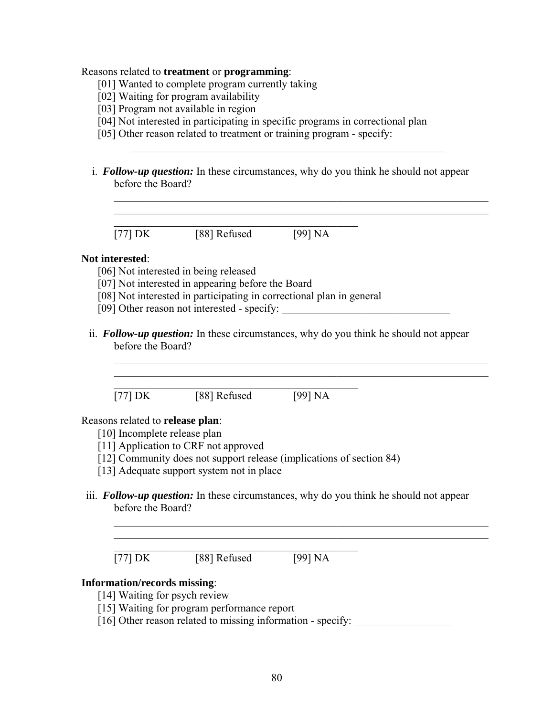#### Reasons related to **treatment** or **programming**:

- [01] Wanted to complete program currently taking
- [02] Waiting for program availability
- [03] Program not available in region
- [04] Not interested in participating in specific programs in correctional plan
- [05] Other reason related to treatment or training program specify:
- i. *Follow-up question:* In these circumstances, why do you think he should not appear before the Board?

 $\mathcal{L}_\text{max}$  , and the contribution of the contribution of the contribution of the contribution of the contribution of the contribution of the contribution of the contribution of the contribution of the contribution of t

 $\mathcal{L}_\text{max}$  , and the contribution of the contribution of the contribution of the contribution of the contribution of the contribution of the contribution of the contribution of the contribution of the contribution of t  $\mathcal{L}_\text{max}$  , and the contribution of the contribution of the contribution of the contribution of the contribution of the contribution of the contribution of the contribution of the contribution of the contribution of t

 $\mathcal{L}_\text{max}$  and  $\mathcal{L}_\text{max}$  and  $\mathcal{L}_\text{max}$  and  $\mathcal{L}_\text{max}$  $[77] \text{DK}$  [88] Refused [99] NA

#### **Not interested**:

- [06] Not interested in being released
- [07] Not interested in appearing before the Board
- [08] Not interested in participating in correctional plan in general
- [09] Other reason not interested specify:
- ii. *Follow-up question:* In these circumstances, why do you think he should not appear before the Board?

 $\mathcal{L}_\text{max}$  , and the contribution of the contribution of the contribution of the contribution of the contribution of the contribution of the contribution of the contribution of the contribution of the contribution of t  $\mathcal{L}_\text{max} = \mathcal{L}_\text{max} = \mathcal{L}_\text{max} = \mathcal{L}_\text{max} = \mathcal{L}_\text{max} = \mathcal{L}_\text{max} = \mathcal{L}_\text{max} = \mathcal{L}_\text{max} = \mathcal{L}_\text{max} = \mathcal{L}_\text{max} = \mathcal{L}_\text{max} = \mathcal{L}_\text{max} = \mathcal{L}_\text{max} = \mathcal{L}_\text{max} = \mathcal{L}_\text{max} = \mathcal{L}_\text{max} = \mathcal{L}_\text{max} = \mathcal{L}_\text{max} = \mathcal{$ 

 $\mathcal{L}_\text{max}$  and  $\mathcal{L}_\text{max}$  and  $\mathcal{L}_\text{max}$  and  $\mathcal{L}_\text{max}$ [77] DK [88] Refused [99] NA

#### Reasons related to **release plan**:

- [10] Incomplete release plan
- [11] Application to CRF not approved
- [12] Community does not support release (implications of section 84)
- [13] Adequate support system not in place
- iii. *Follow-up question:* In these circumstances, why do you think he should not appear before the Board?

 $\mathcal{L}_\text{max}$  , and the contribution of the contribution of the contribution of the contribution of the contribution of the contribution of the contribution of the contribution of the contribution of the contribution of t  $\mathcal{L}_\text{max}$  , and the contribution of the contribution of the contribution of the contribution of the contribution of the contribution of the contribution of the contribution of the contribution of the contribution of t

 $[77] \text{ DK}$  [88] Refused [99] NA

 $\mathcal{L}_\text{max}$  and the contract of the contract of the contract of the contract of the contract of the contract of the contract of the contract of the contract of the contract of the contract of the contract of the contrac

#### **Information/records missing**:

- [14] Waiting for psych review
- [15] Waiting for program performance report
- $[16]$  Other reason related to missing information specify: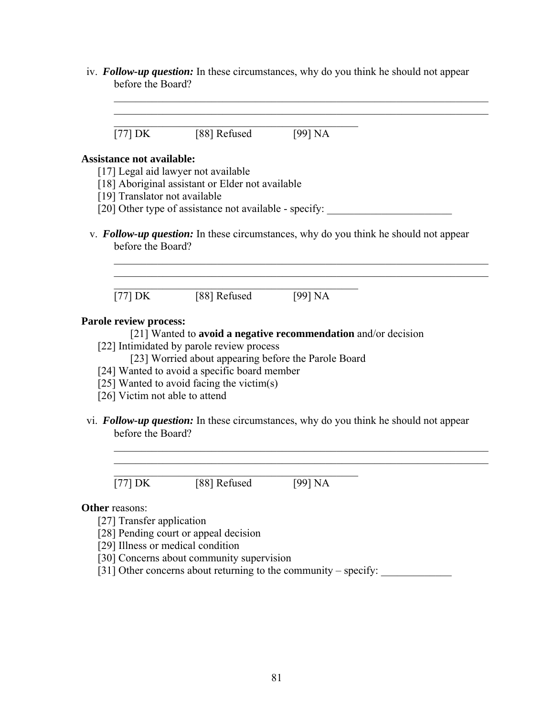iv. *Follow-up question:* In these circumstances, why do you think he should not appear before the Board?

 $\mathcal{L}_\text{max}$  , and the contribution of the contribution of the contribution of the contribution of the contribution of the contribution of the contribution of the contribution of the contribution of the contribution of t

| $[77] \text{DK}$                 | [88] Refused                                                                              | [99] NA                                                                                      |
|----------------------------------|-------------------------------------------------------------------------------------------|----------------------------------------------------------------------------------------------|
| <b>Assistance not available:</b> |                                                                                           |                                                                                              |
|                                  | [17] Legal aid lawyer not available                                                       |                                                                                              |
|                                  | [18] Aboriginal assistant or Elder not available                                          |                                                                                              |
| [19] Translator not available    |                                                                                           |                                                                                              |
|                                  |                                                                                           | [20] Other type of assistance not available - specify:                                       |
| before the Board?                |                                                                                           | v. <b>Follow-up question:</b> In these circumstances, why do you think he should not appear  |
|                                  | [77] DK $[88]$ Refused $[99]$ NA                                                          |                                                                                              |
| Parole review process:           |                                                                                           |                                                                                              |
|                                  |                                                                                           | [21] Wanted to <b>avoid a negative recommendation</b> and/or decision                        |
|                                  | [22] Intimidated by parole review process                                                 |                                                                                              |
|                                  | [23] Worried about appearing before the Parole Board                                      |                                                                                              |
|                                  | [24] Wanted to avoid a specific board member<br>[25] Wanted to avoid facing the victim(s) |                                                                                              |
| [26] Victim not able to attend   |                                                                                           |                                                                                              |
|                                  |                                                                                           |                                                                                              |
| before the Board?                |                                                                                           | vi. <b>Follow-up question:</b> In these circumstances, why do you think he should not appear |
| $[77]$ DK                        | [88] Refused                                                                              | [99] NA                                                                                      |
|                                  |                                                                                           |                                                                                              |
| <b>Other reasons:</b>            |                                                                                           |                                                                                              |
| [27] Transfer application        |                                                                                           |                                                                                              |
|                                  | [28] Pending court or appeal decision                                                     |                                                                                              |

[29] Illness or medical condition

- [30] Concerns about community supervision
- [31] Other concerns about returning to the community specify: \_\_\_\_\_\_\_\_\_\_\_\_\_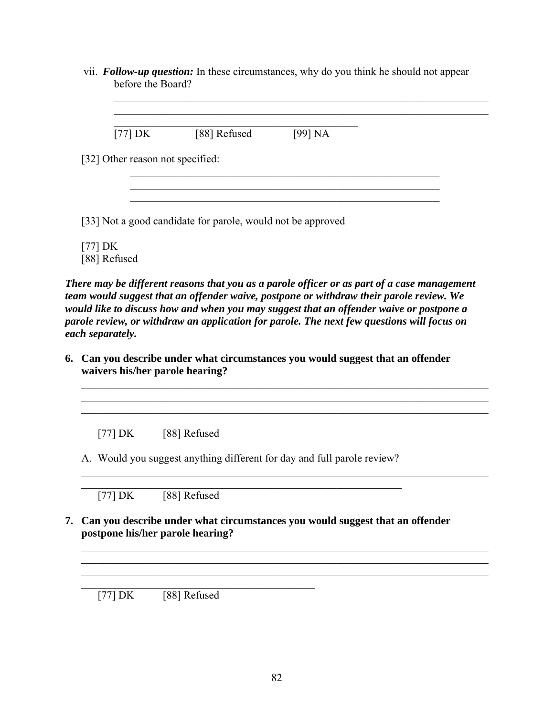vii. *Follow-up question:* In these circumstances, why do you think he should not appear before the Board?

 $\mathcal{L}_\mathcal{L} = \mathcal{L}_\mathcal{L} = \mathcal{L}_\mathcal{L} = \mathcal{L}_\mathcal{L} = \mathcal{L}_\mathcal{L} = \mathcal{L}_\mathcal{L} = \mathcal{L}_\mathcal{L} = \mathcal{L}_\mathcal{L} = \mathcal{L}_\mathcal{L} = \mathcal{L}_\mathcal{L} = \mathcal{L}_\mathcal{L} = \mathcal{L}_\mathcal{L} = \mathcal{L}_\mathcal{L} = \mathcal{L}_\mathcal{L} = \mathcal{L}_\mathcal{L} = \mathcal{L}_\mathcal{L} = \mathcal{L}_\mathcal{L}$  $\mathcal{L}_\mathcal{L} = \mathcal{L}_\mathcal{L} = \mathcal{L}_\mathcal{L} = \mathcal{L}_\mathcal{L} = \mathcal{L}_\mathcal{L} = \mathcal{L}_\mathcal{L} = \mathcal{L}_\mathcal{L} = \mathcal{L}_\mathcal{L} = \mathcal{L}_\mathcal{L} = \mathcal{L}_\mathcal{L} = \mathcal{L}_\mathcal{L} = \mathcal{L}_\mathcal{L} = \mathcal{L}_\mathcal{L} = \mathcal{L}_\mathcal{L} = \mathcal{L}_\mathcal{L} = \mathcal{L}_\mathcal{L} = \mathcal{L}_\mathcal{L}$ 

 $\mathcal{L}_\text{max}$  and the contract of the contract of the contract of the contract of the contract of the contract of the contract of the contract of the contract of the contract of the contract of the contract of the contrac [77] DK [88] Refused [99] NA

 $\mathcal{L}_\text{max} = \frac{1}{2} \sum_{i=1}^n \frac{1}{2} \sum_{i=1}^n \frac{1}{2} \sum_{i=1}^n \frac{1}{2} \sum_{i=1}^n \frac{1}{2} \sum_{i=1}^n \frac{1}{2} \sum_{i=1}^n \frac{1}{2} \sum_{i=1}^n \frac{1}{2} \sum_{i=1}^n \frac{1}{2} \sum_{i=1}^n \frac{1}{2} \sum_{i=1}^n \frac{1}{2} \sum_{i=1}^n \frac{1}{2} \sum_{i=1}^n \frac{1}{2} \sum_{i=1}^n$ 

 $\mathcal{L}_\text{max} = \frac{1}{2} \sum_{i=1}^n \mathcal{L}_\text{max} \left[ \mathcal{L}_\text{max} \left( \mathcal{L}_\text{max} \right) - \mathcal{L}_\text{max} \left( \mathcal{L}_\text{max} \right) \right]$ 

[32] Other reason not specified:

[33] Not a good candidate for parole, would not be approved

[77] DK [88] Refused

*There may be different reasons that you as a parole officer or as part of a case management team would suggest that an offender waive, postpone or withdraw their parole review. We would like to discuss how and when you may suggest that an offender waive or postpone a parole review, or withdraw an application for parole. The next few questions will focus on each separately.* 

 $\mathcal{L}_\mathcal{L} = \{ \mathcal{L}_\mathcal{L} = \{ \mathcal{L}_\mathcal{L} = \{ \mathcal{L}_\mathcal{L} = \{ \mathcal{L}_\mathcal{L} = \{ \mathcal{L}_\mathcal{L} = \{ \mathcal{L}_\mathcal{L} = \{ \mathcal{L}_\mathcal{L} = \{ \mathcal{L}_\mathcal{L} = \{ \mathcal{L}_\mathcal{L} = \{ \mathcal{L}_\mathcal{L} = \{ \mathcal{L}_\mathcal{L} = \{ \mathcal{L}_\mathcal{L} = \{ \mathcal{L}_\mathcal{L} = \{ \mathcal{L}_\mathcal{$  $\mathcal{L}_\mathcal{L} = \{ \mathcal{L}_\mathcal{L} = \{ \mathcal{L}_\mathcal{L} = \{ \mathcal{L}_\mathcal{L} = \{ \mathcal{L}_\mathcal{L} = \{ \mathcal{L}_\mathcal{L} = \{ \mathcal{L}_\mathcal{L} = \{ \mathcal{L}_\mathcal{L} = \{ \mathcal{L}_\mathcal{L} = \{ \mathcal{L}_\mathcal{L} = \{ \mathcal{L}_\mathcal{L} = \{ \mathcal{L}_\mathcal{L} = \{ \mathcal{L}_\mathcal{L} = \{ \mathcal{L}_\mathcal{L} = \{ \mathcal{L}_\mathcal{$ 

**6. Can you describe under what circumstances you would suggest that an offender waivers his/her parole hearing?** 

[77] DK [88] Refused

 $\mathcal{L}_\text{max}$  and the contract of the contract of the contract of the contract of the contract of the contract of the contract of the contract of the contract of the contract of the contract of the contract of the contrac

 $\mathcal{L}_\mathcal{L} = \{ \mathcal{L}_\mathcal{L} = \{ \mathcal{L}_\mathcal{L} \}$ 

A. Would you suggest anything different for day and full parole review?

\_\_\_\_\_\_\_\_\_\_\_\_\_\_\_\_\_\_\_\_\_\_\_\_\_\_\_\_\_\_\_\_\_\_\_\_\_\_\_\_\_\_\_\_\_\_\_\_\_\_\_\_\_\_\_\_\_\_\_\_\_\_\_\_\_\_\_\_\_\_\_\_\_\_\_

 $\mathcal{L}_\text{max}$  and the contract of the contract of the contract of the contract of the contract of the contract of [77] DK [88] Refused

**7. Can you describe under what circumstances you would suggest that an offender postpone his/her parole hearing?** 

 $\mathcal{L}_\text{max} = \frac{1}{2} \sum_{i=1}^n \mathcal{L}_\text{max}(\mathbf{z}_i - \mathbf{z}_i)$  $\mathcal{L}_\mathcal{L} = \{ \mathcal{L}_\mathcal{L} = \{ \mathcal{L}_\mathcal{L} = \{ \mathcal{L}_\mathcal{L} = \{ \mathcal{L}_\mathcal{L} = \{ \mathcal{L}_\mathcal{L} = \{ \mathcal{L}_\mathcal{L} = \{ \mathcal{L}_\mathcal{L} = \{ \mathcal{L}_\mathcal{L} = \{ \mathcal{L}_\mathcal{L} = \{ \mathcal{L}_\mathcal{L} = \{ \mathcal{L}_\mathcal{L} = \{ \mathcal{L}_\mathcal{L} = \{ \mathcal{L}_\mathcal{L} = \{ \mathcal{L}_\mathcal{$ 

 $[77] \, DK \qquad [88] \, Refused$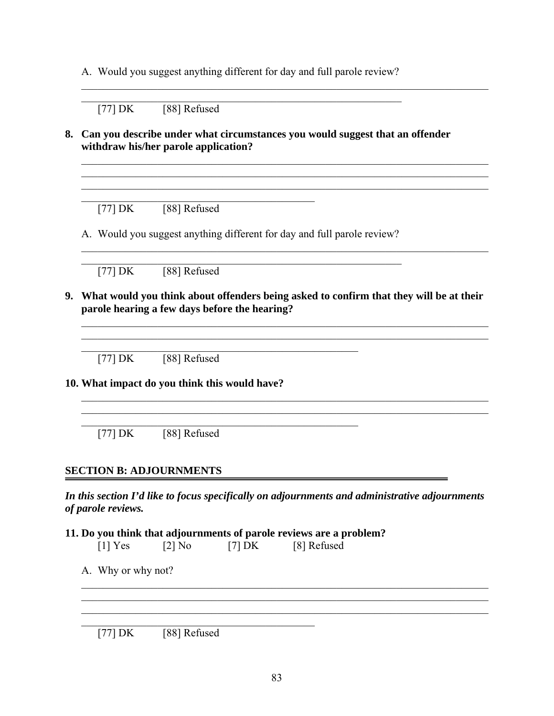A. Would you suggest anything different for day and full parole review?

 $\mathcal{L}_\text{max}$  , and the contribution of the contribution of the contribution of the contribution of the contribution of the contribution of the contribution of the contribution of the contribution of the contribution of t

 $[77] \, DK \qquad [88] \, Refused$ 

#### **8. Can you describe under what circumstances you would suggest that an offender withdraw his/her parole application?**

 $\mathcal{L}_\mathcal{L} = \{ \mathcal{L}_\mathcal{L} = \{ \mathcal{L}_\mathcal{L} = \{ \mathcal{L}_\mathcal{L} = \{ \mathcal{L}_\mathcal{L} = \{ \mathcal{L}_\mathcal{L} = \{ \mathcal{L}_\mathcal{L} = \{ \mathcal{L}_\mathcal{L} = \{ \mathcal{L}_\mathcal{L} = \{ \mathcal{L}_\mathcal{L} = \{ \mathcal{L}_\mathcal{L} = \{ \mathcal{L}_\mathcal{L} = \{ \mathcal{L}_\mathcal{L} = \{ \mathcal{L}_\mathcal{L} = \{ \mathcal{L}_\mathcal{$ 

 $\mathcal{L}_\mathcal{L} = \{ \mathcal{L}_\mathcal{L} = \{ \mathcal{L}_\mathcal{L} = \{ \mathcal{L}_\mathcal{L} = \{ \mathcal{L}_\mathcal{L} = \{ \mathcal{L}_\mathcal{L} = \{ \mathcal{L}_\mathcal{L} = \{ \mathcal{L}_\mathcal{L} = \{ \mathcal{L}_\mathcal{L} = \{ \mathcal{L}_\mathcal{L} = \{ \mathcal{L}_\mathcal{L} = \{ \mathcal{L}_\mathcal{L} = \{ \mathcal{L}_\mathcal{L} = \{ \mathcal{L}_\mathcal{L} = \{ \mathcal{L}_\mathcal{$ 

 $\mathcal{L}_\mathcal{L} = \{ \mathcal{L}_\mathcal{L} = \{ \mathcal{L}_\mathcal{L} = \{ \mathcal{L}_\mathcal{L} = \{ \mathcal{L}_\mathcal{L} = \{ \mathcal{L}_\mathcal{L} = \{ \mathcal{L}_\mathcal{L} = \{ \mathcal{L}_\mathcal{L} = \{ \mathcal{L}_\mathcal{L} = \{ \mathcal{L}_\mathcal{L} = \{ \mathcal{L}_\mathcal{L} = \{ \mathcal{L}_\mathcal{L} = \{ \mathcal{L}_\mathcal{L} = \{ \mathcal{L}_\mathcal{L} = \{ \mathcal{L}_\mathcal{$ 

 $[77] \, DK \qquad [88] \, Refused$ 

 $\mathcal{L}_\mathcal{L} = \{ \mathcal{L}_\mathcal{L} = \{ \mathcal{L}_\mathcal{L} \}$ 

A. Would you suggest anything different for day and full parole review?  $\mathcal{L}_\text{max} = \frac{1}{2} \sum_{i=1}^n \mathcal{L}_\text{max} = \frac{1}{2} \sum_{i=1}^n \mathcal{L}_\text{max} = \frac{1}{2} \sum_{i=1}^n \mathcal{L}_\text{max} = \frac{1}{2} \sum_{i=1}^n \mathcal{L}_\text{max} = \frac{1}{2} \sum_{i=1}^n \mathcal{L}_\text{max} = \frac{1}{2} \sum_{i=1}^n \mathcal{L}_\text{max} = \frac{1}{2} \sum_{i=1}^n \mathcal{L}_\text{max} = \frac{1}{2} \sum_{i=$ 

 $\mathcal{L}_\text{max}$  , and the contribution of the contribution of the contribution of the contribution of the contribution of the contribution of the contribution of the contribution of the contribution of the contribution of t

 $\mathcal{L}_\text{max} = \mathcal{L}_\text{max} = \mathcal{L}_\text{max} = \mathcal{L}_\text{max} = \mathcal{L}_\text{max} = \mathcal{L}_\text{max} = \mathcal{L}_\text{max} = \mathcal{L}_\text{max} = \mathcal{L}_\text{max} = \mathcal{L}_\text{max} = \mathcal{L}_\text{max} = \mathcal{L}_\text{max} = \mathcal{L}_\text{max} = \mathcal{L}_\text{max} = \mathcal{L}_\text{max} = \mathcal{L}_\text{max} = \mathcal{L}_\text{max} = \mathcal{L}_\text{max} = \mathcal{$ 

[77] DK [88] Refused

**9. What would you think about offenders being asked to confirm that they will be at their parole hearing a few days before the hearing?** 

\_\_\_\_\_\_\_\_\_\_\_\_\_\_\_\_\_\_\_\_\_\_\_\_\_\_\_\_\_\_\_\_\_\_\_\_\_\_\_\_\_\_\_\_\_\_\_\_\_\_\_\_\_\_\_\_\_\_\_\_\_\_\_\_\_\_\_\_\_\_\_\_\_\_\_

 $\mathcal{L}_\mathcal{L} = \{ \mathcal{L}_\mathcal{L} = \{ \mathcal{L}_\mathcal{L} = \{ \mathcal{L}_\mathcal{L} = \{ \mathcal{L}_\mathcal{L} = \{ \mathcal{L}_\mathcal{L} = \{ \mathcal{L}_\mathcal{L} = \{ \mathcal{L}_\mathcal{L} = \{ \mathcal{L}_\mathcal{L} = \{ \mathcal{L}_\mathcal{L} = \{ \mathcal{L}_\mathcal{L} = \{ \mathcal{L}_\mathcal{L} = \{ \mathcal{L}_\mathcal{L} = \{ \mathcal{L}_\mathcal{L} = \{ \mathcal{L}_\mathcal{$ 

 $[77] \, DK \qquad [88] \, Refused$ 

**10. What impact do you think this would have?** 

[77] DK [88] Refused

#### **SECTION B: ADJOURNMENTS**

*In this section I'd like to focus specifically on adjournments and administrative adjournments of parole reviews.* 

 $\mathcal{L}_\mathcal{L} = \{ \mathcal{L}_\mathcal{L} = \{ \mathcal{L}_\mathcal{L} = \{ \mathcal{L}_\mathcal{L} = \{ \mathcal{L}_\mathcal{L} = \{ \mathcal{L}_\mathcal{L} = \{ \mathcal{L}_\mathcal{L} = \{ \mathcal{L}_\mathcal{L} = \{ \mathcal{L}_\mathcal{L} = \{ \mathcal{L}_\mathcal{L} = \{ \mathcal{L}_\mathcal{L} = \{ \mathcal{L}_\mathcal{L} = \{ \mathcal{L}_\mathcal{L} = \{ \mathcal{L}_\mathcal{L} = \{ \mathcal{L}_\mathcal{$  $\mathcal{L}_\mathcal{L} = \{ \mathcal{L}_\mathcal{L} = \{ \mathcal{L}_\mathcal{L} = \{ \mathcal{L}_\mathcal{L} = \{ \mathcal{L}_\mathcal{L} = \{ \mathcal{L}_\mathcal{L} = \{ \mathcal{L}_\mathcal{L} = \{ \mathcal{L}_\mathcal{L} = \{ \mathcal{L}_\mathcal{L} = \{ \mathcal{L}_\mathcal{L} = \{ \mathcal{L}_\mathcal{L} = \{ \mathcal{L}_\mathcal{L} = \{ \mathcal{L}_\mathcal{L} = \{ \mathcal{L}_\mathcal{L} = \{ \mathcal{L}_\mathcal{$  $\mathcal{L}_\text{max} = \frac{1}{2} \sum_{i=1}^n \mathcal{L}_\text{max}(\mathbf{z}_i - \mathbf{z}_i)$ 

- **11. Do you think that adjournments of parole reviews are a problem?** 
	- $[1]$  Yes  $[2]$  No  $[7]$  DK  $[8]$  Refused

 $\mathcal{L}_\mathcal{L} = \{ \mathcal{L}_\mathcal{L} = \{ \mathcal{L}_\mathcal{L} \}$ 

 $\mathcal{L}_\text{max}$  and the contract of the contract of the contract of the contract of the contract of the contract of the contract of the contract of the contract of the contract of the contract of the contract of the contrac

A. Why or why not?

 $[77] \, DK \qquad [88] \, Refused$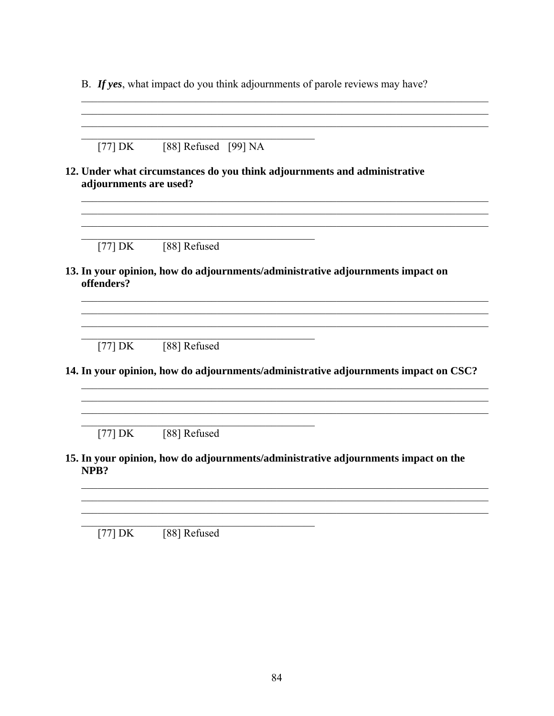B. If yes, what impact do you think adjournments of parole reviews may have?

[77] DK  $\sqrt{88}$  Refused [99] NA 12. Under what circumstances do you think adjournments and administrative adjournments are used? [88] Refused  $[77]$  DK 13. In your opinion, how do adjournments/administrative adjournments impact on offenders?  $[77]$  DK  $[88]$  Refused 14. In your opinion, how do adjournments/administrative adjournments impact on CSC?  $[77]$  DK  $[88]$  Refused 15. In your opinion, how do adjournments/administrative adjournments impact on the NPB? [77]  $DK$  [88] Refused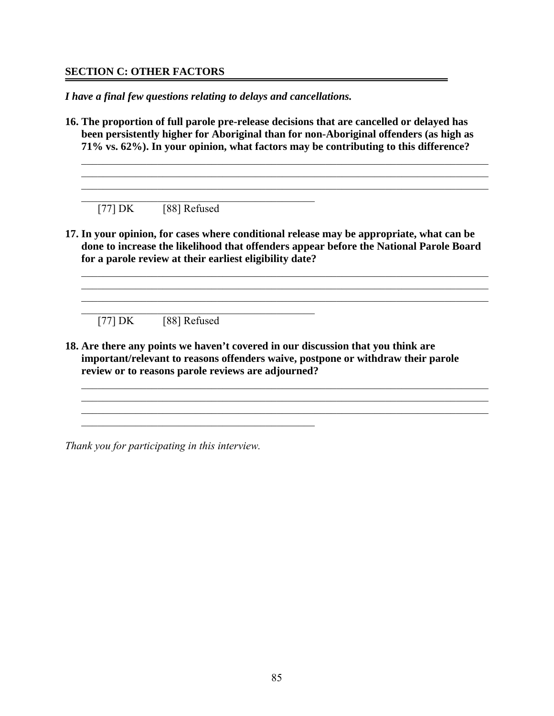#### **SECTION C: OTHER FACTORS**

*I have a final few questions relating to delays and cancellations.* 

 $\mathcal{L}_\mathcal{L} = \{ \mathcal{L}_\mathcal{L} = \{ \mathcal{L}_\mathcal{L} \}$ 

**16. The proportion of full parole pre-release decisions that are cancelled or delayed has been persistently higher for Aboriginal than for non-Aboriginal offenders (as high as 71% vs. 62%). In your opinion, what factors may be contributing to this difference?** 

 $\mathcal{L}_\mathcal{L} = \{ \mathcal{L}_\mathcal{L} = \{ \mathcal{L}_\mathcal{L} = \{ \mathcal{L}_\mathcal{L} = \{ \mathcal{L}_\mathcal{L} = \{ \mathcal{L}_\mathcal{L} = \{ \mathcal{L}_\mathcal{L} = \{ \mathcal{L}_\mathcal{L} = \{ \mathcal{L}_\mathcal{L} = \{ \mathcal{L}_\mathcal{L} = \{ \mathcal{L}_\mathcal{L} = \{ \mathcal{L}_\mathcal{L} = \{ \mathcal{L}_\mathcal{L} = \{ \mathcal{L}_\mathcal{L} = \{ \mathcal{L}_\mathcal{$  $\mathcal{L}_\mathcal{L} = \{ \mathcal{L}_\mathcal{L} = \{ \mathcal{L}_\mathcal{L} = \{ \mathcal{L}_\mathcal{L} = \{ \mathcal{L}_\mathcal{L} = \{ \mathcal{L}_\mathcal{L} = \{ \mathcal{L}_\mathcal{L} = \{ \mathcal{L}_\mathcal{L} = \{ \mathcal{L}_\mathcal{L} = \{ \mathcal{L}_\mathcal{L} = \{ \mathcal{L}_\mathcal{L} = \{ \mathcal{L}_\mathcal{L} = \{ \mathcal{L}_\mathcal{L} = \{ \mathcal{L}_\mathcal{L} = \{ \mathcal{L}_\mathcal{$  $\mathcal{L}_\text{max} = \frac{1}{2} \sum_{i=1}^n \mathcal{L}_\text{max}(\mathbf{z}_i - \mathbf{z}_i)$ 

 $[77] \, DK \qquad [88] \, Refused$ 

**17. In your opinion, for cases where conditional release may be appropriate, what can be done to increase the likelihood that offenders appear before the National Parole Board for a parole review at their earliest eligibility date?** 

 $\mathcal{L}_\mathcal{L} = \{ \mathcal{L}_\mathcal{L} = \{ \mathcal{L}_\mathcal{L} = \{ \mathcal{L}_\mathcal{L} = \{ \mathcal{L}_\mathcal{L} = \{ \mathcal{L}_\mathcal{L} = \{ \mathcal{L}_\mathcal{L} = \{ \mathcal{L}_\mathcal{L} = \{ \mathcal{L}_\mathcal{L} = \{ \mathcal{L}_\mathcal{L} = \{ \mathcal{L}_\mathcal{L} = \{ \mathcal{L}_\mathcal{L} = \{ \mathcal{L}_\mathcal{L} = \{ \mathcal{L}_\mathcal{L} = \{ \mathcal{L}_\mathcal{$  $\mathcal{L}_\mathcal{L} = \{ \mathcal{L}_\mathcal{L} = \{ \mathcal{L}_\mathcal{L} = \{ \mathcal{L}_\mathcal{L} = \{ \mathcal{L}_\mathcal{L} = \{ \mathcal{L}_\mathcal{L} = \{ \mathcal{L}_\mathcal{L} = \{ \mathcal{L}_\mathcal{L} = \{ \mathcal{L}_\mathcal{L} = \{ \mathcal{L}_\mathcal{L} = \{ \mathcal{L}_\mathcal{L} = \{ \mathcal{L}_\mathcal{L} = \{ \mathcal{L}_\mathcal{L} = \{ \mathcal{L}_\mathcal{L} = \{ \mathcal{L}_\mathcal{$  $\mathcal{L}_\mathcal{L} = \{ \mathcal{L}_\mathcal{L} = \{ \mathcal{L}_\mathcal{L} = \{ \mathcal{L}_\mathcal{L} = \{ \mathcal{L}_\mathcal{L} = \{ \mathcal{L}_\mathcal{L} = \{ \mathcal{L}_\mathcal{L} = \{ \mathcal{L}_\mathcal{L} = \{ \mathcal{L}_\mathcal{L} = \{ \mathcal{L}_\mathcal{L} = \{ \mathcal{L}_\mathcal{L} = \{ \mathcal{L}_\mathcal{L} = \{ \mathcal{L}_\mathcal{L} = \{ \mathcal{L}_\mathcal{L} = \{ \mathcal{L}_\mathcal{$ 

 $\mathcal{L}_\mathcal{L} = \{ \mathcal{L}_\mathcal{L} = \{ \mathcal{L}_\mathcal{L} = \{ \mathcal{L}_\mathcal{L} = \{ \mathcal{L}_\mathcal{L} = \{ \mathcal{L}_\mathcal{L} = \{ \mathcal{L}_\mathcal{L} = \{ \mathcal{L}_\mathcal{L} = \{ \mathcal{L}_\mathcal{L} = \{ \mathcal{L}_\mathcal{L} = \{ \mathcal{L}_\mathcal{L} = \{ \mathcal{L}_\mathcal{L} = \{ \mathcal{L}_\mathcal{L} = \{ \mathcal{L}_\mathcal{L} = \{ \mathcal{L}_\mathcal{$  $\mathcal{L}_\mathcal{L} = \{ \mathcal{L}_\mathcal{L} = \{ \mathcal{L}_\mathcal{L} = \{ \mathcal{L}_\mathcal{L} = \{ \mathcal{L}_\mathcal{L} = \{ \mathcal{L}_\mathcal{L} = \{ \mathcal{L}_\mathcal{L} = \{ \mathcal{L}_\mathcal{L} = \{ \mathcal{L}_\mathcal{L} = \{ \mathcal{L}_\mathcal{L} = \{ \mathcal{L}_\mathcal{L} = \{ \mathcal{L}_\mathcal{L} = \{ \mathcal{L}_\mathcal{L} = \{ \mathcal{L}_\mathcal{L} = \{ \mathcal{L}_\mathcal{$ 

 $[77] \, DK \qquad [88] \, Refused$ 

**18. Are there any points we haven't covered in our discussion that you think are important/relevant to reasons offenders waive, postpone or withdraw their parole review or to reasons parole reviews are adjourned?** 

*Thank you for participating in this interview.* 

 $\mathcal{L}_\text{max}$  and the contract of the contract of the contract of the contract of the contract of the contract of the contract of the contract of the contract of the contract of the contract of the contract of the contrac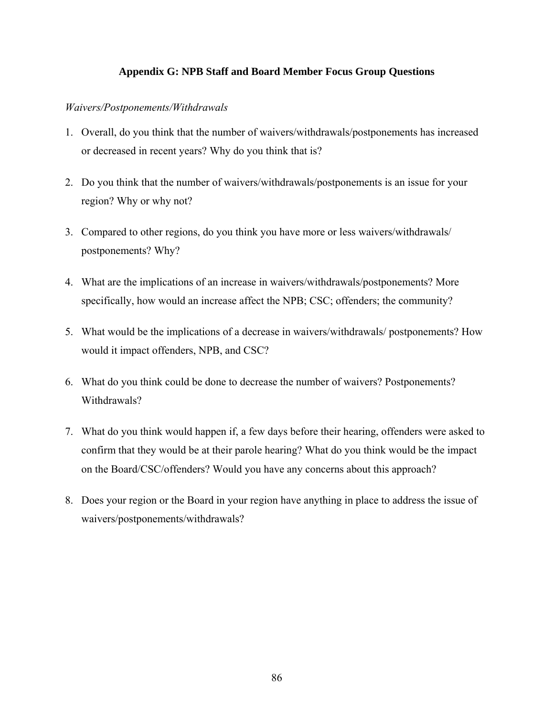## **Appendix G: NPB Staff and Board Member Focus Group Questions**

### *Waivers/Postponements/Withdrawals*

- 1. Overall, do you think that the number of waivers/withdrawals/postponements has increased or decreased in recent years? Why do you think that is?
- 2. Do you think that the number of waivers/withdrawals/postponements is an issue for your region? Why or why not?
- 3. Compared to other regions, do you think you have more or less waivers/withdrawals/ postponements? Why?
- 4. What are the implications of an increase in waivers/withdrawals/postponements? More specifically, how would an increase affect the NPB; CSC; offenders; the community?
- 5. What would be the implications of a decrease in waivers/withdrawals/ postponements? How would it impact offenders, NPB, and CSC?
- 6. What do you think could be done to decrease the number of waivers? Postponements? Withdrawals?
- 7. What do you think would happen if, a few days before their hearing, offenders were asked to confirm that they would be at their parole hearing? What do you think would be the impact on the Board/CSC/offenders? Would you have any concerns about this approach?
- 8. Does your region or the Board in your region have anything in place to address the issue of waivers/postponements/withdrawals?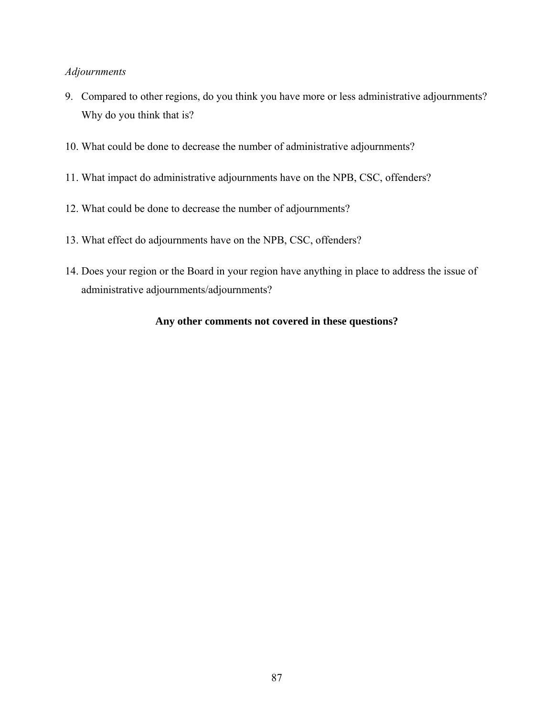#### *Adjournments*

- 9. Compared to other regions, do you think you have more or less administrative adjournments? Why do you think that is?
- 10. What could be done to decrease the number of administrative adjournments?
- 11. What impact do administrative adjournments have on the NPB, CSC, offenders?
- 12. What could be done to decrease the number of adjournments?
- 13. What effect do adjournments have on the NPB, CSC, offenders?
- 14. Does your region or the Board in your region have anything in place to address the issue of administrative adjournments/adjournments?

#### **Any other comments not covered in these questions?**